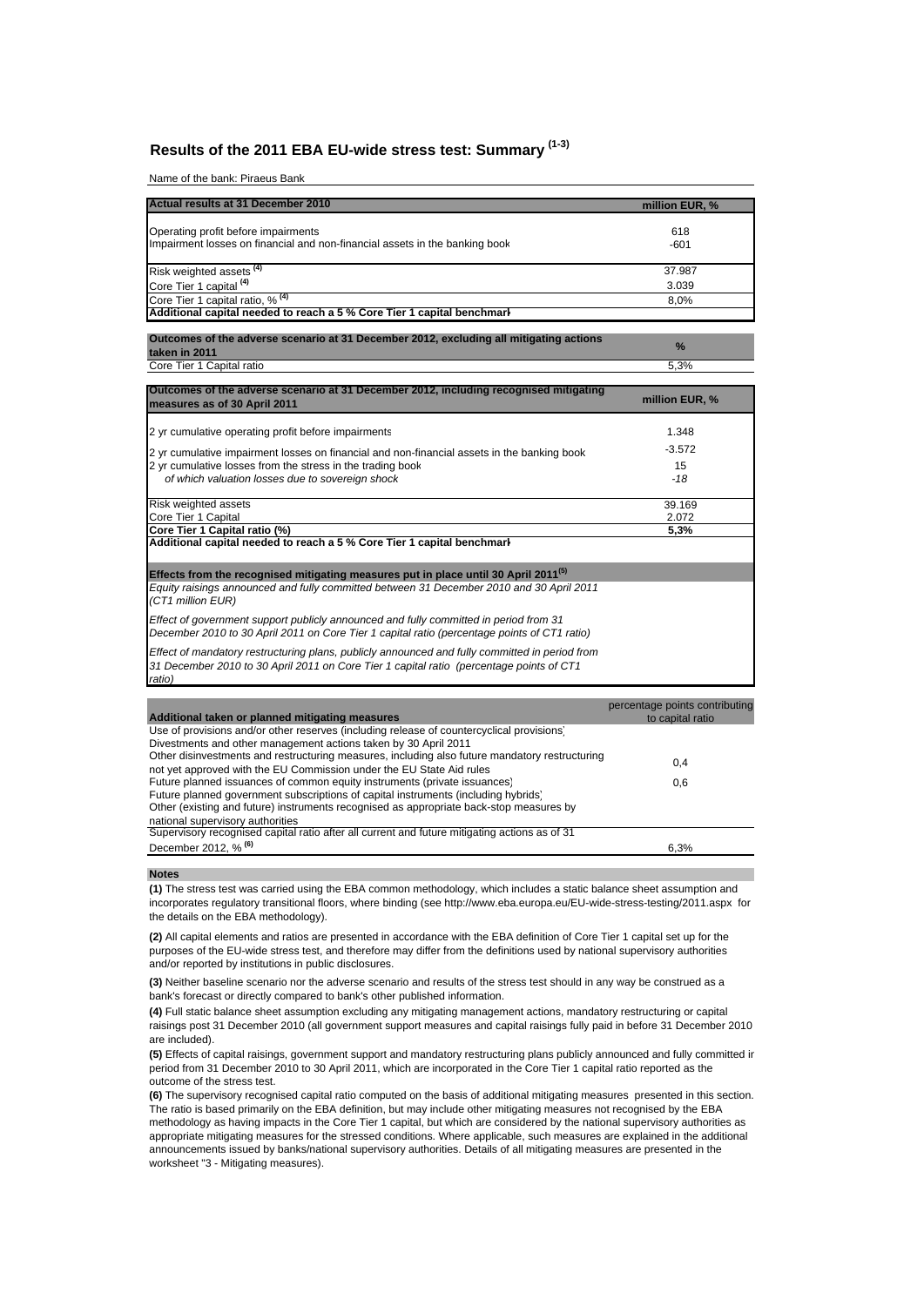# **Results of the 2011 EBA EU-wide stress test: Summary (1-3)**

Name of the bank: Piraeus Bank

| Actual results at 31 December 2010                                          | million EUR, % |
|-----------------------------------------------------------------------------|----------------|
| Operating profit before impairments                                         | 618            |
| Impairment losses on financial and non-financial assets in the banking book | $-601$         |
|                                                                             | 37.987         |
| Risk weighted assets <sup>(4)</sup><br>Core Tier 1 capital <sup>(4)</sup>   | 3.039          |
| Core Tier 1 capital ratio, % <sup>(4)</sup>                                 | 8,0%           |
| Additional capital needed to reach a 5 % Core Tier 1 capital benchmark      |                |

**Outcomes of the adverse scenario at 31 December 2012, excluding all mitigating actions taken in 2011 %** Core Tier 1 Capital ratio 5,3%

| Outcomes of the adverse scenario at 31 December 2012, including recognised mitigating<br>measures as of 30 April 2011                                                                                | million EUR, % |
|------------------------------------------------------------------------------------------------------------------------------------------------------------------------------------------------------|----------------|
| 2 yr cumulative operating profit before impairments                                                                                                                                                  | 1.348          |
| 2 yr cumulative impairment losses on financial and non-financial assets in the banking book                                                                                                          | $-3.572$       |
| 2 yr cumulative losses from the stress in the trading book                                                                                                                                           | 15             |
| of which valuation losses due to sovereign shock                                                                                                                                                     | -18            |
| Risk weighted assets                                                                                                                                                                                 | 39.169         |
| Core Tier 1 Capital                                                                                                                                                                                  | 2.072          |
| Core Tier 1 Capital ratio (%)                                                                                                                                                                        | 5,3%           |
| Additional capital needed to reach a 5 % Core Tier 1 capital benchmark                                                                                                                               |                |
| Effects from the recognised mitigating measures put in place until 30 April 2011 <sup>(5)</sup>                                                                                                      |                |
| Equity raisings announced and fully committed between 31 December 2010 and 30 April 2011<br>(CT1 million EUR)                                                                                        |                |
| Effect of government support publicly announced and fully committed in period from 31<br>December 2010 to 30 April 2011 on Core Tier 1 capital ratio (percentage points of CT1 ratio)                |                |
| Effect of mandatory restructuring plans, publicly announced and fully committed in period from<br>31 December 2010 to 30 April 2011 on Core Tier 1 capital ratio (percentage points of CT1<br>ratio) |                |
|                                                                                                                                                                                                      |                |

|                                                                                                | percentage points contributing |
|------------------------------------------------------------------------------------------------|--------------------------------|
| Additional taken or planned mitigating measures                                                | to capital ratio               |
| Use of provisions and/or other reserves (including release of countercyclical provisions)      |                                |
| Divestments and other management actions taken by 30 April 2011                                |                                |
| Other disinvestments and restructuring measures, including also future mandatory restructuring |                                |
| not yet approved with the EU Commission under the EU State Aid rules                           | 0,4                            |
| Future planned issuances of common equity instruments (private issuances)                      | 0,6                            |
| Future planned government subscriptions of capital instruments (including hybrids)             |                                |
| Other (existing and future) instruments recognised as appropriate back-stop measures by        |                                |
| national supervisory authorities                                                               |                                |
| Supervisory recognised capital ratio after all current and future mitigating actions as of 31  |                                |
| December 2012, % <sup>(6)</sup>                                                                | 6,3%                           |
|                                                                                                |                                |

**Notes**

**(1)** The stress test was carried using the EBA common methodology, which includes a static balance sheet assumption and incorporates regulatory transitional floors, where binding (see http://www.eba.europa.eu/EU-wide-stress-testing/2011.aspx for the details on the EBA methodology).

**(2)** All capital elements and ratios are presented in accordance with the EBA definition of Core Tier 1 capital set up for the purposes of the EU-wide stress test, and therefore may differ from the definitions used by national supervisory authorities and/or reported by institutions in public disclosures.

**(3)** Neither baseline scenario nor the adverse scenario and results of the stress test should in any way be construed as a bank's forecast or directly compared to bank's other published information.

**(4)** Full static balance sheet assumption excluding any mitigating management actions, mandatory restructuring or capital raisings post 31 December 2010 (all government support measures and capital raisings fully paid in before 31 December 2010 are included).

**(5)** Effects of capital raisings, government support and mandatory restructuring plans publicly announced and fully committed in period from 31 December 2010 to 30 April 2011, which are incorporated in the Core Tier 1 capital ratio reported as the outcome of the stress test.

**(6)** The supervisory recognised capital ratio computed on the basis of additional mitigating measures presented in this section. The ratio is based primarily on the EBA definition, but may include other mitigating measures not recognised by the EBA methodology as having impacts in the Core Tier 1 capital, but which are considered by the national supervisory authorities as appropriate mitigating measures for the stressed conditions. Where applicable, such measures are explained in the additional announcements issued by banks/national supervisory authorities. Details of all mitigating measures are presented in the worksheet "3 - Mitigating measures).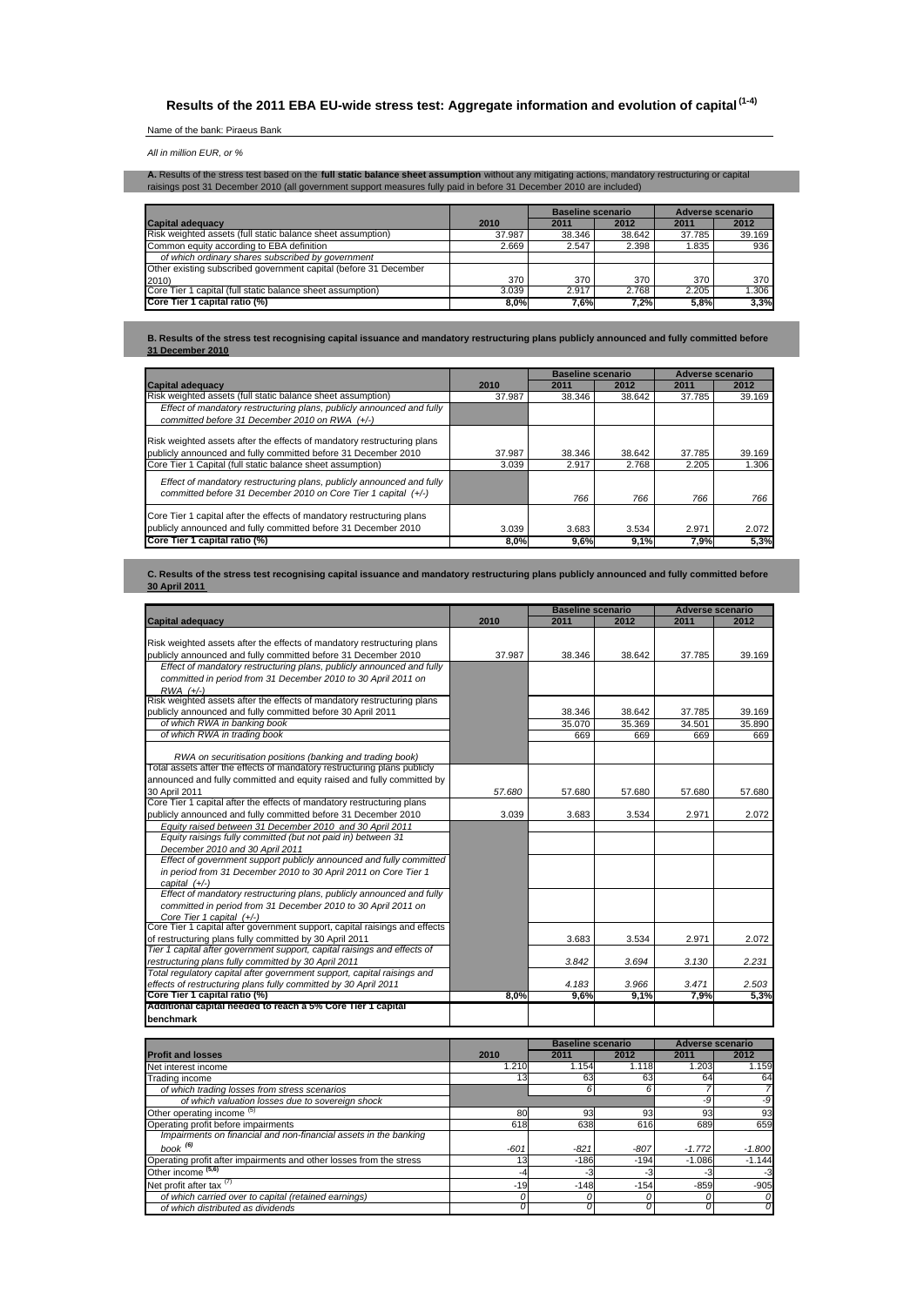**Results of the 2011 EBA EU-wide stress test: Aggregate information and evolution of capital (1-4)**

## Name of the bank: Piraeus Bank

*All in million EUR, or %*

**A.** Results of the stress test based on the **full static balance sheet assumption** without any mitigating actions, mandatory restructuring or capital<br>raisings post 31 December 2010 (all government support measures fully p

|                                                                  |        | Baseline scenario |        | Adverse scenario |        |
|------------------------------------------------------------------|--------|-------------------|--------|------------------|--------|
| <b>Capital adequacy</b>                                          | 2010   | 2011              | 2012   | 2011             | 2012   |
| Risk weighted assets (full static balance sheet assumption)      | 37.987 | 38.346            | 38.642 | 37.785           | 39.169 |
| Common equity according to EBA definition                        | 2.669  | 2.547             | 2.398  | 1.835            | 936    |
| of which ordinary shares subscribed by government                |        |                   |        |                  |        |
| Other existing subscribed government capital (before 31 December |        |                   |        |                  |        |
| 2010)                                                            | 370    | 370               | 370    | 370              | 370    |
| Core Tier 1 capital (full static balance sheet assumption)       | 3.039  | 2.917             | 2.768  | 2.205            | 1.306  |
| Core Tier 1 capital ratio (%)                                    | 8.0%   | 7.6%              | 7.2%   | 5.8%             | 3,3%   |

**B. Results of the stress test recognising capital issuance and mandatory restructuring plans publicly announced and fully committed before 31 December 2010**

|                                                                                                                                                                                                         |                 | <b>Baseline scenario</b> |                 | Adverse scenario |                 |  |
|---------------------------------------------------------------------------------------------------------------------------------------------------------------------------------------------------------|-----------------|--------------------------|-----------------|------------------|-----------------|--|
| <b>Capital adequacy</b>                                                                                                                                                                                 | 2010            | 2011                     | 2012            | 2011             | 2012            |  |
| Risk weighted assets (full static balance sheet assumption)                                                                                                                                             | 37.987          | 38.346                   | 38.642          | 37.785           | 39.169          |  |
| Effect of mandatory restructuring plans, publicly announced and fully                                                                                                                                   |                 |                          |                 |                  |                 |  |
| committed before 31 December 2010 on RWA (+/-)                                                                                                                                                          |                 |                          |                 |                  |                 |  |
| Risk weighted assets after the effects of mandatory restructuring plans<br>publicly announced and fully committed before 31 December 2010<br>Core Tier 1 Capital (full static balance sheet assumption) | 37.987<br>3.039 | 38.346<br>2.917          | 38.642<br>2.768 | 37.785<br>2.205  | 39.169<br>1.306 |  |
| Effect of mandatory restructuring plans, publicly announced and fully<br>committed before 31 December 2010 on Core Tier 1 capital (+/-)                                                                 |                 | 766                      | 766             | 766              | 766             |  |
| Core Tier 1 capital after the effects of mandatory restructuring plans<br>publicly announced and fully committed before 31 December 2010<br>Core Tier 1 capital ratio (%)                               | 3.039<br>8,0%   | 3.683<br>9,6%            | 3.534<br>9,1%   | 2.971<br>7,9%    | 2.072<br>5,3%   |  |
|                                                                                                                                                                                                         |                 |                          |                 |                  |                 |  |

### **C. Results of the stress test recognising capital issuance and mandatory restructuring plans publicly announced and fully committed before 30 April 2011**

|                                                                                             | <b>Baseline scenario</b> |                          |                  | <b>Adverse scenario</b> |                         |  |  |
|---------------------------------------------------------------------------------------------|--------------------------|--------------------------|------------------|-------------------------|-------------------------|--|--|
| <b>Capital adequacy</b>                                                                     | 2010                     | 2011                     | 2012             | 2011                    | 2012                    |  |  |
|                                                                                             |                          |                          |                  |                         |                         |  |  |
| Risk weighted assets after the effects of mandatory restructuring plans                     |                          |                          |                  |                         |                         |  |  |
| publicly announced and fully committed before 31 December 2010                              | 37.987                   | 38.346                   | 38.642           | 37.785                  | 39.169                  |  |  |
| Effect of mandatory restructuring plans, publicly announced and fully                       |                          |                          |                  |                         |                         |  |  |
| committed in period from 31 December 2010 to 30 April 2011 on                               |                          |                          |                  |                         |                         |  |  |
| $RWA$ $(+/-)$<br>Risk weighted assets after the effects of mandatory restructuring plans    |                          |                          |                  |                         |                         |  |  |
|                                                                                             |                          |                          |                  |                         |                         |  |  |
| publicly announced and fully committed before 30 April 2011<br>of which RWA in banking book |                          | 38.346<br>35.070         | 38.642<br>35.369 | 37.785<br>34.501        | 39.169<br>35.890        |  |  |
|                                                                                             |                          |                          |                  |                         |                         |  |  |
| of which RWA in trading book                                                                |                          | 669                      | 669              | 669                     | 669                     |  |  |
| RWA on securitisation positions (banking and trading book)                                  |                          |                          |                  |                         |                         |  |  |
| Total assets after the effects of mandatory restructuring plans publicly                    |                          |                          |                  |                         |                         |  |  |
| announced and fully committed and equity raised and fully committed by                      |                          |                          |                  |                         |                         |  |  |
| 30 April 2011                                                                               | 57.680                   | 57.680                   | 57.680           | 57.680                  | 57.680                  |  |  |
| Core Tier 1 capital after the effects of mandatory restructuring plans                      |                          |                          |                  |                         |                         |  |  |
| publicly announced and fully committed before 31 December 2010                              | 3.039                    | 3.683                    | 3.534            | 2.971                   | 2.072                   |  |  |
| Equity raised between 31 December 2010 and 30 April 2011                                    |                          |                          |                  |                         |                         |  |  |
| Equity raisings fully committed (but not paid in) between 31                                |                          |                          |                  |                         |                         |  |  |
| December 2010 and 30 April 2011                                                             |                          |                          |                  |                         |                         |  |  |
| Effect of government support publicly announced and fully committed                         |                          |                          |                  |                         |                         |  |  |
| in period from 31 December 2010 to 30 April 2011 on Core Tier 1                             |                          |                          |                  |                         |                         |  |  |
| capital $(+/-)$                                                                             |                          |                          |                  |                         |                         |  |  |
| Effect of mandatory restructuring plans, publicly announced and fully                       |                          |                          |                  |                         |                         |  |  |
| committed in period from 31 December 2010 to 30 April 2011 on                               |                          |                          |                  |                         |                         |  |  |
| Core Tier 1 capital (+/-)                                                                   |                          |                          |                  |                         |                         |  |  |
| Core Tier 1 capital after government support, capital raisings and effects                  |                          |                          |                  |                         |                         |  |  |
| of restructuring plans fully committed by 30 April 2011                                     |                          | 3.683                    | 3.534            | 2.971                   | 2.072                   |  |  |
| Tier 1 capital after government support, capital raisings and effects of                    |                          |                          |                  |                         |                         |  |  |
| restructuring plans fully committed by 30 April 2011                                        |                          | 3.842                    | 3.694            | 3.130                   | 2.231                   |  |  |
| Total requlatory capital after government support, capital raisings and                     |                          |                          |                  |                         |                         |  |  |
| effects of restructuring plans fully committed by 30 April 2011                             |                          | 4.183                    | 3.966            | 3.471                   | 2.503                   |  |  |
| Core Tier 1 capital ratio (%)                                                               | 8.0%                     | 9,6%                     | 9.1%             | 7,9%                    | 5,3%                    |  |  |
| Additional capital needed to reach a 5% Core Tier 1 capital                                 |                          |                          |                  |                         |                         |  |  |
| benchmark                                                                                   |                          |                          |                  |                         |                         |  |  |
|                                                                                             |                          | <b>Baseline scenario</b> |                  |                         | <b>Adverse scenario</b> |  |  |
| <b>Profit and losses</b>                                                                    | 2010                     | 2011                     | 2012             | 2011                    | 2012                    |  |  |
| Net interest income                                                                         | 1.210                    | 1.154                    | 1.118            | 1.203                   | 1.159                   |  |  |
| Trading income                                                                              | 13                       | 63                       | 63               | 64                      | 64                      |  |  |
| of which trading losses from stress scenarios                                               |                          | 6                        | 6                | 7                       | 7                       |  |  |
| of which valuation losses due to sovereign shock                                            |                          |                          |                  | -9                      | -9                      |  |  |
| Other operating income <sup>(5)</sup>                                                       | 80                       | 93                       | 93               | 93                      | 93                      |  |  |
| Operating profit before impairments                                                         | 618                      | 638                      | 616              | 689                     | 659                     |  |  |
| Impairments on financial and non-financial assets in the banking                            |                          |                          |                  |                         |                         |  |  |
| book $(6)$                                                                                  | $-601$                   |                          |                  |                         |                         |  |  |
|                                                                                             |                          | $-821$                   | $-807$<br>$-194$ | $-1.772$<br>$-1.086$    | $-1.800$                |  |  |
| Operating profit after impairments and other losses from the stress                         | 13                       | $-186$                   |                  |                         | $-1.144$                |  |  |
| Other income (5,6)                                                                          | $-4$                     | $-3$                     | $-3$             | $-3$                    | $-3$                    |  |  |
| Net profit after tax <sup>(7)</sup>                                                         | $-19$                    | $-148$                   | $-154$           | $-859$                  | $-905$                  |  |  |

*of which carried over to capital (retained earnings) 0 0 0 0 0 of which distributed as dividends 0 0 0 0 0*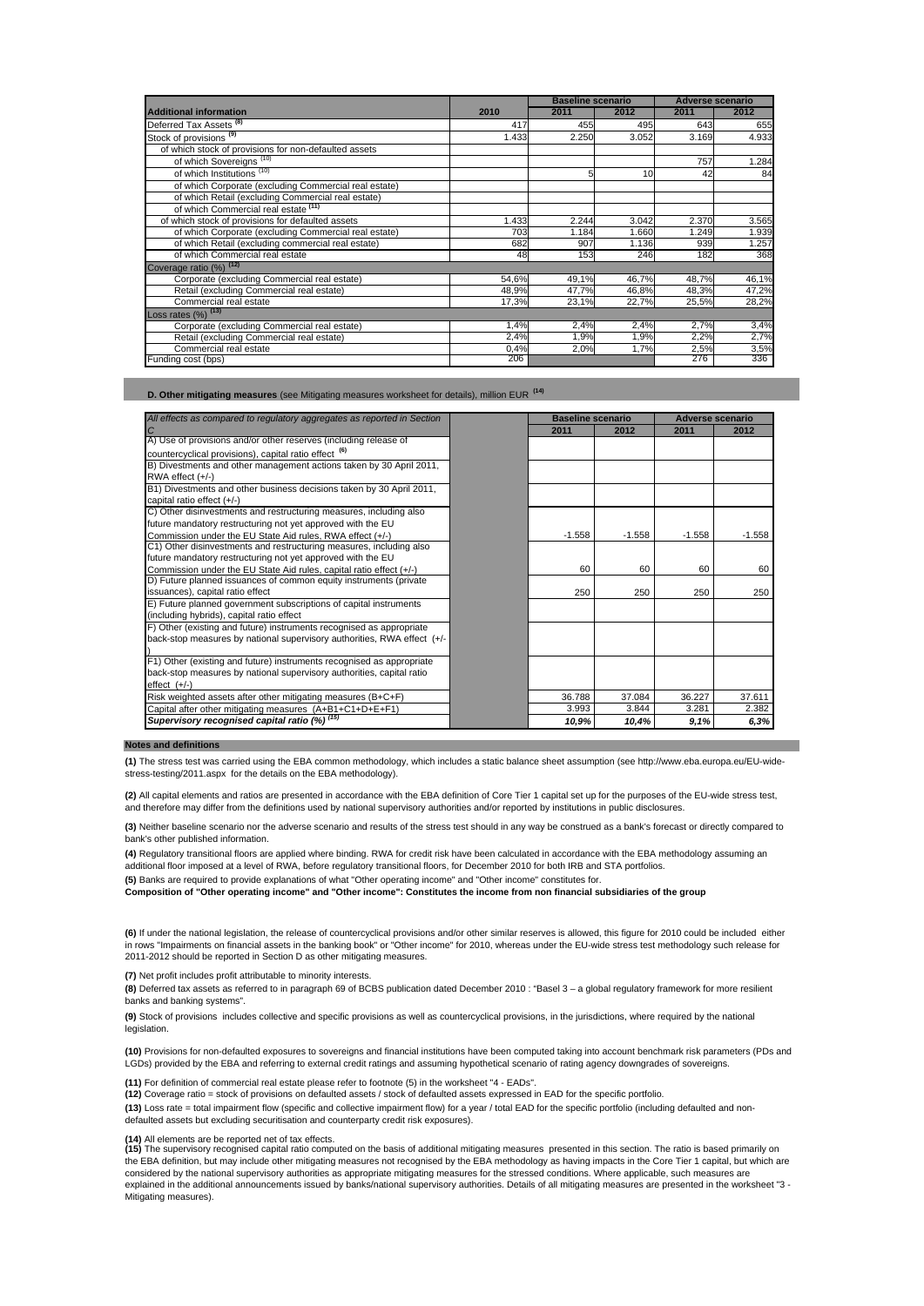|                                                       |       | <b>Baseline scenario</b> |       | <b>Adverse scenario</b> |       |  |
|-------------------------------------------------------|-------|--------------------------|-------|-------------------------|-------|--|
| <b>Additional information</b>                         | 2010  | 2011                     | 2012  | 2011                    | 2012  |  |
| Deferred Tax Assets <sup>(8)</sup>                    | 417   | 455                      | 495   | 643                     | 655   |  |
| Stock of provisions <sup>(9)</sup>                    | 1.433 | 2.250                    | 3.052 | 3.169                   | 4.933 |  |
| of which stock of provisions for non-defaulted assets |       |                          |       |                         |       |  |
| of which Sovereigns <sup>(10)</sup>                   |       |                          |       | 757                     | 1.284 |  |
| of which Institutions <sup>(10)</sup>                 |       | 5                        | 10    | 42                      | 84    |  |
| of which Corporate (excluding Commercial real estate) |       |                          |       |                         |       |  |
| of which Retail (excluding Commercial real estate)    |       |                          |       |                         |       |  |
| of which Commercial real estate (11)                  |       |                          |       |                         |       |  |
| of which stock of provisions for defaulted assets     | 1.433 | 2.244                    | 3.042 | 2.370                   | 3.565 |  |
| of which Corporate (excluding Commercial real estate) | 703   | 1.184                    | 1.660 | 1.249                   | 1.939 |  |
| of which Retail (excluding commercial real estate)    | 682   | 907                      | 1.136 | 939                     | 1.257 |  |
| of which Commercial real estate                       | 48    | 153                      | 246   | 182                     | 368   |  |
| Coverage ratio (%) (12)                               |       |                          |       |                         |       |  |
| Corporate (excluding Commercial real estate)          | 54,6% | 49,1%                    | 46,7% | 48,7%                   | 46,1% |  |
| Retail (excluding Commercial real estate)             | 48,9% | 47,7%                    | 46,8% | 48,3%                   | 47,2% |  |
| Commercial real estate                                | 17,3% | 23,1%                    | 22,7% | 25,5%                   | 28,2% |  |
| Loss rates $(%)$ $(13)$                               |       |                          |       |                         |       |  |
| Corporate (excluding Commercial real estate)          | 1,4%  | 2,4%                     | 2,4%  | 2,7%                    | 3,4%  |  |
| Retail (excluding Commercial real estate)             | 2,4%  | 1,9%                     | 1,9%  | 2,2%                    | 2,7%  |  |
| Commercial real estate                                | 0.4%  | 2,0%                     | 1,7%  | 2,5%                    | 3,5%  |  |
| Funding cost (bps)                                    | 206   |                          |       | 276                     | 336 1 |  |

**D. Other mitigating measures** (see Mitigating measures worksheet for details), million EUR **(14)**

| All effects as compared to regulatory aggregates as reported in Section | <b>Baseline scenario</b> |          | <b>Adverse scenario</b> |          |  |
|-------------------------------------------------------------------------|--------------------------|----------|-------------------------|----------|--|
| $\overline{C}$                                                          | 2011                     | 2012     | 2011                    | 2012     |  |
| A) Use of provisions and/or other reserves (including release of        |                          |          |                         |          |  |
| countercyclical provisions), capital ratio effect <sup>(6)</sup>        |                          |          |                         |          |  |
| B) Divestments and other management actions taken by 30 April 2011,     |                          |          |                         |          |  |
| RWA effect (+/-)                                                        |                          |          |                         |          |  |
| B1) Divestments and other business decisions taken by 30 April 2011,    |                          |          |                         |          |  |
| capital ratio effect (+/-)                                              |                          |          |                         |          |  |
| C) Other disinvestments and restructuring measures, including also      |                          |          |                         |          |  |
| future mandatory restructuring not yet approved with the EU             |                          |          |                         |          |  |
| Commission under the EU State Aid rules. RWA effect (+/-)               | $-1.558$                 | $-1.558$ | $-1.558$                | $-1.558$ |  |
| C1) Other disinvestments and restructuring measures, including also     |                          |          |                         |          |  |
| future mandatory restructuring not yet approved with the EU             |                          |          |                         |          |  |
| Commission under the EU State Aid rules, capital ratio effect (+/-)     | 60                       | 60       | 60                      | 60       |  |
| D) Future planned issuances of common equity instruments (private       |                          |          |                         |          |  |
| issuances), capital ratio effect                                        | 250                      | 250      | 250                     | 250      |  |
| E) Future planned government subscriptions of capital instruments       |                          |          |                         |          |  |
| (including hybrids), capital ratio effect                               |                          |          |                         |          |  |
| F) Other (existing and future) instruments recognised as appropriate    |                          |          |                         |          |  |
| back-stop measures by national supervisory authorities, RWA effect (+/- |                          |          |                         |          |  |
|                                                                         |                          |          |                         |          |  |
| F1) Other (existing and future) instruments recognised as appropriate   |                          |          |                         |          |  |
| back-stop measures by national supervisory authorities, capital ratio   |                          |          |                         |          |  |
| $effect$ $(+/-)$                                                        |                          |          |                         |          |  |
| Risk weighted assets after other mitigating measures (B+C+F)            | 36.788                   | 37.084   | 36.227                  | 37.611   |  |
| Capital after other mitigating measures (A+B1+C1+D+E+F1)                | 3.993                    | 3.844    | 3.281                   | 2.382    |  |
| Supervisory recognised capital ratio (%) <sup>(15)</sup>                | 10,9%                    | 10,4%    | 9,1%                    | 6,3%     |  |

### **Notes and definitions**

**(1)** The stress test was carried using the EBA common methodology, which includes a static balance sheet assumption (see http://www.eba.europa.eu/EU-widestress-testing/2011.aspx for the details on the EBA methodology).

**(2)** All capital elements and ratios are presented in accordance with the EBA definition of Core Tier 1 capital set up for the purposes of the EU-wide stress test, and therefore may differ from the definitions used by national supervisory authorities and/or reported by institutions in public disclosures.

**(3)** Neither baseline scenario nor the adverse scenario and results of the stress test should in any way be construed as a bank's forecast or directly compared to bank's other published information.

**(4)** Regulatory transitional floors are applied where binding. RWA for credit risk have been calculated in accordance with the EBA methodology assuming an additional floor imposed at a level of RWA, before regulatory transitional floors, for December 2010 for both IRB and STA portfolios.

**(5)** Banks are required to provide explanations of what "Other operating income" and "Other income" constitutes for.

**Composition of "Other operating income" and "Other income": Constitutes the income from non financial subsidiaries of the group**

**(6)** If under the national legislation, the release of countercyclical provisions and/or other similar reserves is allowed, this figure for 2010 could be included either in rows "Impairments on financial assets in the banking book" or "Other income" for 2010, whereas under the EU-wide stress test methodology such release for 2011-2012 should be reported in Section D as other mitigating measures.

### **(7)** Net profit includes profit attributable to minority interests.

**(8)** Deferred tax assets as referred to in paragraph 69 of BCBS publication dated December 2010 : "Basel 3 – a global regulatory framework for more resilient banks and banking systems".

**(9)** Stock of provisions includes collective and specific provisions as well as countercyclical provisions, in the jurisdictions, where required by the national legislation.

**(10)** Provisions for non-defaulted exposures to sovereigns and financial institutions have been computed taking into account benchmark risk parameters (PDs and LGDs) provided by the EBA and referring to external credit ratings and assuming hypothetical scenario of rating agency downgrades of sovereigns.

**(11)** For definition of commercial real estate please refer to footnote (5) in the worksheet "4 - EADs".

**(12)** Coverage ratio = stock of provisions on defaulted assets / stock of defaulted assets expressed in EAD for the specific portfolio.

**(13)** Loss rate = total impairment flow (specific and collective impairment flow) for a year / total EAD for the specific portfolio (including defaulted and nondefaulted assets but excluding securitisation and counterparty credit risk exposures).

**(14)** All elements are be reported net of tax effects.<br>**(15)** The supervisory recognised capital ratio computed on the basis of additional mitigating measures presented in this section. The ratio is based primarily on the EBA definition, but may include other mitigating measures not recognised by the EBA methodology as having impacts in the Core Tier 1 capital, but which are<br>considered by the national supervisory authorities as appropri explained in the additional announcements issued by banks/national supervisory authorities. Details of all mitigating measures are presented in the worksheet "3 - Mitigating measures).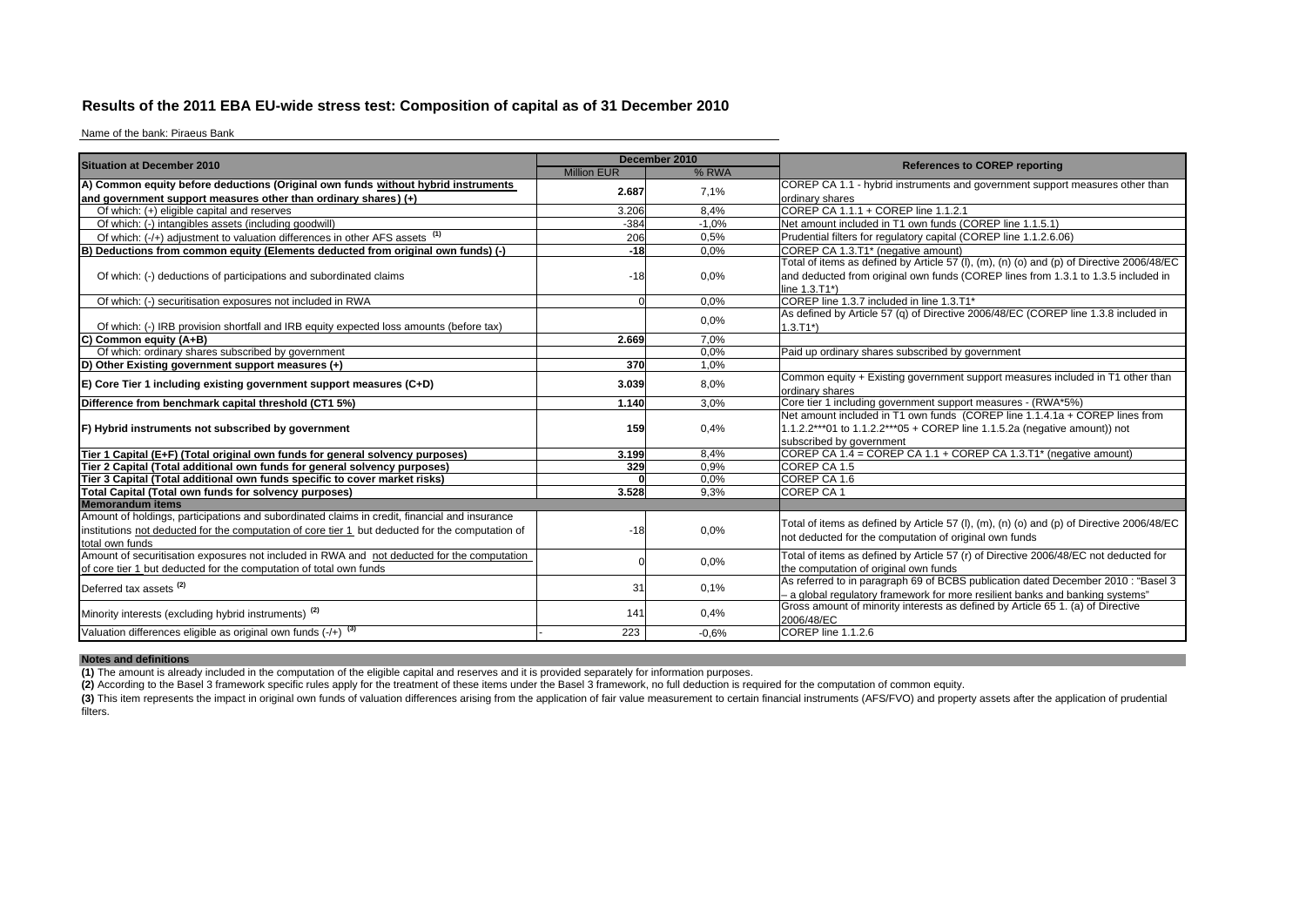## **Results of the 2011 EBA EU-wide stress test: Composition of capital as of 31 December 2010**

Name of the bank: Piraeus Bank

| <b>Situation at December 2010</b>                                                                                                                                                                                    |                    | December 2010 |                                                                                                                                                                                                 |
|----------------------------------------------------------------------------------------------------------------------------------------------------------------------------------------------------------------------|--------------------|---------------|-------------------------------------------------------------------------------------------------------------------------------------------------------------------------------------------------|
|                                                                                                                                                                                                                      | <b>Million EUR</b> | % RWA         | <b>References to COREP reporting</b>                                                                                                                                                            |
| A) Common equity before deductions (Original own funds without hybrid instruments                                                                                                                                    | 2.687              | 7.1%          | COREP CA 1.1 - hybrid instruments and government support measures other than                                                                                                                    |
| and government support measures other than ordinary shares) $(+)$                                                                                                                                                    |                    |               | ordinary shares                                                                                                                                                                                 |
| Of which: (+) eligible capital and reserves                                                                                                                                                                          | 3.206              | 8,4%          | COREP CA 1.1.1 + COREP line 1.1.2.1                                                                                                                                                             |
| Of which: (-) intangibles assets (including goodwill)                                                                                                                                                                | $-384$             | $-1.0%$       | Net amount included in T1 own funds (COREP line 1.1.5.1)                                                                                                                                        |
| Of which: (-/+) adjustment to valuation differences in other AFS assets (1)                                                                                                                                          | 206                | 0.5%          | Prudential filters for regulatory capital (COREP line 1.1.2.6.06)                                                                                                                               |
| IB<br>Deductions from common equity (Elements deducted from original own funds) (-)                                                                                                                                  | $-18$              | 0.0%          | COREP CA 1.3.T1* (negative amount)                                                                                                                                                              |
| Of which: (-) deductions of participations and subordinated claims                                                                                                                                                   | $-18$              | 0.0%          | Total of items as defined by Article 57 (I), (m), (n) (o) and (p) of Directive 2006/48/EC<br>and deducted from original own funds (COREP lines from 1.3.1 to 1.3.5 included in<br>line 1.3.T1*) |
| Of which: (-) securitisation exposures not included in RWA                                                                                                                                                           |                    | 0.0%          | COREP line 1.3.7 included in line 1.3.T1*                                                                                                                                                       |
| Of which: (-) IRB provision shortfall and IRB equity expected loss amounts (before tax)                                                                                                                              |                    | 0.0%          | As defined by Article 57 (q) of Directive 2006/48/EC (COREP line 1.3.8 included in<br>$1.3.T1*$ )                                                                                               |
| C)<br>Common equity (A+B)                                                                                                                                                                                            | 2.669              | 7.0%          |                                                                                                                                                                                                 |
| Of which: ordinary shares subscribed by government                                                                                                                                                                   |                    | 0.0%          | Paid up ordinary shares subscribed by government                                                                                                                                                |
| D) Other Existing government support measures (+)                                                                                                                                                                    | 370                | 1.0%          |                                                                                                                                                                                                 |
| $E$ ) Core Tier 1 including existing government support measures (C+D)                                                                                                                                               | 3.039              | 8,0%          | Common equity + Existing government support measures included in T1 other than<br>ordinary shares                                                                                               |
| Difference from benchmark capital threshold (CT1 5%)                                                                                                                                                                 | 1.140              | 3.0%          | Core tier 1 including government support measures - (RWA*5%)                                                                                                                                    |
| F) Hybrid instruments not subscribed by government                                                                                                                                                                   | 159                | 0,4%          | Net amount included in T1 own funds (COREP line 1.1.4.1a + COREP lines from<br>1.1.2.2***01 to 1.1.2.2***05 + COREP line 1.1.5.2a (negative amount)) not<br>subscribed by government            |
| Tier 1 Capital (E+F) (Total original own funds for general solvency purposes)                                                                                                                                        | 3.199              | 8.4%          | COREP CA 1.4 = COREP CA 1.1 + COREP CA 1.3.T1* (negative amount)                                                                                                                                |
| Tier 2 Capital (Total additional own funds for general solvency purposes)                                                                                                                                            | 329                | 0,9%          | COREP CA 1.5                                                                                                                                                                                    |
| Tier 3 Capital (Total additional own funds specific to cover market risks)                                                                                                                                           |                    | 0.0%          | COREP CA 1.6                                                                                                                                                                                    |
| Total Capital (Total own funds for solvency purposes)                                                                                                                                                                | 3.528              | 9.3%          | COREP CA 1                                                                                                                                                                                      |
| <b>Memorandum items</b>                                                                                                                                                                                              |                    |               |                                                                                                                                                                                                 |
| Amount of holdings, participations and subordinated claims in credit, financial and insurance<br>institutions not deducted for the computation of core tier 1 but deducted for the computation of<br>total own funds | $-18$              | 0.0%          | Total of items as defined by Article 57 (I), (m), (n) (o) and (p) of Directive 2006/48/EC<br>not deducted for the computation of original own funds                                             |
| Amount of securitisation exposures not included in RWA and not deducted for the computation<br>of core tier 1 but deducted for the computation of total own funds                                                    |                    | 0.0%          | Total of items as defined by Article 57 (r) of Directive 2006/48/EC not deducted for<br>the computation of original own funds                                                                   |
| Deferred tax assets <sup>(2)</sup>                                                                                                                                                                                   | 31                 | 0.1%          | As referred to in paragraph 69 of BCBS publication dated December 2010 : "Basel 3<br>- a global regulatory framework for more resilient banks and banking systems"                              |
| Minority interests (excluding hybrid instruments) <sup>(2)</sup>                                                                                                                                                     | 141                | 0,4%          | Gross amount of minority interests as defined by Article 65 1. (a) of Directive<br>2006/48/EC                                                                                                   |
| Valuation differences eligible as original own funds $(+)$ $(3)$                                                                                                                                                     | 223                | $-0.6%$       | COREP line 1.1.2.6                                                                                                                                                                              |

**Notes and definitions (1)** The amount is already included in the computation of the eligible capital and reserves and it is provided separately for information purposes.

**(2)** According to the Basel 3 framework specific rules apply for the treatment of these items under the Basel 3 framework, no full deduction is required for the computation of common equity.

(3) This item represents the impact in original own funds of valuation differences arising from the application of fair value measurement to certain financial instruments (AFS/FVO) and property assets after the application filters.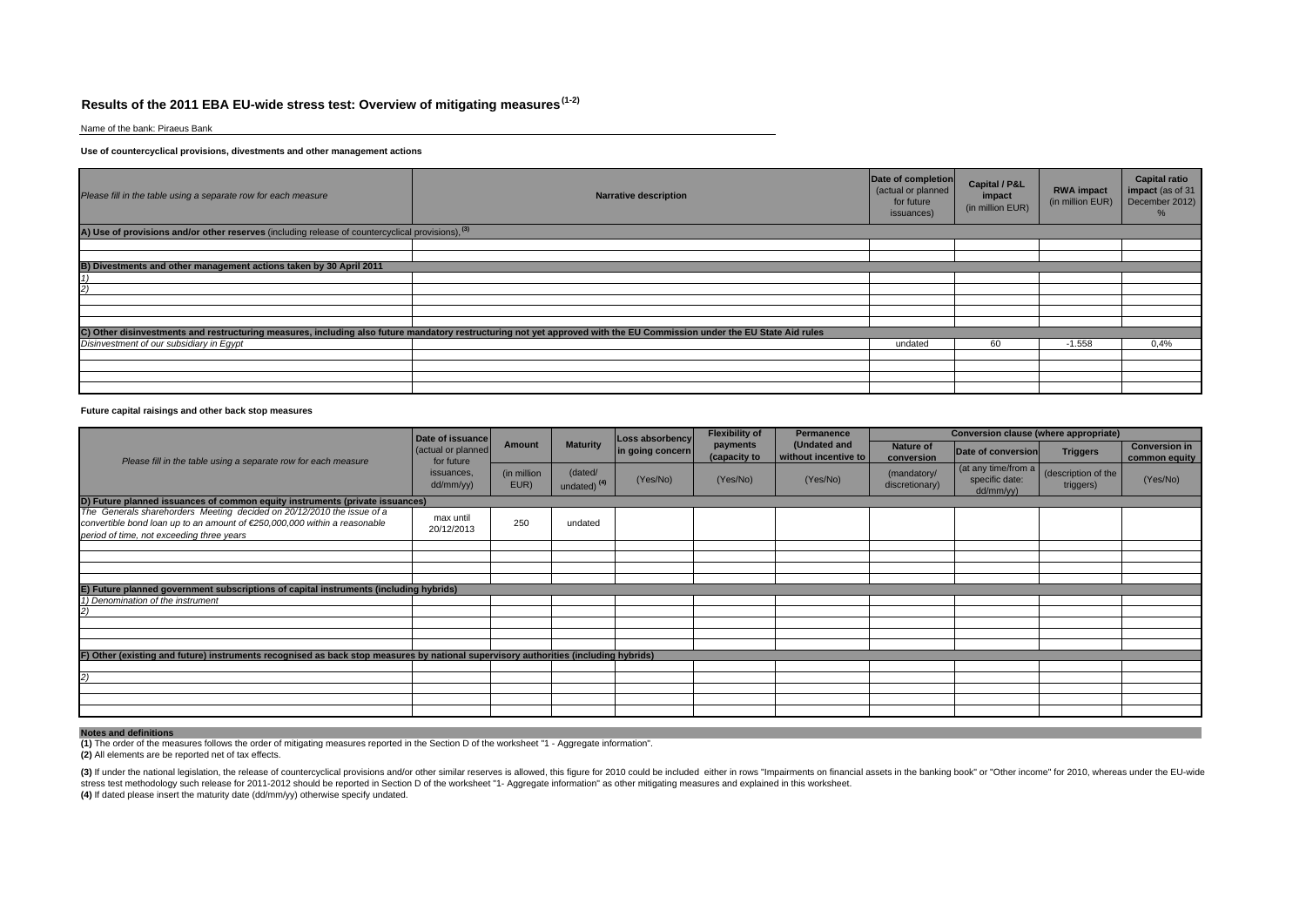## **Results of the 2011 EBA EU-wide stress test: Overview of mitigating measures (1-2)**

Name of the bank: Piraeus Bank

### **Use of countercyclical provisions, divestments and other management actions**

| Please fill in the table using a separate row for each measure                                               | <b>Narrative description</b>                                                                                                                                           | Date of completion<br>(actual or planned<br>for future<br>issuances) | <b>Capital / P&amp;L</b><br>impact<br>(in million EUR) | <b>RWA impact</b><br>(in million EUR) | <b>Capital ratio</b><br>impact (as of 31<br>December 2012) |
|--------------------------------------------------------------------------------------------------------------|------------------------------------------------------------------------------------------------------------------------------------------------------------------------|----------------------------------------------------------------------|--------------------------------------------------------|---------------------------------------|------------------------------------------------------------|
| A) Use of provisions and/or other reserves (including release of countercyclical provisions), <sup>(3)</sup> |                                                                                                                                                                        |                                                                      |                                                        |                                       |                                                            |
|                                                                                                              |                                                                                                                                                                        |                                                                      |                                                        |                                       |                                                            |
|                                                                                                              |                                                                                                                                                                        |                                                                      |                                                        |                                       |                                                            |
| B) Divestments and other management actions taken by 30 April 2011                                           |                                                                                                                                                                        |                                                                      |                                                        |                                       |                                                            |
|                                                                                                              |                                                                                                                                                                        |                                                                      |                                                        |                                       |                                                            |
|                                                                                                              |                                                                                                                                                                        |                                                                      |                                                        |                                       |                                                            |
|                                                                                                              |                                                                                                                                                                        |                                                                      |                                                        |                                       |                                                            |
|                                                                                                              |                                                                                                                                                                        |                                                                      |                                                        |                                       |                                                            |
|                                                                                                              |                                                                                                                                                                        |                                                                      |                                                        |                                       |                                                            |
|                                                                                                              | C) Other disinvestments and restructuring measures, including also future mandatory restructuring not yet approved with the EU Commission under the EU State Aid rules |                                                                      |                                                        |                                       |                                                            |
| Disinvestment of our subsidiary in Eqypt                                                                     |                                                                                                                                                                        | undated                                                              | 60                                                     | $-1.558$                              | 0,4%                                                       |
|                                                                                                              |                                                                                                                                                                        |                                                                      |                                                        |                                       |                                                            |
|                                                                                                              |                                                                                                                                                                        |                                                                      |                                                        |                                       |                                                            |
|                                                                                                              |                                                                                                                                                                        |                                                                      |                                                        |                                       |                                                            |
|                                                                                                              |                                                                                                                                                                        |                                                                      |                                                        |                                       |                                                            |

### **Future capital raisings and other back stop measures**

|                                                                                                                                                                                                  | Date of issuance                 |                     |                                    | Loss absorbency  |                          | <b>Flexibility of</b><br>Permanence  |                                | <b>Conversion clause (where appropriate)</b>         |                                  |                                       |  |  |
|--------------------------------------------------------------------------------------------------------------------------------------------------------------------------------------------------|----------------------------------|---------------------|------------------------------------|------------------|--------------------------|--------------------------------------|--------------------------------|------------------------------------------------------|----------------------------------|---------------------------------------|--|--|
| Please fill in the table using a separate row for each measure                                                                                                                                   | (actual or planned<br>for future | Amount              | <b>Maturity</b>                    | in going concern | payments<br>(capacity to | (Undated and<br>without incentive to | <b>Nature of</b><br>conversion | Date of conversion                                   | <b>Triggers</b>                  | <b>Conversion in</b><br>common equity |  |  |
|                                                                                                                                                                                                  | issuances,<br>dd/mm/yy)          | (in million<br>EUR) | (dated/<br>undated) <sup>(4)</sup> | (Yes/No)         | (Yes/No)                 | (Yes/No)                             | (mandatory/<br>discretionary)  | (at any time/from $a$<br>specific date:<br>dd/mm/yy) | (description of the<br>triggers) | (Yes/No)                              |  |  |
| D) Future planned issuances of common equity instruments (private issuances)                                                                                                                     |                                  |                     |                                    |                  |                          |                                      |                                |                                                      |                                  |                                       |  |  |
| The Generals sharehorders Meeting decided on 20/12/2010 the issue of a<br>convertible bond loan up to an amount of €250,000,000 within a reasonable<br>period of time, not exceeding three years | max until<br>20/12/2013          | 250                 | undated                            |                  |                          |                                      |                                |                                                      |                                  |                                       |  |  |
|                                                                                                                                                                                                  |                                  |                     |                                    |                  |                          |                                      |                                |                                                      |                                  |                                       |  |  |
|                                                                                                                                                                                                  |                                  |                     |                                    |                  |                          |                                      |                                |                                                      |                                  |                                       |  |  |
|                                                                                                                                                                                                  |                                  |                     |                                    |                  |                          |                                      |                                |                                                      |                                  |                                       |  |  |
| E) Future planned government subscriptions of capital instruments (including hybrids)                                                                                                            |                                  |                     |                                    |                  |                          |                                      |                                |                                                      |                                  |                                       |  |  |
| 1) Denomination of the instrument                                                                                                                                                                |                                  |                     |                                    |                  |                          |                                      |                                |                                                      |                                  |                                       |  |  |
|                                                                                                                                                                                                  |                                  |                     |                                    |                  |                          |                                      |                                |                                                      |                                  |                                       |  |  |
|                                                                                                                                                                                                  |                                  |                     |                                    |                  |                          |                                      |                                |                                                      |                                  |                                       |  |  |
|                                                                                                                                                                                                  |                                  |                     |                                    |                  |                          |                                      |                                |                                                      |                                  |                                       |  |  |
|                                                                                                                                                                                                  |                                  |                     |                                    |                  |                          |                                      |                                |                                                      |                                  |                                       |  |  |
| F) Other (existing and future) instruments recognised as back stop measures by national supervisory authorities (including hybrids)                                                              |                                  |                     |                                    |                  |                          |                                      |                                |                                                      |                                  |                                       |  |  |
|                                                                                                                                                                                                  |                                  |                     |                                    |                  |                          |                                      |                                |                                                      |                                  |                                       |  |  |
|                                                                                                                                                                                                  |                                  |                     |                                    |                  |                          |                                      |                                |                                                      |                                  |                                       |  |  |
|                                                                                                                                                                                                  |                                  |                     |                                    |                  |                          |                                      |                                |                                                      |                                  |                                       |  |  |
|                                                                                                                                                                                                  |                                  |                     |                                    |                  |                          |                                      |                                |                                                      |                                  |                                       |  |  |
|                                                                                                                                                                                                  |                                  |                     |                                    |                  |                          |                                      |                                |                                                      |                                  |                                       |  |  |

**Notes and definitions (1)** The order of the measures follows the order of mitigating measures reported in the Section D of the worksheet "1 - Aggregate information".

**(2)** All elements are be reported net of tax effects.

(3) If under the national legislation, the release of countercyclical provisions and/or other similar reserves is allowed, this figure for 2010 could be included either in rows "Impairments on financial assets in the banki **(4)** If dated please insert the maturity date (dd/mm/yy) otherwise specify undated.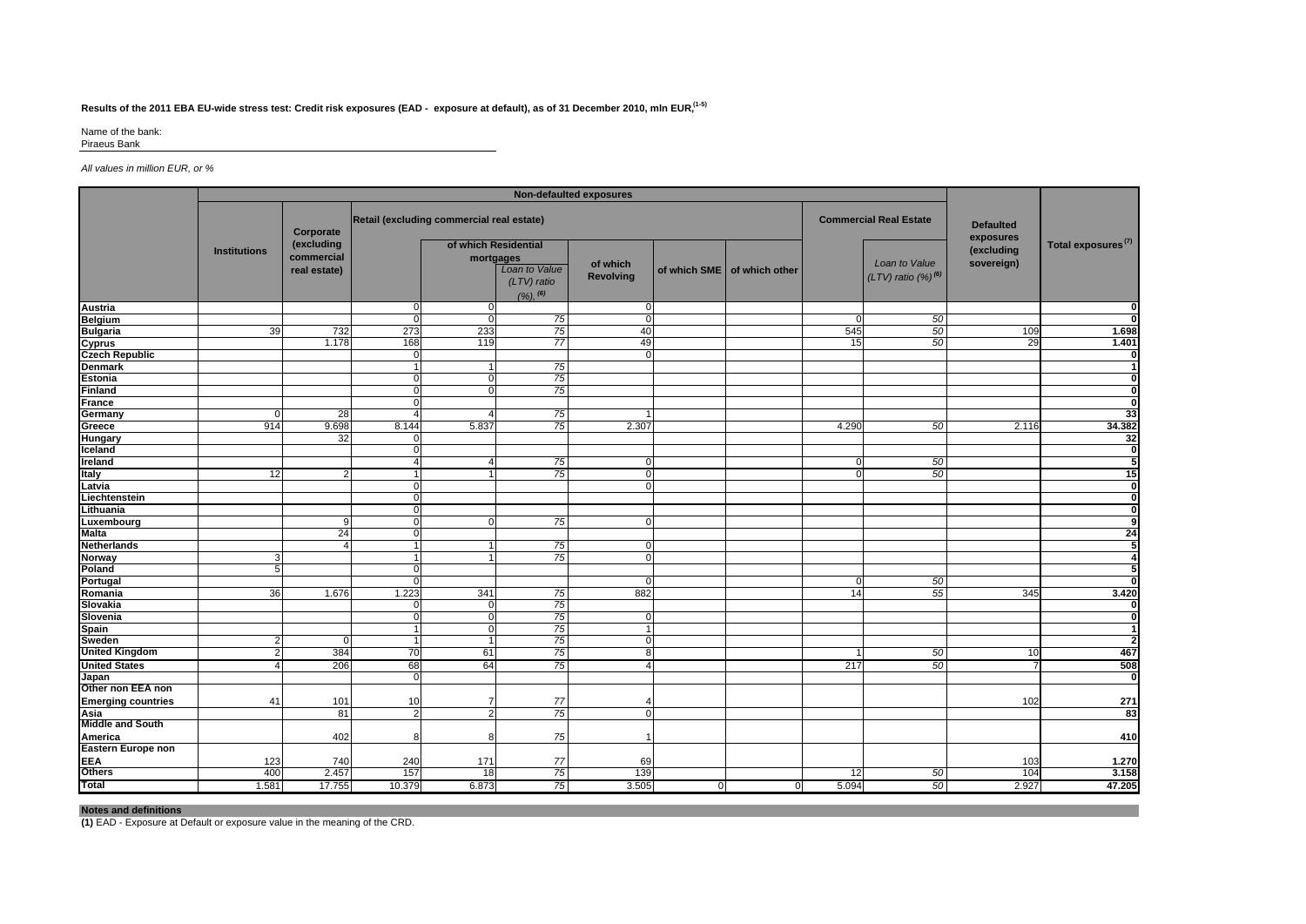## **Results of the 2011 EBA EU-wide stress test: Credit risk exposures (EAD - exposure at default), as of 31 December 2010, mln EUR, (1-5)**

Name of the bank:

Piraeus Bank

### *All values in million EUR, or %*

| Retail (excluding commercial real estate)<br><b>Commercial Real Estate</b><br><b>Defaulted</b><br>Corporate<br>exposures<br>Total exposures <sup>(7)</sup><br>(excluding<br>of which Residential<br>(excluding<br><b>Institutions</b><br>commercial<br>mortgages<br>Loan to Value<br>of which<br>sovereign)<br>Loan to Value<br>of which SME   of which other<br>real estate)<br>$(LTV)$ ratio $(\%)^{(6)}$<br><b>Revolving</b><br>$(LTV)$ ratio<br>$(%)$ , $^{(6)}$<br>$\mathbf 0$<br>$\mathbf 0$<br>$\Omega$<br>$\mathbf 0$<br>75<br>$\overline{0}$<br>50<br>$\Omega$<br>$\Omega$<br>39<br>732<br>273<br>233<br>75<br>40<br>50<br>545<br>109<br>$\overline{77}$<br>1.178<br>168<br>119<br>49<br>15<br>50<br>29<br>$\overline{0}$<br>$\Omega$<br>75<br>-1<br>75<br>$\overline{0}$<br>75<br>$\mathbf 0$<br>75<br>28<br>4<br>75<br>914<br>9.698<br>8.144<br>5.837<br>2.307<br>4.290<br>50<br>2.116<br>32<br>75<br>50<br>$\overline{4}$<br>$\mathbf 0$<br>$\mathbf{0}$<br>75<br>50<br>12<br>$\mathbf 0$<br>$\mathcal{P}$<br>$\mathbf{0}$<br>-1<br>$\overline{0}$<br>$\Omega$<br>Liechtenstein<br>$\Omega$<br><sup>n</sup><br>$\overline{0}$<br>75<br>9<br>$\mathbf 0$<br>$\Omega$<br>24<br>$\Omega$<br>75<br>$\mathbf 0$<br>4<br>75<br>$\overline{0}$<br>3<br>5<br>50<br>$\Omega$<br>1.223<br>341<br>882<br>36<br>1.676<br>75<br>14<br>55<br>345<br>75<br>$\mathbf 0$<br>75<br>$\overline{0}$<br>$\Omega$<br>75<br>$\overline{0}$<br>$\mathbf{1}$<br>75<br>$\overline{0}$<br>$\overline{1}$<br>2<br>$\Omega$<br>75<br>384<br>70<br>61<br>50<br>8<br>2<br>10<br>1<br>75<br>206<br>68<br>64<br>50<br>4<br>217<br>Δ<br>$\Omega$<br>Other non EEA non<br>77<br>101<br>102<br>41<br>10<br>7<br>75<br>81<br>$\overline{2}$<br>$\overline{0}$<br>2<br>75<br>402<br>8<br>8<br>1<br>123<br>740<br>240<br>171<br>77<br>103<br>69<br>75<br>400<br>2.457<br>157<br>139<br>50<br>104<br>18<br>$12 \,$<br>1.581<br>17.755<br>10.379<br>6.873<br>75<br>3.505<br>5.094<br>50<br>2.927<br>$\mathbf{0}$<br>-0 |                           | Non-defaulted exposures |  |  |  |  |  |  |  |  |  |  |                         |  |
|-------------------------------------------------------------------------------------------------------------------------------------------------------------------------------------------------------------------------------------------------------------------------------------------------------------------------------------------------------------------------------------------------------------------------------------------------------------------------------------------------------------------------------------------------------------------------------------------------------------------------------------------------------------------------------------------------------------------------------------------------------------------------------------------------------------------------------------------------------------------------------------------------------------------------------------------------------------------------------------------------------------------------------------------------------------------------------------------------------------------------------------------------------------------------------------------------------------------------------------------------------------------------------------------------------------------------------------------------------------------------------------------------------------------------------------------------------------------------------------------------------------------------------------------------------------------------------------------------------------------------------------------------------------------------------------------------------------------------------------------------------------------------------------------------------------------------------------------------------------------------------------------------------------------------------------------------------------------------------------------|---------------------------|-------------------------|--|--|--|--|--|--|--|--|--|--|-------------------------|--|
|                                                                                                                                                                                                                                                                                                                                                                                                                                                                                                                                                                                                                                                                                                                                                                                                                                                                                                                                                                                                                                                                                                                                                                                                                                                                                                                                                                                                                                                                                                                                                                                                                                                                                                                                                                                                                                                                                                                                                                                           |                           |                         |  |  |  |  |  |  |  |  |  |  |                         |  |
|                                                                                                                                                                                                                                                                                                                                                                                                                                                                                                                                                                                                                                                                                                                                                                                                                                                                                                                                                                                                                                                                                                                                                                                                                                                                                                                                                                                                                                                                                                                                                                                                                                                                                                                                                                                                                                                                                                                                                                                           |                           |                         |  |  |  |  |  |  |  |  |  |  |                         |  |
|                                                                                                                                                                                                                                                                                                                                                                                                                                                                                                                                                                                                                                                                                                                                                                                                                                                                                                                                                                                                                                                                                                                                                                                                                                                                                                                                                                                                                                                                                                                                                                                                                                                                                                                                                                                                                                                                                                                                                                                           | <b>Austria</b>            |                         |  |  |  |  |  |  |  |  |  |  | $\mathbf{0}$            |  |
|                                                                                                                                                                                                                                                                                                                                                                                                                                                                                                                                                                                                                                                                                                                                                                                                                                                                                                                                                                                                                                                                                                                                                                                                                                                                                                                                                                                                                                                                                                                                                                                                                                                                                                                                                                                                                                                                                                                                                                                           | <b>Belgium</b>            |                         |  |  |  |  |  |  |  |  |  |  | <sub>0</sub>            |  |
|                                                                                                                                                                                                                                                                                                                                                                                                                                                                                                                                                                                                                                                                                                                                                                                                                                                                                                                                                                                                                                                                                                                                                                                                                                                                                                                                                                                                                                                                                                                                                                                                                                                                                                                                                                                                                                                                                                                                                                                           | <b>Bulgaria</b>           |                         |  |  |  |  |  |  |  |  |  |  | 1.698                   |  |
|                                                                                                                                                                                                                                                                                                                                                                                                                                                                                                                                                                                                                                                                                                                                                                                                                                                                                                                                                                                                                                                                                                                                                                                                                                                                                                                                                                                                                                                                                                                                                                                                                                                                                                                                                                                                                                                                                                                                                                                           | <b>Cyprus</b>             |                         |  |  |  |  |  |  |  |  |  |  | 1.401                   |  |
|                                                                                                                                                                                                                                                                                                                                                                                                                                                                                                                                                                                                                                                                                                                                                                                                                                                                                                                                                                                                                                                                                                                                                                                                                                                                                                                                                                                                                                                                                                                                                                                                                                                                                                                                                                                                                                                                                                                                                                                           | <b>Czech Republic</b>     |                         |  |  |  |  |  |  |  |  |  |  | $\mathbf{0}$            |  |
|                                                                                                                                                                                                                                                                                                                                                                                                                                                                                                                                                                                                                                                                                                                                                                                                                                                                                                                                                                                                                                                                                                                                                                                                                                                                                                                                                                                                                                                                                                                                                                                                                                                                                                                                                                                                                                                                                                                                                                                           | <b>Denmark</b>            |                         |  |  |  |  |  |  |  |  |  |  | $\mathbf{1}$            |  |
|                                                                                                                                                                                                                                                                                                                                                                                                                                                                                                                                                                                                                                                                                                                                                                                                                                                                                                                                                                                                                                                                                                                                                                                                                                                                                                                                                                                                                                                                                                                                                                                                                                                                                                                                                                                                                                                                                                                                                                                           | <b>Estonia</b>            |                         |  |  |  |  |  |  |  |  |  |  | ō                       |  |
|                                                                                                                                                                                                                                                                                                                                                                                                                                                                                                                                                                                                                                                                                                                                                                                                                                                                                                                                                                                                                                                                                                                                                                                                                                                                                                                                                                                                                                                                                                                                                                                                                                                                                                                                                                                                                                                                                                                                                                                           | <b>Finland</b>            |                         |  |  |  |  |  |  |  |  |  |  | $\overline{0}$          |  |
|                                                                                                                                                                                                                                                                                                                                                                                                                                                                                                                                                                                                                                                                                                                                                                                                                                                                                                                                                                                                                                                                                                                                                                                                                                                                                                                                                                                                                                                                                                                                                                                                                                                                                                                                                                                                                                                                                                                                                                                           | <b>France</b>             |                         |  |  |  |  |  |  |  |  |  |  | $\overline{0}$          |  |
|                                                                                                                                                                                                                                                                                                                                                                                                                                                                                                                                                                                                                                                                                                                                                                                                                                                                                                                                                                                                                                                                                                                                                                                                                                                                                                                                                                                                                                                                                                                                                                                                                                                                                                                                                                                                                                                                                                                                                                                           | Germany                   |                         |  |  |  |  |  |  |  |  |  |  | 33                      |  |
|                                                                                                                                                                                                                                                                                                                                                                                                                                                                                                                                                                                                                                                                                                                                                                                                                                                                                                                                                                                                                                                                                                                                                                                                                                                                                                                                                                                                                                                                                                                                                                                                                                                                                                                                                                                                                                                                                                                                                                                           | Greece                    |                         |  |  |  |  |  |  |  |  |  |  | 34.382                  |  |
|                                                                                                                                                                                                                                                                                                                                                                                                                                                                                                                                                                                                                                                                                                                                                                                                                                                                                                                                                                                                                                                                                                                                                                                                                                                                                                                                                                                                                                                                                                                                                                                                                                                                                                                                                                                                                                                                                                                                                                                           | Hungary                   |                         |  |  |  |  |  |  |  |  |  |  | 32                      |  |
|                                                                                                                                                                                                                                                                                                                                                                                                                                                                                                                                                                                                                                                                                                                                                                                                                                                                                                                                                                                                                                                                                                                                                                                                                                                                                                                                                                                                                                                                                                                                                                                                                                                                                                                                                                                                                                                                                                                                                                                           | Iceland                   |                         |  |  |  |  |  |  |  |  |  |  | $\mathbf{0}$            |  |
|                                                                                                                                                                                                                                                                                                                                                                                                                                                                                                                                                                                                                                                                                                                                                                                                                                                                                                                                                                                                                                                                                                                                                                                                                                                                                                                                                                                                                                                                                                                                                                                                                                                                                                                                                                                                                                                                                                                                                                                           | Ireland                   |                         |  |  |  |  |  |  |  |  |  |  | 5                       |  |
|                                                                                                                                                                                                                                                                                                                                                                                                                                                                                                                                                                                                                                                                                                                                                                                                                                                                                                                                                                                                                                                                                                                                                                                                                                                                                                                                                                                                                                                                                                                                                                                                                                                                                                                                                                                                                                                                                                                                                                                           | Italy                     |                         |  |  |  |  |  |  |  |  |  |  | 15                      |  |
|                                                                                                                                                                                                                                                                                                                                                                                                                                                                                                                                                                                                                                                                                                                                                                                                                                                                                                                                                                                                                                                                                                                                                                                                                                                                                                                                                                                                                                                                                                                                                                                                                                                                                                                                                                                                                                                                                                                                                                                           | Latvia                    |                         |  |  |  |  |  |  |  |  |  |  | $\overline{\mathbf{0}}$ |  |
|                                                                                                                                                                                                                                                                                                                                                                                                                                                                                                                                                                                                                                                                                                                                                                                                                                                                                                                                                                                                                                                                                                                                                                                                                                                                                                                                                                                                                                                                                                                                                                                                                                                                                                                                                                                                                                                                                                                                                                                           |                           |                         |  |  |  |  |  |  |  |  |  |  | ō                       |  |
|                                                                                                                                                                                                                                                                                                                                                                                                                                                                                                                                                                                                                                                                                                                                                                                                                                                                                                                                                                                                                                                                                                                                                                                                                                                                                                                                                                                                                                                                                                                                                                                                                                                                                                                                                                                                                                                                                                                                                                                           | Lithuania                 |                         |  |  |  |  |  |  |  |  |  |  | $\mathbf{0}$            |  |
|                                                                                                                                                                                                                                                                                                                                                                                                                                                                                                                                                                                                                                                                                                                                                                                                                                                                                                                                                                                                                                                                                                                                                                                                                                                                                                                                                                                                                                                                                                                                                                                                                                                                                                                                                                                                                                                                                                                                                                                           | Luxembourg                |                         |  |  |  |  |  |  |  |  |  |  | 9                       |  |
|                                                                                                                                                                                                                                                                                                                                                                                                                                                                                                                                                                                                                                                                                                                                                                                                                                                                                                                                                                                                                                                                                                                                                                                                                                                                                                                                                                                                                                                                                                                                                                                                                                                                                                                                                                                                                                                                                                                                                                                           | <b>Malta</b>              |                         |  |  |  |  |  |  |  |  |  |  | 24                      |  |
|                                                                                                                                                                                                                                                                                                                                                                                                                                                                                                                                                                                                                                                                                                                                                                                                                                                                                                                                                                                                                                                                                                                                                                                                                                                                                                                                                                                                                                                                                                                                                                                                                                                                                                                                                                                                                                                                                                                                                                                           | Netherlands               |                         |  |  |  |  |  |  |  |  |  |  | 5                       |  |
|                                                                                                                                                                                                                                                                                                                                                                                                                                                                                                                                                                                                                                                                                                                                                                                                                                                                                                                                                                                                                                                                                                                                                                                                                                                                                                                                                                                                                                                                                                                                                                                                                                                                                                                                                                                                                                                                                                                                                                                           | <b>Norway</b>             |                         |  |  |  |  |  |  |  |  |  |  | 4                       |  |
|                                                                                                                                                                                                                                                                                                                                                                                                                                                                                                                                                                                                                                                                                                                                                                                                                                                                                                                                                                                                                                                                                                                                                                                                                                                                                                                                                                                                                                                                                                                                                                                                                                                                                                                                                                                                                                                                                                                                                                                           | Poland                    |                         |  |  |  |  |  |  |  |  |  |  | 5                       |  |
|                                                                                                                                                                                                                                                                                                                                                                                                                                                                                                                                                                                                                                                                                                                                                                                                                                                                                                                                                                                                                                                                                                                                                                                                                                                                                                                                                                                                                                                                                                                                                                                                                                                                                                                                                                                                                                                                                                                                                                                           | Portugal                  |                         |  |  |  |  |  |  |  |  |  |  | ΩI                      |  |
|                                                                                                                                                                                                                                                                                                                                                                                                                                                                                                                                                                                                                                                                                                                                                                                                                                                                                                                                                                                                                                                                                                                                                                                                                                                                                                                                                                                                                                                                                                                                                                                                                                                                                                                                                                                                                                                                                                                                                                                           | Romania                   |                         |  |  |  |  |  |  |  |  |  |  | 3.420                   |  |
|                                                                                                                                                                                                                                                                                                                                                                                                                                                                                                                                                                                                                                                                                                                                                                                                                                                                                                                                                                                                                                                                                                                                                                                                                                                                                                                                                                                                                                                                                                                                                                                                                                                                                                                                                                                                                                                                                                                                                                                           | Slovakia                  |                         |  |  |  |  |  |  |  |  |  |  | $\mathbf{0}$            |  |
|                                                                                                                                                                                                                                                                                                                                                                                                                                                                                                                                                                                                                                                                                                                                                                                                                                                                                                                                                                                                                                                                                                                                                                                                                                                                                                                                                                                                                                                                                                                                                                                                                                                                                                                                                                                                                                                                                                                                                                                           | Slovenia                  |                         |  |  |  |  |  |  |  |  |  |  | $\overline{\mathbf{0}}$ |  |
|                                                                                                                                                                                                                                                                                                                                                                                                                                                                                                                                                                                                                                                                                                                                                                                                                                                                                                                                                                                                                                                                                                                                                                                                                                                                                                                                                                                                                                                                                                                                                                                                                                                                                                                                                                                                                                                                                                                                                                                           | Spain                     |                         |  |  |  |  |  |  |  |  |  |  | $\mathbf{1}$            |  |
|                                                                                                                                                                                                                                                                                                                                                                                                                                                                                                                                                                                                                                                                                                                                                                                                                                                                                                                                                                                                                                                                                                                                                                                                                                                                                                                                                                                                                                                                                                                                                                                                                                                                                                                                                                                                                                                                                                                                                                                           | <b>Sweden</b>             |                         |  |  |  |  |  |  |  |  |  |  | $\overline{\mathbf{2}}$ |  |
|                                                                                                                                                                                                                                                                                                                                                                                                                                                                                                                                                                                                                                                                                                                                                                                                                                                                                                                                                                                                                                                                                                                                                                                                                                                                                                                                                                                                                                                                                                                                                                                                                                                                                                                                                                                                                                                                                                                                                                                           | <b>United Kingdom</b>     |                         |  |  |  |  |  |  |  |  |  |  | 467                     |  |
|                                                                                                                                                                                                                                                                                                                                                                                                                                                                                                                                                                                                                                                                                                                                                                                                                                                                                                                                                                                                                                                                                                                                                                                                                                                                                                                                                                                                                                                                                                                                                                                                                                                                                                                                                                                                                                                                                                                                                                                           | <b>United States</b>      |                         |  |  |  |  |  |  |  |  |  |  | 508                     |  |
|                                                                                                                                                                                                                                                                                                                                                                                                                                                                                                                                                                                                                                                                                                                                                                                                                                                                                                                                                                                                                                                                                                                                                                                                                                                                                                                                                                                                                                                                                                                                                                                                                                                                                                                                                                                                                                                                                                                                                                                           | Japan                     |                         |  |  |  |  |  |  |  |  |  |  | 0                       |  |
|                                                                                                                                                                                                                                                                                                                                                                                                                                                                                                                                                                                                                                                                                                                                                                                                                                                                                                                                                                                                                                                                                                                                                                                                                                                                                                                                                                                                                                                                                                                                                                                                                                                                                                                                                                                                                                                                                                                                                                                           |                           |                         |  |  |  |  |  |  |  |  |  |  |                         |  |
|                                                                                                                                                                                                                                                                                                                                                                                                                                                                                                                                                                                                                                                                                                                                                                                                                                                                                                                                                                                                                                                                                                                                                                                                                                                                                                                                                                                                                                                                                                                                                                                                                                                                                                                                                                                                                                                                                                                                                                                           | <b>Emerging countries</b> |                         |  |  |  |  |  |  |  |  |  |  | 271                     |  |
|                                                                                                                                                                                                                                                                                                                                                                                                                                                                                                                                                                                                                                                                                                                                                                                                                                                                                                                                                                                                                                                                                                                                                                                                                                                                                                                                                                                                                                                                                                                                                                                                                                                                                                                                                                                                                                                                                                                                                                                           | Asia                      |                         |  |  |  |  |  |  |  |  |  |  | 83                      |  |
|                                                                                                                                                                                                                                                                                                                                                                                                                                                                                                                                                                                                                                                                                                                                                                                                                                                                                                                                                                                                                                                                                                                                                                                                                                                                                                                                                                                                                                                                                                                                                                                                                                                                                                                                                                                                                                                                                                                                                                                           | <b>Middle and South</b>   |                         |  |  |  |  |  |  |  |  |  |  |                         |  |
|                                                                                                                                                                                                                                                                                                                                                                                                                                                                                                                                                                                                                                                                                                                                                                                                                                                                                                                                                                                                                                                                                                                                                                                                                                                                                                                                                                                                                                                                                                                                                                                                                                                                                                                                                                                                                                                                                                                                                                                           | America                   |                         |  |  |  |  |  |  |  |  |  |  | 410                     |  |
|                                                                                                                                                                                                                                                                                                                                                                                                                                                                                                                                                                                                                                                                                                                                                                                                                                                                                                                                                                                                                                                                                                                                                                                                                                                                                                                                                                                                                                                                                                                                                                                                                                                                                                                                                                                                                                                                                                                                                                                           | <b>Eastern Europe non</b> |                         |  |  |  |  |  |  |  |  |  |  |                         |  |
|                                                                                                                                                                                                                                                                                                                                                                                                                                                                                                                                                                                                                                                                                                                                                                                                                                                                                                                                                                                                                                                                                                                                                                                                                                                                                                                                                                                                                                                                                                                                                                                                                                                                                                                                                                                                                                                                                                                                                                                           | <b>EEA</b>                |                         |  |  |  |  |  |  |  |  |  |  | 1.270                   |  |
|                                                                                                                                                                                                                                                                                                                                                                                                                                                                                                                                                                                                                                                                                                                                                                                                                                                                                                                                                                                                                                                                                                                                                                                                                                                                                                                                                                                                                                                                                                                                                                                                                                                                                                                                                                                                                                                                                                                                                                                           | <b>Others</b>             |                         |  |  |  |  |  |  |  |  |  |  | 3.158                   |  |
|                                                                                                                                                                                                                                                                                                                                                                                                                                                                                                                                                                                                                                                                                                                                                                                                                                                                                                                                                                                                                                                                                                                                                                                                                                                                                                                                                                                                                                                                                                                                                                                                                                                                                                                                                                                                                                                                                                                                                                                           | <b>Total</b>              |                         |  |  |  |  |  |  |  |  |  |  | 47.205                  |  |

**Notes and definitions (1)** EAD - Exposure at Default or exposure value in the meaning of the CRD.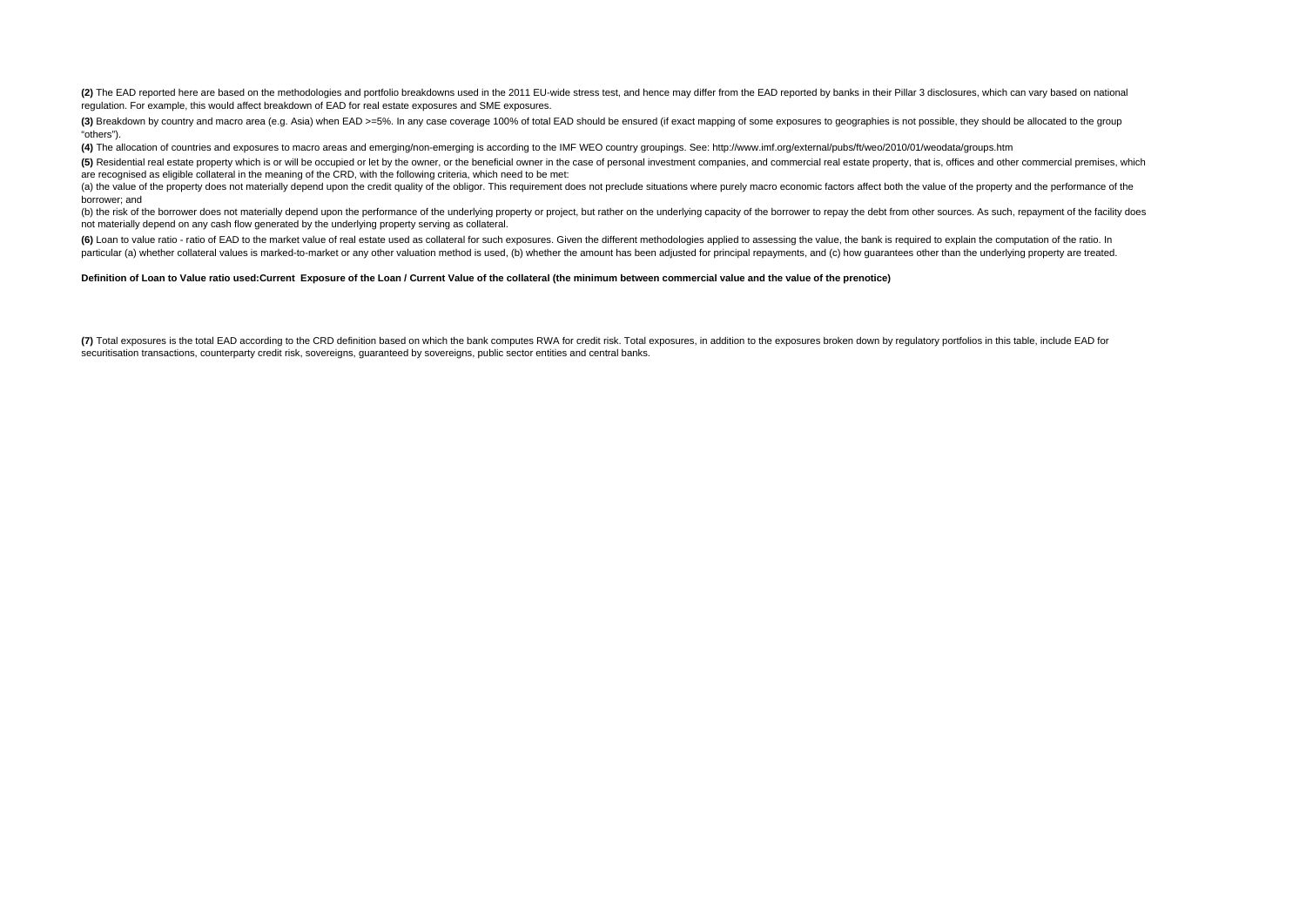(2) The EAD reported here are based on the methodologies and portfolio breakdowns used in the 2011 EU-wide stress test, and hence may differ from the EAD reported by banks in their Pillar 3 disclosures, which can vary base regulation. For example, this would affect breakdown of EAD for real estate exposures and SME exposures.

(3) Breakdown by country and macro area (e.g. Asia) when EAD >=5%. In any case coverage 100% of total EAD should be ensured (if exact mapping of some exposures to geographies is not possible, they should be allocated to th "others").

**(4)** The allocation of countries and exposures to macro areas and emerging/non-emerging is according to the IMF WEO country groupings. See: http://www.imf.org/external/pubs/ft/weo/2010/01/weodata/groups.htm

(5) Residential real estate property which is or will be occupied or let by the owner, or the beneficial owner in the case of personal investment companies, and commercial real estate property, that is, offices and other c are recognised as eligible collateral in the meaning of the CRD, with the following criteria, which need to be met:

(a) the value of the property does not materially depend upon the credit quality of the obligor. This requirement does not preclude situations where purely macro economic factors affect both the value of the property and t borrower; and

(b) the risk of the borrower does not materially depend upon the performance of the underlying property or project, but rather on the underlying capacity of the borrower to repay the debt from other sources. As such, repay not materially depend on any cash flow generated by the underlying property serving as collateral.

(6) Loan to value ratio - ratio of EAD to the market value of real estate used as collateral for such exposures. Given the different methodologies applied to assessing the value, the bank is required to explain the computa particular (a) whether collateral values is marked-to-market or any other valuation method is used (b) whether the amount has been adjusted for principal repayments, and (c) how quarantees other than the underlying propert

### **Definition of Loan to Value ratio used:Current Exposure of the Loan / Current Value of the collateral (the minimum between commercial value and the value of the prenotice)**

(7) Total exposures is the total EAD according to the CRD definition based on which the bank computes RWA for credit risk. Total exposures, in addition to the exposures broken down by regulatory portfolios in this table, i securitisation transactions, counterparty credit risk, sovereigns, guaranteed by sovereigns, public sector entities and central banks.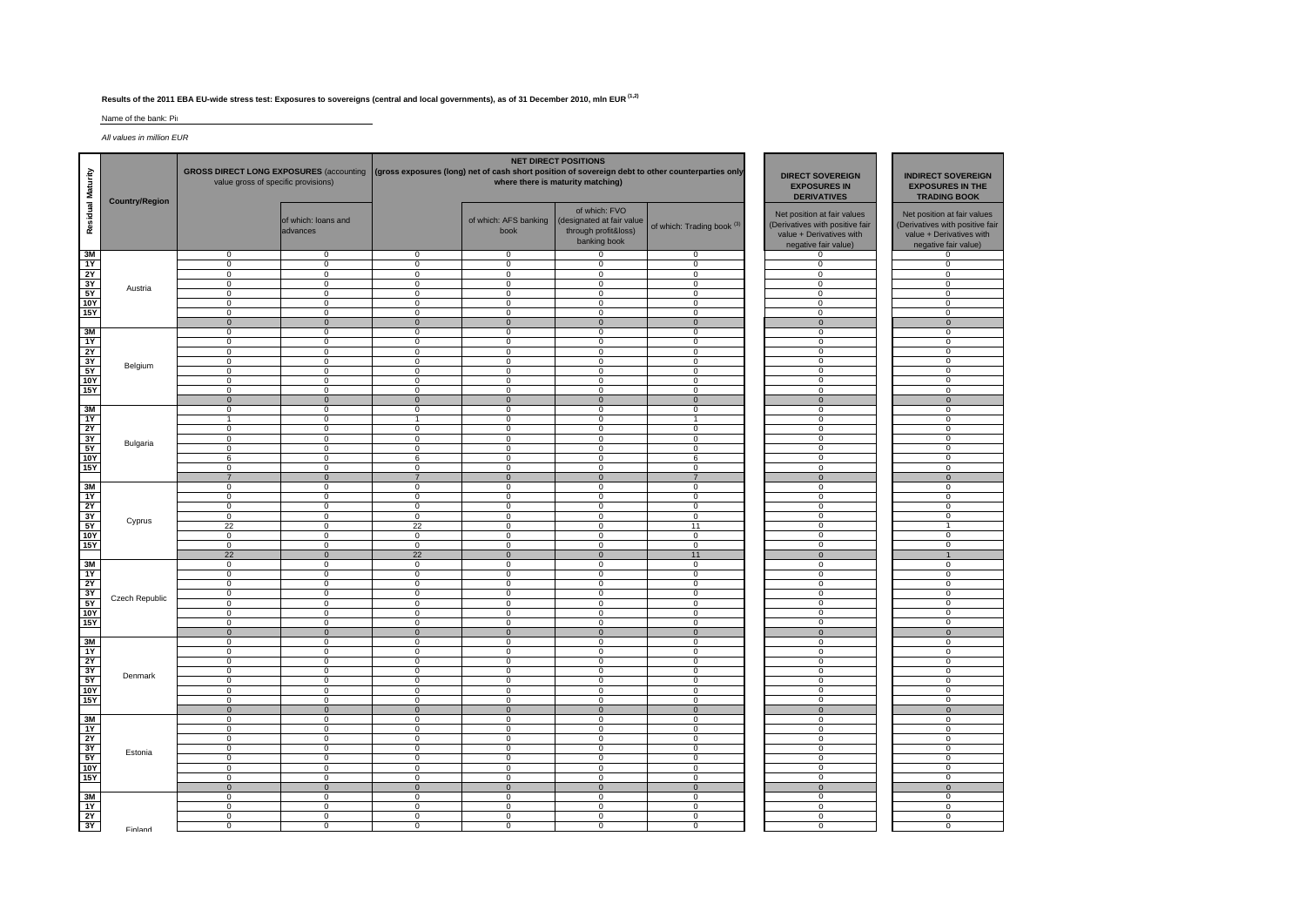## **Results of the 2011 EBA EU-wide stress test: Exposures to sovereigns (central and local governments), as of 31 December 2010, mln EUR (1,2)**

### Name of the bank: Pir

*All values in million EUR*

| Residual Maturity                                           | <b>Country/Region</b> | GROSS DIRECT LONG EXPOSURES (accounting (gross exposures (long) net of cash short position of sovereign debt to other counterparties only<br>value gross of specific provisions) |                                  |                               | <b>NET DIRECT POSITIONS</b><br>where there is maturity matching) | <b>DIRECT SOVEREIGN</b><br><b>EXPOSURES IN</b><br><b>DERIVATIVES</b>               | <b>INDIRECT SOVEREIGN</b><br><b>EXPOSURES IN THE</b><br><b>TRADING BOOK</b> |                                                                                                                    |             |                                                                                                                    |
|-------------------------------------------------------------|-----------------------|----------------------------------------------------------------------------------------------------------------------------------------------------------------------------------|----------------------------------|-------------------------------|------------------------------------------------------------------|------------------------------------------------------------------------------------|-----------------------------------------------------------------------------|--------------------------------------------------------------------------------------------------------------------|-------------|--------------------------------------------------------------------------------------------------------------------|
|                                                             |                       |                                                                                                                                                                                  | of which: loans and<br>advances  |                               | of which: AFS banking<br>book                                    | of which: FVO<br>(designated at fair value<br>through profit&loss)<br>banking book | of which: Trading book <sup>(3)</sup>                                       | Net position at fair values<br>(Derivatives with positive fair<br>value + Derivatives with<br>negative fair value) |             | Net position at fair values<br>(Derivatives with positive fair<br>value + Derivatives with<br>negative fair value) |
| 3M                                                          |                       | $\overline{0}$                                                                                                                                                                   | 0                                | $\mathbf 0$                   | $\overline{0}$                                                   | $\overline{0}$                                                                     | 0                                                                           | $\mathbf{0}$                                                                                                       |             | $\mathbf{0}$                                                                                                       |
| 1Y                                                          | Austria               | $\mathbf 0$                                                                                                                                                                      | $\mathbf 0$                      | $\mathbf 0$                   | $\mathbf 0$                                                      | $\mathbf 0$                                                                        | $\mathbf 0$                                                                 | 0                                                                                                                  |             | 0                                                                                                                  |
| 2Y<br>3Y                                                    |                       | $^{\circ}$<br>$\overline{0}$                                                                                                                                                     | $\mathbf 0$<br>$\overline{0}$    | $\mathbf 0$<br>$\overline{0}$ | $\mathbf{0}$<br>$\overline{0}$                                   | $^{\circ}$<br>$\overline{0}$                                                       | $\mathbf 0$<br>$\overline{0}$                                               | $\mathbf 0$<br>$\overline{0}$                                                                                      |             | $\mathbf 0$<br>$\overline{0}$                                                                                      |
| 5Y                                                          |                       | $\overline{0}$                                                                                                                                                                   | $\mathbf 0$                      | $\mathbf 0$                   | $\overline{0}$                                                   | $\overline{0}$                                                                     | $\overline{0}$                                                              | $\overline{0}$                                                                                                     |             | $\mathbf 0$                                                                                                        |
| <b>10Y</b>                                                  |                       | $\mathbf 0$                                                                                                                                                                      | $\mathbf 0$                      | $\mathbf 0$                   | $\mathbf 0$                                                      | $\mathbf 0$                                                                        | 0                                                                           | $\mathbf 0$                                                                                                        |             | $\mathbf 0$                                                                                                        |
| <b>15Y</b>                                                  |                       | $\overline{0}$                                                                                                                                                                   | $\overline{0}$                   | $\overline{0}$                | $\overline{0}$                                                   | $\mathbf 0$                                                                        | $\overline{0}$                                                              | $\overline{0}$                                                                                                     |             | $\overline{0}$                                                                                                     |
|                                                             |                       | $\mathbf{0}$                                                                                                                                                                     | $\mathbf{0}$                     | $\mathbf{0}$                  | $\overline{0}$                                                   | $\mathbf{0}$                                                                       | $\mathbf{0}$                                                                | $\overline{0}$                                                                                                     |             | $\Omega$                                                                                                           |
| 3M                                                          |                       | 0                                                                                                                                                                                | 0                                | 0                             | $\mathbf 0$                                                      | 0                                                                                  | 0                                                                           | $\mathbf 0$                                                                                                        |             | $\mathbf 0$                                                                                                        |
| 1Y                                                          |                       | $\mathbf 0$                                                                                                                                                                      | 0                                | $\mathbf 0$                   | $\mathbf 0$                                                      | $\mathbf 0$                                                                        | 0                                                                           | 0                                                                                                                  | $\mathbf 0$ |                                                                                                                    |
| 2Y                                                          |                       | $\mathbf 0$                                                                                                                                                                      | $\mathbf 0$                      | $\mathsf 0$                   | $\mathbf 0$                                                      | $\mathbf 0$                                                                        | $\mathbf 0$                                                                 | $\mathbf 0$                                                                                                        |             | $\mathbf 0$                                                                                                        |
| 3Y                                                          | Belgium               | $\overline{0}$                                                                                                                                                                   | $\overline{0}$                   | $\overline{0}$                | $\overline{0}$                                                   | $\overline{0}$                                                                     | $\overline{0}$                                                              | $\overline{0}$                                                                                                     |             | $\overline{0}$                                                                                                     |
| 5Y                                                          |                       | $\overline{0}$                                                                                                                                                                   | $\mathbf{0}$                     | $\mathbf 0$                   | $\overline{0}$                                                   | $\overline{0}$                                                                     | $^{\circ}$                                                                  | $\overline{0}$                                                                                                     |             | $\overline{0}$                                                                                                     |
| <b>10Y</b>                                                  |                       | $\mathbf 0$<br>$\mathbf 0$                                                                                                                                                       | $\mathbf 0$<br>$\mathbf 0$       | $\mathbf 0$<br>$\mathbf 0$    | $\mathbf 0$<br>$\Omega$                                          | $\mathbf 0$<br>$\mathbf 0$                                                         | $\mathbf 0$<br>$\mathbf 0$                                                  | $\mathbf 0$<br>$\mathbf 0$                                                                                         |             | $\mathbf 0$<br>$\mathbf 0$                                                                                         |
| 15Y                                                         |                       | $\overline{0}$                                                                                                                                                                   | $\overline{0}$                   | $\overline{0}$                | $\overline{0}$                                                   | $\overline{0}$                                                                     | $\overline{0}$                                                              | $\overline{0}$                                                                                                     |             | $\mathbf{0}$                                                                                                       |
| 3M                                                          |                       | $\mathbf 0$                                                                                                                                                                      | 0                                | $\mathbf 0$                   | $\mathbf 0$                                                      | $\mathbf 0$                                                                        | 0                                                                           | $\mathbf 0$                                                                                                        |             | 0                                                                                                                  |
| 1Y                                                          |                       | $\overline{1}$                                                                                                                                                                   | $\mathbf 0$                      | $\overline{1}$                | $\mathbf{0}$                                                     | $\mathbf 0$                                                                        | $\mathbf{1}$                                                                | $\mathbf{0}$                                                                                                       |             | $\mathbf{0}$                                                                                                       |
|                                                             |                       | $\overline{0}$                                                                                                                                                                   | $\overline{0}$                   | $\overline{0}$                | $\overline{0}$                                                   | $\overline{0}$                                                                     | $\overline{0}$                                                              | $\overline{0}$<br>$\overline{0}$                                                                                   |             | $\overline{0}$                                                                                                     |
| $\frac{2Y}{3Y}$                                             | Bulgaria              | $\overline{0}$                                                                                                                                                                   | $\overline{0}$                   | $\overline{0}$                | $\overline{0}$                                                   | $\overline{0}$                                                                     | $\overline{0}$                                                              |                                                                                                                    |             | $\overline{0}$                                                                                                     |
| <b>5Y</b>                                                   |                       | 0                                                                                                                                                                                | 0                                | 0                             | $\mathbf 0$                                                      | 0                                                                                  | 0                                                                           | 0                                                                                                                  |             | 0                                                                                                                  |
| <b>10Y</b>                                                  |                       | 6                                                                                                                                                                                | $\overline{0}$                   | 6                             | $\overline{0}$                                                   | $\Omega$                                                                           | 6                                                                           | $\overline{0}$                                                                                                     |             | $\overline{0}$                                                                                                     |
| <b>15Y</b>                                                  |                       | $\Omega$                                                                                                                                                                         | $\Omega$                         | $\mathbf 0$                   | $\Omega$                                                         | $\Omega$                                                                           | $\Omega$                                                                    | $\Omega$                                                                                                           |             | $\Omega$                                                                                                           |
| 3M                                                          |                       | $\overline{7}$<br>$\mathbf 0$                                                                                                                                                    | $\overline{0}$<br>0              | $\overline{7}$<br>$\mathbf 0$ | $\overline{0}$<br>$\mathbf 0$                                    | $\overline{0}$<br>$\mathbf 0$                                                      | $\overline{7}$<br>0                                                         | $\overline{0}$<br>0                                                                                                |             | $\mathbf{0}$<br>$\mathbf 0$                                                                                        |
| 1Y                                                          |                       | $\mathbf 0$                                                                                                                                                                      | $\mathbf 0$                      | $\mathbf 0$                   | $\mathbf{0}$                                                     | $\mathbf 0$                                                                        | $\mathbf 0$                                                                 | $\mathbf 0$                                                                                                        |             | $\mathbf 0$                                                                                                        |
| 2Y                                                          |                       | $\overline{0}$                                                                                                                                                                   | $\overline{0}$                   | $\overline{0}$                | $\overline{0}$                                                   | $\overline{0}$                                                                     | $\overline{0}$                                                              | $\overline{0}$                                                                                                     |             | $\overline{0}$                                                                                                     |
|                                                             |                       | $\mathbf 0$                                                                                                                                                                      | $\mathbf 0$                      | $\mathbf 0$                   | $\overline{0}$                                                   | $\mathbf 0$                                                                        | $\mathbf 0$                                                                 | $\overline{0}$                                                                                                     |             | $\overline{0}$                                                                                                     |
| $\frac{3Y}{5Y}$                                             | Cyprus                | 22                                                                                                                                                                               | 0                                | 22                            | $\overline{0}$                                                   | $\mathbf 0$                                                                        | 11                                                                          | $\mathbf 0$                                                                                                        |             | $\mathbf{1}$                                                                                                       |
| <b>10Y</b>                                                  |                       | $\mathbf 0$                                                                                                                                                                      | $\overline{0}$                   | $\overline{0}$                | $\overline{0}$                                                   | $\mathbf 0$                                                                        | $\overline{0}$                                                              | $\overline{0}$                                                                                                     |             | $\overline{0}$                                                                                                     |
| 15Y                                                         |                       | $\mathbf 0$                                                                                                                                                                      | $\Omega$                         | $\mathbf 0$                   | $\mathbf{0}$                                                     | $\mathbf 0$                                                                        | $\mathbf 0$                                                                 | $\Omega$                                                                                                           |             | $\Omega$                                                                                                           |
|                                                             |                       | 22                                                                                                                                                                               | $\mathbf 0$                      | 22                            | $\mathbf{0}$                                                     | $\mathbf{0}$                                                                       | 11                                                                          | $\mathbf 0$                                                                                                        |             | $\mathbf{1}$                                                                                                       |
| $\frac{3M}{1Y}$                                             |                       | $^{\circ}$<br>$\overline{0}$                                                                                                                                                     | $\mathbf 0$<br>$\overline{0}$    | $\mathbf 0$<br>$\overline{0}$ | $\mathbf{0}$<br>$\overline{0}$                                   | $^{\circ}$<br>$\overline{0}$                                                       | $\mathbf 0$<br>$\overline{0}$                                               | 0<br>$\overline{0}$                                                                                                |             | $\mathbf 0$<br>$\overline{0}$                                                                                      |
|                                                             |                       | $\overline{0}$                                                                                                                                                                   | $\overline{0}$                   | $\overline{0}$                | $\overline{0}$                                                   | $\overline{0}$                                                                     | $\overline{0}$                                                              | $\overline{0}$                                                                                                     |             | $\overline{0}$                                                                                                     |
|                                                             |                       | $\mathbf 0$                                                                                                                                                                      | $\mathbf 0$                      | $^{\circ}$                    | $\mathbf{0}$                                                     | $\mathbf 0$                                                                        | $\mathbf 0$                                                                 | $\overline{0}$                                                                                                     |             | $\mathbf{0}$                                                                                                       |
| $\begin{array}{r} 2Y \\ \hline 3Y \\ \hline 5Y \end{array}$ | Czech Republic        | $\mathbf 0$                                                                                                                                                                      | 0                                | $\mathbf 0$                   | $\mathbf 0$                                                      | $\mathbf 0$                                                                        | 0                                                                           | $\mathbf 0$                                                                                                        |             | $\mathbf 0$                                                                                                        |
| <b>10Y</b>                                                  |                       | $\mathbf 0$                                                                                                                                                                      | $\mathbf 0$                      | $\mathbf 0$                   | 0                                                                | $\mathbf 0$                                                                        | $\mathbf 0$                                                                 | $\overline{0}$                                                                                                     |             | 0                                                                                                                  |
| <b>15Y</b>                                                  |                       | $\overline{0}$                                                                                                                                                                   | $\overline{0}$                   | $\mathbf 0$                   | $\overline{0}$                                                   | $\mathbf{0}$                                                                       | $\overline{0}$                                                              | $^{\circ}$                                                                                                         |             | $\overline{0}$                                                                                                     |
|                                                             |                       | $\mathbf{0}$                                                                                                                                                                     | $\mathbf 0$                      | $\mathbf 0$                   | $\mathbf{0}$                                                     | $\overline{0}$                                                                     | $\mathbf{0}$                                                                | $\mathbf 0$                                                                                                        |             | $\mathbf{0}$                                                                                                       |
| 3M                                                          |                       | $^{\circ}$<br>$\overline{0}$                                                                                                                                                     | $\mathbf 0$<br>$\overline{0}$    | $\mathbf 0$<br>$\overline{0}$ | $\mathbf{0}$<br>$\overline{0}$                                   | $^{\circ}$<br>$\overline{0}$                                                       | $\mathbf 0$<br>$\overline{0}$                                               | 0<br>$\overline{0}$                                                                                                |             | $\mathbf{0}$<br>$\overline{0}$                                                                                     |
| 1Y<br>2Y                                                    |                       | $\overline{0}$                                                                                                                                                                   | $\overline{0}$                   | $\mathbf 0$                   | $\overline{0}$                                                   | $\overline{0}$                                                                     | $\overline{0}$                                                              | $\overline{0}$                                                                                                     |             | $\overline{0}$                                                                                                     |
| 3Y                                                          |                       | $\mathbf 0$                                                                                                                                                                      | 0                                | $\mathbf 0$                   | $\overline{0}$                                                   | $\mathbf 0$                                                                        | 0                                                                           | $\overline{0}$                                                                                                     |             | $\overline{0}$                                                                                                     |
| 5Y                                                          | Denmark               | $\mathbf 0$                                                                                                                                                                      | $\mathbf 0$                      | $\mathbf 0$                   | $\mathbf 0$                                                      | $\mathsf 0$                                                                        | $\mathbf 0$                                                                 | $\mathbf 0$                                                                                                        |             | 0                                                                                                                  |
| <b>10Y</b>                                                  |                       | $\mathbf 0$                                                                                                                                                                      | $\Omega$                         | $\mathbf 0$                   | 0                                                                | $\mathbf 0$                                                                        | $\mathbf 0$                                                                 | $\mathbf 0$                                                                                                        |             | $\Omega$                                                                                                           |
| <b>15Y</b>                                                  |                       | $\overline{0}$                                                                                                                                                                   | 0                                | $\mathbf 0$                   | $\mathbf{0}$                                                     | $\mathbf 0$                                                                        | 0                                                                           | $\overline{0}$                                                                                                     |             | $\overline{0}$                                                                                                     |
|                                                             |                       | $\mathbf{0}$                                                                                                                                                                     | $\mathbf 0$                      | $\mathbf{0}$                  | $\mathbf{0}$                                                     | $\overline{0}$                                                                     | $\mathbf{0}$                                                                | $\mathbf 0$                                                                                                        |             | $\mathbf{0}$                                                                                                       |
| 3M                                                          |                       | $\overline{0}$                                                                                                                                                                   | $\overline{0}$                   | $\overline{0}$                | $\overline{0}$                                                   | $\overline{0}$                                                                     | $\overline{0}$                                                              | $\overline{0}$                                                                                                     |             | $\overline{0}$                                                                                                     |
| 1Y<br>2Y                                                    |                       | $\overline{0}$<br>$\overline{0}$                                                                                                                                                 | $\overline{0}$<br>$\overline{0}$ | $\overline{0}$<br>$\mathbf 0$ | $\overline{0}$<br>$\overline{0}$                                 | $\overline{0}$<br>$\overline{0}$                                                   | $\overline{0}$<br>$\overline{0}$                                            | $\overline{0}$<br>$\overline{0}$                                                                                   |             | $\overline{0}$<br>$\overline{0}$                                                                                   |
|                                                             |                       | $\mathbf 0$                                                                                                                                                                      | 0                                | $\mathbf 0$                   | $\mathbf 0$                                                      | $\mathbf 0$                                                                        | 0                                                                           | 0                                                                                                                  |             | 0                                                                                                                  |
| $rac{3Y}{5Y}$                                               | Estonia               | $\mathbf 0$                                                                                                                                                                      | $\mathbf 0$                      | $\mathbf 0$                   | $\mathbf 0$                                                      | $\mathbf 0$                                                                        | $\mathbf 0$                                                                 | $\overline{0}$                                                                                                     |             | $\overline{0}$                                                                                                     |
| <b>10Y</b>                                                  |                       | $\overline{0}$                                                                                                                                                                   | $\overline{0}$                   | $\overline{0}$                | $\overline{0}$                                                   | $^{\circ}$                                                                         | $\overline{0}$                                                              | $\overline{0}$                                                                                                     |             | $\mathbf{0}$                                                                                                       |
| <b>15Y</b>                                                  |                       | $\mathbf 0$                                                                                                                                                                      | 0                                | 0                             | $\mathbf 0$                                                      | 0                                                                                  | 0                                                                           | $\overline{0}$                                                                                                     |             | $\Omega$                                                                                                           |
|                                                             |                       | $\mathbf{0}$                                                                                                                                                                     | $\mathbf{0}$                     | $\mathbf{0}$                  | $\mathbf{0}$                                                     | $\mathbf{0}$                                                                       | $\mathbf{0}$                                                                | $\overline{0}$                                                                                                     |             | $\overline{0}$                                                                                                     |
| 3M                                                          |                       | $\overline{0}$                                                                                                                                                                   | $\mathbf 0$                      | $\overline{0}$                | $\overline{0}$                                                   | $\overline{0}$                                                                     | $\overline{0}$                                                              | $\overline{0}$                                                                                                     |             | $\mathbf{0}$                                                                                                       |
| 1Y                                                          |                       | $\overline{0}$                                                                                                                                                                   | $\overline{0}$                   | $\overline{0}$                | $\overline{0}$                                                   | $\overline{0}$                                                                     | $\overline{0}$                                                              | $\overline{0}$                                                                                                     |             | $\overline{0}$                                                                                                     |
| 2Y<br>3Y                                                    |                       | $\overline{0}$                                                                                                                                                                   | $\overline{0}$                   | $\mathbf 0$                   | $\overline{0}$                                                   | $\overline{0}$                                                                     | $\overline{0}$                                                              | $\overline{0}$                                                                                                     |             | $\overline{0}$                                                                                                     |
|                                                             | Finland               | $\mathbf 0$                                                                                                                                                                      | 0                                | $\mathbf 0$                   | $\mathbf 0$                                                      | $\mathbf 0$                                                                        | 0                                                                           | $\mathbf 0$                                                                                                        |             | $\mathbf 0$                                                                                                        |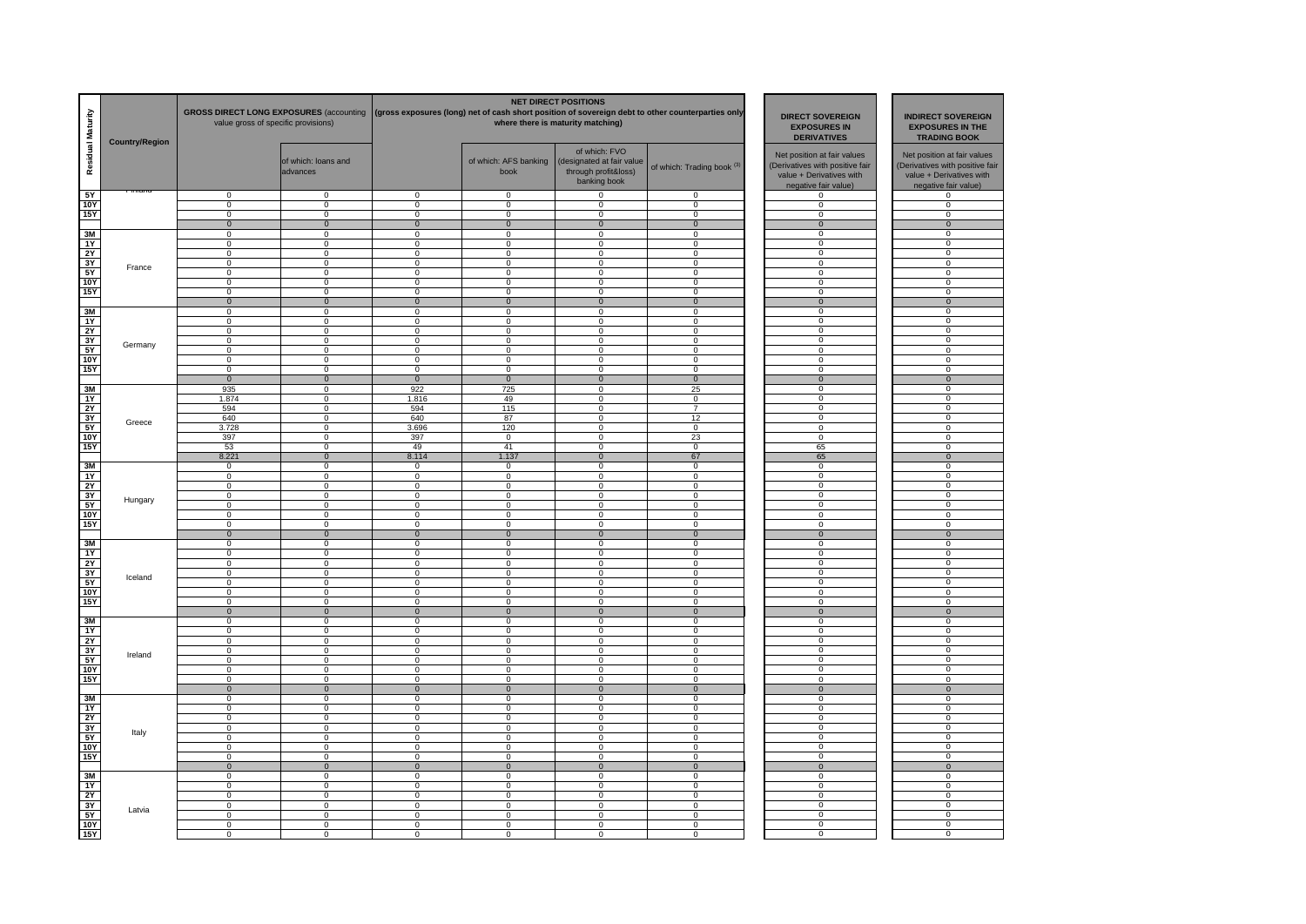| Residual Maturity        | <b>Country/Region</b> | <b>GROSS DIRECT LONG EXPOSURES (accounting</b><br>value gross of specific provisions) |                                  | <b>NET DIRECT POSITIONS</b><br>(gross exposures (long) net of cash short position of sovereign debt to other counterparties only<br>where there is maturity matching) |                                  |                                                                                    |                                       | <b>DIRECT SOVEREIGN</b><br><b>EXPOSURES IN</b><br><b>DERIVATIVES</b>                                               | <b>INDIRECT SOVEREIGN</b><br><b>EXPOSURES IN THE</b><br><b>TRADING BOOK</b>                                        |
|--------------------------|-----------------------|---------------------------------------------------------------------------------------|----------------------------------|-----------------------------------------------------------------------------------------------------------------------------------------------------------------------|----------------------------------|------------------------------------------------------------------------------------|---------------------------------------|--------------------------------------------------------------------------------------------------------------------|--------------------------------------------------------------------------------------------------------------------|
|                          |                       |                                                                                       | of which: loans and<br>advances  |                                                                                                                                                                       | of which: AFS banking<br>book    | of which: FVO<br>(designated at fair value<br>through profit&loss)<br>banking book | of which: Trading book <sup>(3)</sup> | Net position at fair values<br>(Derivatives with positive fair<br>value + Derivatives with<br>negative fair value) | Net position at fair values<br>(Derivatives with positive fair<br>value + Derivatives with<br>negative fair value) |
| 5Y                       |                       | $\overline{0}$                                                                        | $\overline{0}$                   | $\Omega$                                                                                                                                                              | $\overline{0}$                   | $\Omega$                                                                           | $\overline{0}$                        | $\mathbf{0}$                                                                                                       | $\overline{0}$                                                                                                     |
| 10Y                      |                       | $\mathsf 0$<br>$\Omega$                                                               | $\mathsf 0$<br>$\Omega$          | $\mathbf 0$<br>$\Omega$                                                                                                                                               | $\mathbf 0$                      | $\mathsf 0$                                                                        | $\mathbf 0$<br>$\Omega$               | $\mathbf 0$                                                                                                        | $\mathbf{0}$<br>$\Omega$                                                                                           |
| 15Y                      |                       | $\mathbf 0$                                                                           | $\mathbf 0$                      | $\mathbf{0}$                                                                                                                                                          | $\mathbf{0}$<br>$\overline{0}$   | 0<br>$\mathbf 0$                                                                   | $\overline{0}$                        | 0<br>$\mathbf{0}$                                                                                                  | $\mathbf 0$                                                                                                        |
| 3M                       |                       | $\mathbf 0$                                                                           | $\mathbf 0$                      | $\mathbf 0$                                                                                                                                                           | $\mathbf{0}$                     | $\mathbf 0$                                                                        | $\Omega$                              | $\Omega$                                                                                                           | $\mathbf 0$                                                                                                        |
| 1Y                       |                       | $\overline{0}$                                                                        | $\overline{0}$                   | $\overline{0}$                                                                                                                                                        | $\overline{0}$                   | $\overline{0}$                                                                     | $\overline{0}$                        | $\overline{0}$                                                                                                     | $\overline{0}$                                                                                                     |
| 2Y                       |                       | $\overline{0}$                                                                        | $\overline{0}$                   | $\overline{0}$                                                                                                                                                        | $\overline{0}$                   | $\overline{0}$                                                                     | $\overline{0}$                        | $\overline{0}$                                                                                                     | $\overline{0}$                                                                                                     |
| 3Y                       | France                | $\mathbf 0$                                                                           | $\mathbf 0$                      | 0                                                                                                                                                                     | $\mathbf 0$                      | $\mathbf 0$                                                                        | 0                                     | 0                                                                                                                  | $\mathbf 0$                                                                                                        |
| 5Y                       |                       | $\mathbf 0$                                                                           | 0                                | 0                                                                                                                                                                     | $\mathbf 0$                      | 0                                                                                  | 0                                     | $\mathbf 0$                                                                                                        | $\mathbf 0$                                                                                                        |
| <b>10Y</b><br><b>15Y</b> |                       | $\mathbf 0$<br>$\overline{0}$                                                         | $\mathbf 0$<br>$\overline{0}$    | 0<br>$\mathbf 0$                                                                                                                                                      | $\mathbf 0$<br>$\mathbf 0$       | $\mathbf 0$<br>$\mathbf 0$                                                         | 0<br>$\Omega$                         | $^{\circ}$<br>$\Omega$                                                                                             | $^{\circ}$<br>$\mathbf 0$                                                                                          |
|                          |                       | $\overline{0}$                                                                        | $\overline{0}$                   | $\overline{0}$                                                                                                                                                        | $\overline{0}$                   | $\overline{0}$                                                                     | $\overline{0}$                        | $\overline{0}$                                                                                                     | $\overline{0}$                                                                                                     |
| 3M                       |                       | $\overline{0}$                                                                        | $\overline{0}$                   | $\overline{0}$                                                                                                                                                        | $\overline{0}$                   | $\overline{0}$                                                                     | $\overline{0}$                        | $\overline{0}$                                                                                                     | $\overline{0}$                                                                                                     |
| 1Y                       |                       | $\overline{0}$                                                                        | $\overline{0}$                   | $\overline{0}$                                                                                                                                                        | $\mathbf 0$                      | $\overline{0}$                                                                     | $\overline{0}$                        | $\overline{0}$                                                                                                     | $\mathbf 0$                                                                                                        |
| 2Y                       |                       | $\overline{0}$                                                                        | $\overline{0}$                   | $\overline{0}$                                                                                                                                                        | $\overline{0}$                   | $\overline{0}$                                                                     | $\overline{0}$                        | $\overline{0}$                                                                                                     | $\overline{0}$                                                                                                     |
| 3Y                       | Germany               | $\overline{0}$                                                                        | $\overline{0}$                   | $\overline{0}$                                                                                                                                                        | $\overline{0}$                   | $\overline{0}$                                                                     | $\overline{0}$                        | $\overline{0}$                                                                                                     | $\overline{0}$                                                                                                     |
| 5Y                       |                       | $\mathbf 0$                                                                           | $\mathbf 0$                      | 0                                                                                                                                                                     | $\mathbf{0}$                     | $\mathbf 0$                                                                        | $\mathbf{0}$                          | $\mathbf 0$                                                                                                        | $\mathbf 0$                                                                                                        |
| <b>10Y</b>               |                       | $\mathbf 0$                                                                           | $\mathbf 0$                      | $\Omega$                                                                                                                                                              | $\mathbf{0}$                     | $\mathbf 0$                                                                        | $\Omega$                              | $\Omega$                                                                                                           | $\Omega$                                                                                                           |
| <b>15Y</b>               |                       | $\mathbf 0$<br>$\overline{0}$                                                         | $\mathbf{0}$<br>$\overline{0}$   | $\Omega$<br>$\overline{0}$                                                                                                                                            | $\mathbf{0}$<br>$\overline{0}$   | $\mathbf 0$<br>$\overline{0}$                                                      | $\Omega$<br>$\overline{0}$            | $\mathbf 0$<br>$\mathbf 0$                                                                                         | $\overline{0}$<br>$\mathbf 0$                                                                                      |
| 3M                       |                       | 935                                                                                   | $\overline{0}$                   | 922                                                                                                                                                                   | 725                              | $\overline{0}$                                                                     | 25                                    | $\overline{0}$                                                                                                     | $\overline{0}$                                                                                                     |
| 1Y                       |                       | 1.874                                                                                 | $\mathbf 0$                      | 1.816                                                                                                                                                                 | 49                               | $\mathbf 0$                                                                        | $\mathbf 0$                           | $\overline{0}$                                                                                                     | $\overline{0}$                                                                                                     |
| 2Y                       |                       | 594                                                                                   | $\overline{0}$                   | 594                                                                                                                                                                   | 115                              | $\overline{0}$                                                                     | 7                                     | $\overline{0}$                                                                                                     | $\overline{0}$                                                                                                     |
| 3Y                       |                       | 640                                                                                   | $\mathbf 0$                      | 640                                                                                                                                                                   | 87                               | $\mathbf 0$                                                                        | 12                                    | 0                                                                                                                  | 0                                                                                                                  |
| 5Y                       | Greece                | 3.728                                                                                 | $\mathbf 0$                      | 3.696                                                                                                                                                                 | 120                              | $\mathbf 0$                                                                        | $\mathbf 0$                           | $\Omega$                                                                                                           | 0                                                                                                                  |
| <b>10Y</b>               |                       | 397                                                                                   | $\mathbf 0$                      | 397                                                                                                                                                                   | $\mathbf 0$                      | 0                                                                                  | 23                                    | $\Omega$                                                                                                           | $^{\circ}$                                                                                                         |
| <b>15Y</b>               |                       | 53                                                                                    | $\overline{0}$                   | 49                                                                                                                                                                    | 41                               | $\Omega$                                                                           | $\Omega$                              | 65                                                                                                                 | $\overline{0}$                                                                                                     |
|                          |                       | 8.221                                                                                 | $\overline{0}$                   | 8.114                                                                                                                                                                 | 1.137                            | $\overline{0}$                                                                     | 67                                    | 65                                                                                                                 | $\overline{0}$                                                                                                     |
| 3M<br>1Y                 |                       | $\overline{0}$<br>$\overline{0}$                                                      | $\overline{0}$<br>$\overline{0}$ | $\overline{0}$<br>$\overline{0}$                                                                                                                                      | $\overline{0}$<br>$\overline{0}$ | $\overline{0}$<br>$\overline{0}$                                                   | $\overline{0}$<br>$\overline{0}$      | $\overline{0}$<br>$\overline{0}$                                                                                   | $\overline{0}$<br>$\overline{0}$                                                                                   |
| <b>2Y</b>                |                       | $\mathbf 0$                                                                           | $\mathbf 0$                      | $\mathbf 0$                                                                                                                                                           | $\mathbf{0}$                     | $\mathbf 0$                                                                        | 0                                     | $\mathbf 0$                                                                                                        | $\mathbf 0$                                                                                                        |
| 3Y                       |                       | $\mathbf 0$                                                                           | $\mathbf 0$                      | 0                                                                                                                                                                     | $\mathbf{0}$                     | $\mathbf 0$                                                                        | 0                                     | $\Omega$                                                                                                           | $\Omega$                                                                                                           |
| 5Y                       | Hungary               | $\mathbf 0$                                                                           | $\mathbf 0$                      | $\mathbf 0$                                                                                                                                                           | $\mathbf{0}$                     | $\mathbf 0$                                                                        | $\mathbf{0}$                          | $\Omega$                                                                                                           | $\Omega$                                                                                                           |
| <b>10Y</b>               |                       | $\overline{0}$                                                                        | $\overline{0}$                   | $\overline{0}$                                                                                                                                                        | $\mathbf 0$                      | $\mathbf 0$                                                                        | $\overline{0}$                        | $\mathbf 0$                                                                                                        | $\mathbf 0$                                                                                                        |
| <b>15Y</b>               |                       | $\mathbf 0$                                                                           | $\mathbf{0}$                     | $\Omega$                                                                                                                                                              | $\mathbf{0}$                     | $\mathbf 0$                                                                        | $\Omega$                              | $^{\circ}$                                                                                                         | $^{\circ}$                                                                                                         |
|                          |                       | $\overline{0}$                                                                        | $\overline{0}$                   | $\overline{0}$                                                                                                                                                        | $\overline{0}$                   | $\overline{0}$                                                                     | $\overline{0}$                        | $\overline{0}$                                                                                                     | $\mathbf{0}$                                                                                                       |
| 3M                       |                       | $\overline{0}$                                                                        | $\mathbf 0$                      | $\overline{0}$                                                                                                                                                        | $\overline{0}$                   | $\overline{0}$                                                                     | $\overline{0}$                        | $\mathbf 0$                                                                                                        | $\mathbf 0$                                                                                                        |
| 1Y                       |                       | $\overline{0}$<br>$\mathbf 0$                                                         | $\mathbf 0$                      | $\overline{0}$                                                                                                                                                        | $\overline{0}$                   | $\overline{0}$                                                                     | $\overline{0}$<br>$\mathbf 0$         | $^{\circ}$<br>$\mathbf 0$                                                                                          | $\overline{0}$<br>$\mathbf 0$                                                                                      |
| <b>2Y</b><br>3Y          |                       | $\Omega$                                                                              | $\mathbf 0$<br>0                 | $\mathsf 0$<br>0                                                                                                                                                      | $\mathbf 0$<br>0                 | $\mathsf 0$<br>0                                                                   | 0                                     | $\Omega$                                                                                                           | 0                                                                                                                  |
| 5Y                       | Iceland               | $\Omega$                                                                              | $\overline{0}$                   | $\mathbf 0$                                                                                                                                                           | $\mathbf 0$                      | $\pmb{0}$                                                                          | $\mathbf 0$                           | $\Omega$                                                                                                           | $\Omega$                                                                                                           |
| <b>10Y</b>               |                       | $\mathbf 0$                                                                           | $\mathsf 0$                      | $\mathbf 0$                                                                                                                                                           | $\mathbf 0$                      | $\mathbf 0$                                                                        | $\mathbf 0$                           | $\overline{0}$                                                                                                     | $\mathbf 0$                                                                                                        |
| <b>15Y</b>               |                       | $\overline{0}$                                                                        | $\overline{0}$                   | $\overline{0}$                                                                                                                                                        | $\overline{0}$                   | $\overline{0}$                                                                     | $\overline{0}$                        | $\overline{0}$                                                                                                     | $\overline{0}$                                                                                                     |
|                          |                       | $\overline{0}$                                                                        | $\overline{0}$                   | $\overline{0}$                                                                                                                                                        | $\overline{0}$                   | $\overline{0}$                                                                     | $\overline{0}$                        | $\overline{0}$                                                                                                     | $\overline{0}$                                                                                                     |
| 3M                       |                       | $\overline{0}$                                                                        | $\overline{0}$                   | $\overline{0}$                                                                                                                                                        | $\overline{0}$                   | $\overline{0}$                                                                     | $\overline{0}$                        | $\overline{0}$                                                                                                     | $\overline{0}$                                                                                                     |
| 1Y                       |                       | $\mathbf 0$                                                                           | 0                                | $\mathbf 0$                                                                                                                                                           | $\mathbf 0$                      | $\pmb{0}$                                                                          | $\mathbf{0}$                          | 0                                                                                                                  | 0                                                                                                                  |
| 2Y<br>3Y                 |                       | $\mathbf 0$<br>$\mathbf 0$                                                            | $\mathbf 0$<br>0                 | 0<br>0                                                                                                                                                                | $\mathbf 0$<br>$\mathbf 0$       | $\mathbf 0$<br>$\pmb{0}$                                                           | 0<br>$\Omega$                         | $\mathbf{0}$<br>$^{\circ}$                                                                                         | $\mathbf{0}$<br>$\mathbf 0$                                                                                        |
| 5Y                       | Ireland               | $\overline{0}$                                                                        | $\mathbf 0$                      | $\mathbf 0$                                                                                                                                                           | $\mathbf 0$                      | $\mathbf 0$                                                                        | $\mathbf 0$                           | $\overline{0}$                                                                                                     | $\overline{0}$                                                                                                     |
| <b>10Y</b>               |                       | $\Omega$                                                                              | $\mathbf 0$                      | $\Omega$                                                                                                                                                              | $\Omega$                         | $\mathbf 0$                                                                        | $\overline{0}$                        | $\overline{0}$                                                                                                     | $^{\circ}$                                                                                                         |
| <b>15Y</b>               |                       | $\overline{0}$                                                                        | $\overline{0}$                   | $\overline{0}$                                                                                                                                                        | $\overline{0}$                   | $\overline{0}$                                                                     | $\overline{0}$                        | $\overline{0}$                                                                                                     | $\overline{0}$                                                                                                     |
|                          |                       | $\mathbf 0$                                                                           | $\mathbf 0$                      | $\overline{0}$                                                                                                                                                        | $\mathbf 0$                      | $\mathbf 0$                                                                        | $\overline{0}$                        | $\mathbf 0$                                                                                                        | $\mathbf 0$                                                                                                        |
| 3M                       |                       | $\mathbf 0$                                                                           | 0                                | 0                                                                                                                                                                     | $\mathbf 0$                      | $\overline{0}$                                                                     | $\overline{0}$                        | $\overline{0}$                                                                                                     | $\overline{0}$                                                                                                     |
| 1Y                       |                       | $\mathbf 0$                                                                           | $\mathbf 0$                      | 0                                                                                                                                                                     | $\mathbf 0$                      | $\pmb{0}$                                                                          | 0                                     | $\mathbf 0$                                                                                                        | $\mathbf 0$                                                                                                        |
| 2Y<br>3Y                 |                       | $\mathbf 0$<br>$\mathbf 0$                                                            | $\mathbf 0$<br>$\overline{0}$    | $\mathbf 0$                                                                                                                                                           | $\mathbf 0$                      | $\mathbf 0$                                                                        | $\mathbf 0$                           | $\Omega$<br>$\overline{0}$                                                                                         | $^{\circ}$<br>$\overline{0}$                                                                                       |
| 5Y                       | Italy                 | $\Omega$                                                                              | $\overline{0}$                   | $\mathbf 0$<br>$\mathbf{0}$                                                                                                                                           | $\mathbf 0$<br>$\mathbf 0$       | $\mathsf 0$<br>$\pmb{0}$                                                           | $\mathbf 0$<br>$\Omega$               | $\Omega$                                                                                                           | $\mathbf 0$                                                                                                        |
| <b>10Y</b>               |                       | $\overline{0}$                                                                        | $\overline{0}$                   | $\overline{0}$                                                                                                                                                        | $\overline{0}$                   | $\overline{0}$                                                                     | $\overline{0}$                        | $\overline{0}$                                                                                                     | $\overline{0}$                                                                                                     |
| <b>15Y</b>               |                       | $\mathbf 0$                                                                           | $\overline{0}$                   | $\mathbf 0$                                                                                                                                                           | $\mathbf{0}$                     | $\mathbf 0$                                                                        | $\mathbf 0$                           | $\overline{0}$                                                                                                     | $\overline{0}$                                                                                                     |
|                          |                       | $\overline{0}$                                                                        | $\overline{0}$                   | $\overline{0}$                                                                                                                                                        | $\overline{0}$                   | $\overline{0}$                                                                     | $\overline{0}$                        | $\overline{0}$                                                                                                     | $\overline{0}$                                                                                                     |
| 3M                       |                       | $\overline{0}$                                                                        | $\overline{0}$                   | $\overline{0}$                                                                                                                                                        | $\overline{0}$                   | $\overline{0}$                                                                     | $\overline{0}$                        | $\overline{0}$                                                                                                     | $\overline{0}$                                                                                                     |
| 1Y                       |                       | 0                                                                                     | $\mathbf 0$                      | $\Omega$                                                                                                                                                              | $\mathbf{0}$                     | 0                                                                                  | $\mathbf 0$                           | 0                                                                                                                  | $\Omega$                                                                                                           |
| 2Y                       |                       | $\mathbf 0$                                                                           | $\mathbf 0$                      | $\mathbf 0$                                                                                                                                                           | $\mathbf 0$                      | $\mathbf 0$                                                                        | $\mathbf 0$                           | $\Omega$                                                                                                           | $\Omega$                                                                                                           |
| 3Y                       | Latvia                | $\Omega$                                                                              | $\mathbf 0$                      | $\Omega$                                                                                                                                                              | $\mathbf{0}$                     | $\mathbf 0$                                                                        | $\Omega$                              | $\mathbf{0}$                                                                                                       | $\overline{0}$                                                                                                     |
| <b>5Y</b><br><b>10Y</b>  |                       | $\overline{0}$<br>$\overline{0}$                                                      | $\overline{0}$<br>$\overline{0}$ | $\overline{0}$<br>$\overline{0}$                                                                                                                                      | $\overline{0}$<br>$\overline{0}$ | $\overline{0}$<br>$\overline{0}$                                                   | $\overline{0}$<br>$\overline{0}$      | $\overline{0}$<br>$\overline{0}$                                                                                   | $\overline{0}$<br>$\overline{0}$                                                                                   |
| <b>15Y</b>               |                       | $\Omega$                                                                              | $\Omega$                         | $\mathbf 0$                                                                                                                                                           | $\mathbf 0$                      | $\mathbf 0$                                                                        | 0                                     | $\Omega$                                                                                                           | $\Omega$                                                                                                           |
|                          |                       |                                                                                       |                                  |                                                                                                                                                                       |                                  |                                                                                    |                                       |                                                                                                                    |                                                                                                                    |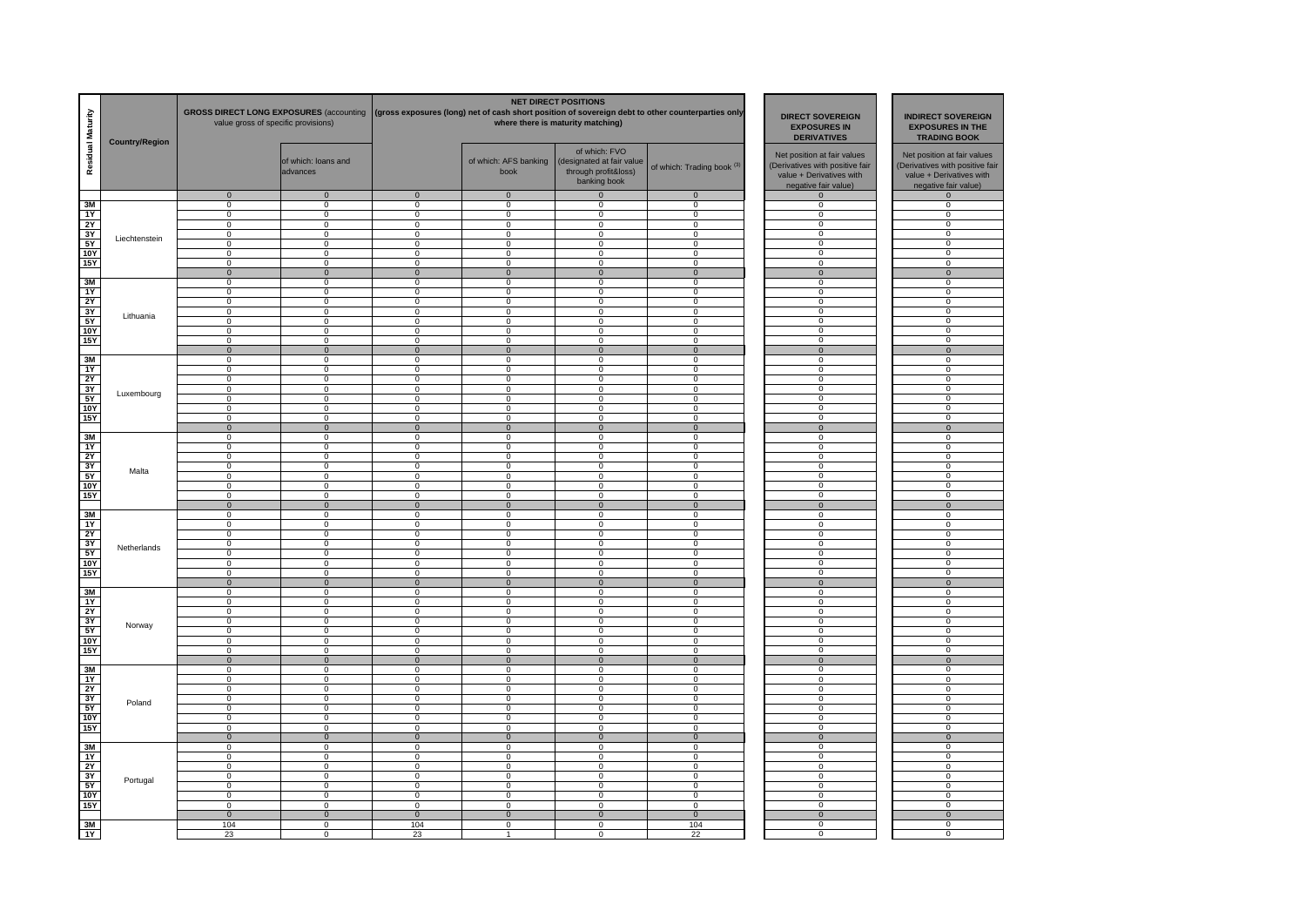| Residual Maturity | <b>Country/Region</b> | <b>GROSS DIRECT LONG EXPOSURES (accounting</b><br>value gross of specific provisions) |                                  |                                  |                               |                                                                                                                                                                                                                                                                                                                                                                                                                                                                                                                                                                                                                                                                                                                                                                                                                                                                                                                                                                                                                                                                                                                                                                                                                                                                                                                                                                                                                                                      | <b>DIRECT SOVEREIGN</b><br><b>EXPOSURES IN</b><br><b>DERIVATIVES</b> | <b>INDIRECT SOVEREIGN</b><br><b>EXPOSURES IN THE</b><br><b>TRADING BOOK</b>                                        |                                                                                                                    |
|-------------------|-----------------------|---------------------------------------------------------------------------------------|----------------------------------|----------------------------------|-------------------------------|------------------------------------------------------------------------------------------------------------------------------------------------------------------------------------------------------------------------------------------------------------------------------------------------------------------------------------------------------------------------------------------------------------------------------------------------------------------------------------------------------------------------------------------------------------------------------------------------------------------------------------------------------------------------------------------------------------------------------------------------------------------------------------------------------------------------------------------------------------------------------------------------------------------------------------------------------------------------------------------------------------------------------------------------------------------------------------------------------------------------------------------------------------------------------------------------------------------------------------------------------------------------------------------------------------------------------------------------------------------------------------------------------------------------------------------------------|----------------------------------------------------------------------|--------------------------------------------------------------------------------------------------------------------|--------------------------------------------------------------------------------------------------------------------|
|                   |                       |                                                                                       | of which: loans and<br>advances  |                                  | of which: AFS banking<br>book | of which: FVO<br>(designated at fair value<br>through profit&loss)<br>banking book                                                                                                                                                                                                                                                                                                                                                                                                                                                                                                                                                                                                                                                                                                                                                                                                                                                                                                                                                                                                                                                                                                                                                                                                                                                                                                                                                                   | of which: Trading book <sup>(3)</sup>                                | Net position at fair values<br>(Derivatives with positive fair<br>value + Derivatives with<br>negative fair value) | Net position at fair values<br>(Derivatives with positive fair<br>value + Derivatives with<br>negative fair value) |
| 3M                |                       | $\overline{0}$<br>$\mathsf 0$                                                         | $\overline{0}$<br>$\mathsf 0$    | $\overline{0}$<br>$\mathbf 0$    |                               |                                                                                                                                                                                                                                                                                                                                                                                                                                                                                                                                                                                                                                                                                                                                                                                                                                                                                                                                                                                                                                                                                                                                                                                                                                                                                                                                                                                                                                                      | $\overline{0}$<br>$\mathbf 0$                                        | $\mathbf 0$<br>$\mathbf 0$                                                                                         | $\Omega$<br>$\mathbf{0}$                                                                                           |
| 1Y                |                       | 0                                                                                     | $\mathbf{0}$                     | 0                                | $\mathbf{0}$                  |                                                                                                                                                                                                                                                                                                                                                                                                                                                                                                                                                                                                                                                                                                                                                                                                                                                                                                                                                                                                                                                                                                                                                                                                                                                                                                                                                                                                                                                      | $\mathbf 0$                                                          | 0                                                                                                                  | $\Omega$                                                                                                           |
| 2Y                |                       | $\mathbf 0$                                                                           | $\mathbf 0$                      | $\mathbf 0$                      | $\mathbf 0$                   | $\mathbf 0$                                                                                                                                                                                                                                                                                                                                                                                                                                                                                                                                                                                                                                                                                                                                                                                                                                                                                                                                                                                                                                                                                                                                                                                                                                                                                                                                                                                                                                          | $\mathbf 0$                                                          | $^{\circ}$                                                                                                         | $\overline{0}$                                                                                                     |
| 3Y                | Liechtenstein         | $\mathsf 0$                                                                           | $\mathbf 0$                      | $\mathbf 0$                      | $\mathbf 0$                   | $\mathbf 0$                                                                                                                                                                                                                                                                                                                                                                                                                                                                                                                                                                                                                                                                                                                                                                                                                                                                                                                                                                                                                                                                                                                                                                                                                                                                                                                                                                                                                                          | $\mathbf 0$                                                          | $\mathbf 0$                                                                                                        | $\overline{0}$                                                                                                     |
| <b>5Y</b>         |                       | $\overline{0}$                                                                        | $\overline{0}$                   | $\overline{0}$                   | $\overline{0}$                |                                                                                                                                                                                                                                                                                                                                                                                                                                                                                                                                                                                                                                                                                                                                                                                                                                                                                                                                                                                                                                                                                                                                                                                                                                                                                                                                                                                                                                                      | $\overline{0}$                                                       | $\overline{0}$                                                                                                     | $\overline{0}$                                                                                                     |
| 10Y               |                       | $\overline{0}$<br>$\mathbf 0$                                                         | $\overline{0}$<br>$\mathbf 0$    | $\overline{0}$<br>0              |                               |                                                                                                                                                                                                                                                                                                                                                                                                                                                                                                                                                                                                                                                                                                                                                                                                                                                                                                                                                                                                                                                                                                                                                                                                                                                                                                                                                                                                                                                      | $\overline{0}$<br>0                                                  | $\overline{0}$<br>$\mathbf 0$                                                                                      | $\overline{0}$<br>$\mathbf 0$                                                                                      |
| <b>15Y</b>        |                       | $\mathbf 0$                                                                           | $\pmb{0}$                        | $\mathbf{0}$                     |                               |                                                                                                                                                                                                                                                                                                                                                                                                                                                                                                                                                                                                                                                                                                                                                                                                                                                                                                                                                                                                                                                                                                                                                                                                                                                                                                                                                                                                                                                      | $\mathbf 0$                                                          | $\mathbf{0}$                                                                                                       | $\mathbf 0$                                                                                                        |
| 3M                |                       | $\mathbf 0$                                                                           | $\mathbf 0$                      | 0                                | $\mathbf 0$                   |                                                                                                                                                                                                                                                                                                                                                                                                                                                                                                                                                                                                                                                                                                                                                                                                                                                                                                                                                                                                                                                                                                                                                                                                                                                                                                                                                                                                                                                      | 0                                                                    | $\Omega$                                                                                                           | $^{\circ}$                                                                                                         |
| 1Y                |                       | $\overline{0}$                                                                        | $\overline{0}$                   | $\mathbf 0$                      | $\mathbf 0$                   | $\mathsf 0$                                                                                                                                                                                                                                                                                                                                                                                                                                                                                                                                                                                                                                                                                                                                                                                                                                                                                                                                                                                                                                                                                                                                                                                                                                                                                                                                                                                                                                          | $\mathbf 0$                                                          | $\Omega$                                                                                                           | $\mathbf 0$                                                                                                        |
| 2Y                |                       | $\overline{0}$                                                                        | $\overline{0}$                   | $\overline{0}$                   | $\overline{0}$                |                                                                                                                                                                                                                                                                                                                                                                                                                                                                                                                                                                                                                                                                                                                                                                                                                                                                                                                                                                                                                                                                                                                                                                                                                                                                                                                                                                                                                                                      | $\overline{0}$                                                       | $\overline{0}$                                                                                                     | $\overline{0}$                                                                                                     |
| 3Y                | Lithuania             | $\overline{0}$<br>$\overline{0}$                                                      | $\overline{0}$<br>$\overline{0}$ | $\overline{0}$<br>$\overline{0}$ | $\overline{0}$                |                                                                                                                                                                                                                                                                                                                                                                                                                                                                                                                                                                                                                                                                                                                                                                                                                                                                                                                                                                                                                                                                                                                                                                                                                                                                                                                                                                                                                                                      | $\overline{0}$<br>$\overline{0}$                                     | $\overline{0}$<br>$\overline{0}$                                                                                   | $\overline{0}$                                                                                                     |
| 5Y<br>10Y         |                       | $\overline{0}$                                                                        | $\overline{0}$                   | $\overline{0}$                   |                               |                                                                                                                                                                                                                                                                                                                                                                                                                                                                                                                                                                                                                                                                                                                                                                                                                                                                                                                                                                                                                                                                                                                                                                                                                                                                                                                                                                                                                                                      | $\overline{0}$                                                       | $\overline{0}$                                                                                                     | $\mathbf 0$<br>$\overline{0}$                                                                                      |
| 15Y               |                       | $\overline{0}$                                                                        | $\overline{0}$                   | $\overline{0}$                   | $\overline{0}$                |                                                                                                                                                                                                                                                                                                                                                                                                                                                                                                                                                                                                                                                                                                                                                                                                                                                                                                                                                                                                                                                                                                                                                                                                                                                                                                                                                                                                                                                      | $\overline{0}$                                                       | $\overline{0}$                                                                                                     | $\overline{0}$                                                                                                     |
|                   |                       | $\mathbf{0}$                                                                          | $\overline{0}$                   | $\mathbf{0}$                     | $\mathbf{0}$                  | <b>NET DIRECT POSITIONS</b><br>(gross exposures (long) net of cash short position of sovereign debt to other counterparties only<br>where there is maturity matching)<br>$\overline{0}$<br>$\overline{0}$<br>$\mathbf 0$<br>$\mathsf 0$<br>0<br>$\overline{0}$<br>$\overline{0}$<br>$\overline{0}$<br>$\mathbf 0$<br>$\mathbf 0$<br>$\mathbf 0$<br>$\mathbf 0$<br>$\mathbf 0$<br>$\overline{0}$<br>$\overline{0}$<br>$\overline{0}$<br>$\mathbf 0$<br>$\overline{0}$<br>$\overline{0}$<br>$\overline{0}$<br>$\mathbf 0$<br>$\mathbf 0$<br>$\mathbf 0$<br>$\overline{0}$<br>$\overline{0}$<br>$\overline{0}$<br>$\mathbf 0$<br>$\mathbf 0$<br>$\overline{0}$<br>$\mathbf 0$<br>$\mathbf 0$<br>0<br>$\mathbf 0$<br>$\overline{0}$<br>$\overline{0}$<br>$\overline{0}$<br>$\overline{0}$<br>$\overline{0}$<br>$\mathbf 0$<br>$\mathbf 0$<br>$\overline{0}$<br>$\mathbf 0$<br>$\mathbf{0}$<br>$\mathbf 0$<br>$\overline{0}$<br>$\mathbf 0$<br>$\overline{0}$<br>$\overline{0}$<br>$\mathsf 0$<br>0<br>$\Omega$<br>$\mathbf 0$<br>$\mathbf 0$<br>$\overline{0}$<br>$\overline{0}$<br>$\overline{0}$<br>$\mathsf 0$<br>$\mathbf 0$<br>$\mathbf 0$<br>$\mathbf 0$<br>$\mathbf 0$<br>$\mathbf 0$<br>$\overline{0}$<br>$\overline{0}$<br>$\mathbf 0$<br>$\mathsf 0$<br>$\mathbf 0$<br>$\mathbf 0$<br>$\mathbf 0$<br>$\mathsf 0$<br>$\mathbf{0}$<br>$\Omega$<br>$\mathbf 0$<br>$\overline{0}$<br>$\overline{0}$<br>0<br>$\mathbf 0$<br>$\mathbf 0$<br>$\Omega$ | $\mathbf{0}$                                                         | $\mathbf 0$                                                                                                        | $\mathbf{0}$                                                                                                       |
| 3M                |                       | $\mathbf 0$                                                                           | $\mathbf 0$                      | $\mathbf 0$                      | $\mathbf{0}$                  |                                                                                                                                                                                                                                                                                                                                                                                                                                                                                                                                                                                                                                                                                                                                                                                                                                                                                                                                                                                                                                                                                                                                                                                                                                                                                                                                                                                                                                                      | $\Omega$                                                             | $\Omega$                                                                                                           | $\mathbf{0}$                                                                                                       |
| 1Y                |                       | $\mathbf 0$                                                                           | $\mathbf 0$                      | $\mathbf{0}$                     | $\mathbf 0$                   |                                                                                                                                                                                                                                                                                                                                                                                                                                                                                                                                                                                                                                                                                                                                                                                                                                                                                                                                                                                                                                                                                                                                                                                                                                                                                                                                                                                                                                                      | $\mathbf{0}$                                                         | $\Omega$                                                                                                           | $\mathbf 0$                                                                                                        |
| <b>2Y</b>         |                       | $\overline{0}$                                                                        | $\overline{0}$                   | $\overline{0}$                   | $\mathbf 0$                   |                                                                                                                                                                                                                                                                                                                                                                                                                                                                                                                                                                                                                                                                                                                                                                                                                                                                                                                                                                                                                                                                                                                                                                                                                                                                                                                                                                                                                                                      | $\overline{0}$                                                       | $\mathbf 0$                                                                                                        | $\overline{0}$                                                                                                     |
| 3Y<br>5Y          | Luxembourg            | $\overline{0}$<br>$\mathbf 0$                                                         | $\overline{0}$<br>$\mathbf 0$    | $\overline{0}$<br>$\mathbf 0$    |                               |                                                                                                                                                                                                                                                                                                                                                                                                                                                                                                                                                                                                                                                                                                                                                                                                                                                                                                                                                                                                                                                                                                                                                                                                                                                                                                                                                                                                                                                      | $\overline{0}$<br>$\mathbf 0$                                        | $\overline{0}$<br>$\overline{0}$                                                                                   | $\overline{0}$<br>$\overline{0}$                                                                                   |
| 10Y               |                       | $\overline{0}$                                                                        | $\overline{0}$                   | $\overline{0}$                   | $\overline{0}$                |                                                                                                                                                                                                                                                                                                                                                                                                                                                                                                                                                                                                                                                                                                                                                                                                                                                                                                                                                                                                                                                                                                                                                                                                                                                                                                                                                                                                                                                      | $\overline{0}$                                                       | $\mathbf 0$                                                                                                        | $\mathbf 0$                                                                                                        |
| <b>15Y</b>        |                       | $\mathbf 0$                                                                           | $\Omega$                         | $\Omega$                         | $\mathbf 0$                   |                                                                                                                                                                                                                                                                                                                                                                                                                                                                                                                                                                                                                                                                                                                                                                                                                                                                                                                                                                                                                                                                                                                                                                                                                                                                                                                                                                                                                                                      | $\mathbf 0$                                                          | 0                                                                                                                  | 0                                                                                                                  |
|                   |                       | $\mathbf 0$                                                                           | $\mathbf 0$                      | $\Omega$                         | $\mathbf 0$                   |                                                                                                                                                                                                                                                                                                                                                                                                                                                                                                                                                                                                                                                                                                                                                                                                                                                                                                                                                                                                                                                                                                                                                                                                                                                                                                                                                                                                                                                      | $\mathbf{0}$                                                         | $\Omega$                                                                                                           | $\mathbf 0$                                                                                                        |
| 3M                |                       | $\Omega$                                                                              | $\mathbf 0$                      | $^{\circ}$                       | 0                             |                                                                                                                                                                                                                                                                                                                                                                                                                                                                                                                                                                                                                                                                                                                                                                                                                                                                                                                                                                                                                                                                                                                                                                                                                                                                                                                                                                                                                                                      | $\Omega$                                                             | $\Omega$                                                                                                           | $^{\circ}$                                                                                                         |
| 1Y                |                       | $\overline{0}$                                                                        | $\overline{0}$                   | $\mathbf 0$                      | $\mathbf 0$                   |                                                                                                                                                                                                                                                                                                                                                                                                                                                                                                                                                                                                                                                                                                                                                                                                                                                                                                                                                                                                                                                                                                                                                                                                                                                                                                                                                                                                                                                      | $\Omega$                                                             | $\overline{0}$                                                                                                     | $\overline{0}$                                                                                                     |
| 2Y<br>3Y          |                       | $\overline{0}$<br>$\overline{0}$                                                      | $\overline{0}$<br>$\overline{0}$ | $\overline{0}$<br>$\overline{0}$ |                               |                                                                                                                                                                                                                                                                                                                                                                                                                                                                                                                                                                                                                                                                                                                                                                                                                                                                                                                                                                                                                                                                                                                                                                                                                                                                                                                                                                                                                                                      | $\overline{0}$<br>$\overline{0}$                                     | $\overline{0}$<br>$\overline{0}$                                                                                   | $\overline{0}$<br>$\overline{0}$                                                                                   |
| 5Y                | Malta                 | $\overline{0}$                                                                        | $\overline{0}$                   | $\overline{0}$                   | $\overline{0}$                |                                                                                                                                                                                                                                                                                                                                                                                                                                                                                                                                                                                                                                                                                                                                                                                                                                                                                                                                                                                                                                                                                                                                                                                                                                                                                                                                                                                                                                                      | $\overline{0}$                                                       | $\overline{0}$                                                                                                     | $\overline{0}$                                                                                                     |
| <b>10Y</b>        |                       | $\mathbf 0$                                                                           | $\mathbf 0$                      | 0                                | $\mathbf{0}$                  |                                                                                                                                                                                                                                                                                                                                                                                                                                                                                                                                                                                                                                                                                                                                                                                                                                                                                                                                                                                                                                                                                                                                                                                                                                                                                                                                                                                                                                                      | 0                                                                    | $\mathbf 0$                                                                                                        | $\mathbf 0$                                                                                                        |
| 15Y               |                       | $\mathbf 0$                                                                           | $\mathbf 0$                      | $\mathbf{0}$                     | $\mathbf{0}$                  |                                                                                                                                                                                                                                                                                                                                                                                                                                                                                                                                                                                                                                                                                                                                                                                                                                                                                                                                                                                                                                                                                                                                                                                                                                                                                                                                                                                                                                                      | $\mathbf{0}$                                                         | $\Omega$                                                                                                           | $\Omega$                                                                                                           |
|                   |                       | $\overline{0}$                                                                        | $\overline{0}$                   | $\overline{0}$                   | $\overline{0}$                |                                                                                                                                                                                                                                                                                                                                                                                                                                                                                                                                                                                                                                                                                                                                                                                                                                                                                                                                                                                                                                                                                                                                                                                                                                                                                                                                                                                                                                                      | $\overline{0}$                                                       | $\mathbf{0}$                                                                                                       | $\overline{0}$                                                                                                     |
| 3M                |                       | $\mathbf 0$                                                                           | $\mathbf 0$                      | $\mathbf 0$                      | $\mathbf{0}$                  |                                                                                                                                                                                                                                                                                                                                                                                                                                                                                                                                                                                                                                                                                                                                                                                                                                                                                                                                                                                                                                                                                                                                                                                                                                                                                                                                                                                                                                                      | $\mathbf 0$                                                          | $\mathbf{0}$<br>$\overline{0}$                                                                                     | $\mathbf 0$<br>$\overline{0}$                                                                                      |
| 1Y<br>2Y          |                       | $\mathbf 0$<br>$\mathbf 0$                                                            | $\mathbf 0$<br>$\mathbf 0$       | $\mathbf{0}$<br>$\mathbf 0$      |                               |                                                                                                                                                                                                                                                                                                                                                                                                                                                                                                                                                                                                                                                                                                                                                                                                                                                                                                                                                                                                                                                                                                                                                                                                                                                                                                                                                                                                                                                      | $\mathbf{0}$<br>$\Omega$                                             | $\overline{0}$                                                                                                     | $\overline{0}$                                                                                                     |
| 3Y                |                       | $\mathbf 0$                                                                           | $\mathbf 0$                      | $\overline{0}$                   | $\overline{0}$                |                                                                                                                                                                                                                                                                                                                                                                                                                                                                                                                                                                                                                                                                                                                                                                                                                                                                                                                                                                                                                                                                                                                                                                                                                                                                                                                                                                                                                                                      | $\overline{0}$                                                       | $\mathbf 0$                                                                                                        | $\mathbf 0$                                                                                                        |
| 5Y                | Netherlands           | $\overline{0}$                                                                        | $\mathbf 0$                      | $\overline{0}$                   | $\overline{0}$                |                                                                                                                                                                                                                                                                                                                                                                                                                                                                                                                                                                                                                                                                                                                                                                                                                                                                                                                                                                                                                                                                                                                                                                                                                                                                                                                                                                                                                                                      | $\overline{0}$                                                       | $\overline{0}$                                                                                                     | $\overline{0}$                                                                                                     |
| 10Y               |                       | $\mathsf 0$                                                                           | $\mathbf 0$                      | $\mathsf 0$                      | $\mathbf 0$                   |                                                                                                                                                                                                                                                                                                                                                                                                                                                                                                                                                                                                                                                                                                                                                                                                                                                                                                                                                                                                                                                                                                                                                                                                                                                                                                                                                                                                                                                      | $\mathbf 0$                                                          | $\mathbf 0$                                                                                                        | $\mathbf 0$                                                                                                        |
| <b>15Y</b>        |                       | 0                                                                                     | 0                                | 0                                | 0                             |                                                                                                                                                                                                                                                                                                                                                                                                                                                                                                                                                                                                                                                                                                                                                                                                                                                                                                                                                                                                                                                                                                                                                                                                                                                                                                                                                                                                                                                      | $\Omega$                                                             | 0                                                                                                                  | 0                                                                                                                  |
| 3M                |                       | $\Omega$<br>$\mathbf 0$                                                               | $\overline{0}$<br>$\mathsf 0$    | $\Omega$<br>$\mathbf 0$          | $\mathbf 0$                   |                                                                                                                                                                                                                                                                                                                                                                                                                                                                                                                                                                                                                                                                                                                                                                                                                                                                                                                                                                                                                                                                                                                                                                                                                                                                                                                                                                                                                                                      | $\mathbf 0$<br>$\mathbf 0$                                           | $\Omega$<br>$\mathbf 0$                                                                                            | $\Omega$<br>$\mathbf 0$                                                                                            |
| 1Y                |                       | $\overline{0}$                                                                        | $\overline{0}$                   | $\overline{0}$                   | $\overline{0}$                |                                                                                                                                                                                                                                                                                                                                                                                                                                                                                                                                                                                                                                                                                                                                                                                                                                                                                                                                                                                                                                                                                                                                                                                                                                                                                                                                                                                                                                                      | $\overline{0}$                                                       | $\overline{0}$                                                                                                     | $\overline{0}$                                                                                                     |
| 2Y                |                       | $\overline{0}$                                                                        | $\overline{0}$                   | $\overline{0}$                   | $\overline{0}$                |                                                                                                                                                                                                                                                                                                                                                                                                                                                                                                                                                                                                                                                                                                                                                                                                                                                                                                                                                                                                                                                                                                                                                                                                                                                                                                                                                                                                                                                      | $\overline{0}$                                                       | $\overline{0}$                                                                                                     | $\overline{0}$                                                                                                     |
| 3Y                | Norway                | $\overline{0}$                                                                        | $\overline{0}$                   | $\overline{0}$                   | $\overline{0}$                |                                                                                                                                                                                                                                                                                                                                                                                                                                                                                                                                                                                                                                                                                                                                                                                                                                                                                                                                                                                                                                                                                                                                                                                                                                                                                                                                                                                                                                                      | $\overline{0}$                                                       | $\overline{0}$                                                                                                     | $\overline{0}$                                                                                                     |
| 5Y                |                       | $\mathbf 0$                                                                           | 0                                | $\mathbf 0$                      | $\mathbf 0$                   |                                                                                                                                                                                                                                                                                                                                                                                                                                                                                                                                                                                                                                                                                                                                                                                                                                                                                                                                                                                                                                                                                                                                                                                                                                                                                                                                                                                                                                                      | $\mathbf{0}$                                                         | 0                                                                                                                  | $\Omega$                                                                                                           |
| <b>10Y</b>        |                       | $\mathbf 0$                                                                           | $\mathbf 0$                      | 0<br>$\Omega$                    | $\mathbf 0$                   |                                                                                                                                                                                                                                                                                                                                                                                                                                                                                                                                                                                                                                                                                                                                                                                                                                                                                                                                                                                                                                                                                                                                                                                                                                                                                                                                                                                                                                                      | 0<br>$\Omega$                                                        | $\mathbf{0}$<br>$\Omega$                                                                                           | $\Omega$                                                                                                           |
| <b>15Y</b>        |                       | $\mathbf 0$<br>$\overline{0}$                                                         | $\mathbf 0$<br>$\mathbf 0$       | $\overline{0}$                   | $\mathbf{0}$                  |                                                                                                                                                                                                                                                                                                                                                                                                                                                                                                                                                                                                                                                                                                                                                                                                                                                                                                                                                                                                                                                                                                                                                                                                                                                                                                                                                                                                                                                      | $\overline{0}$                                                       | $\mathbf{0}$                                                                                                       | $\mathbf 0$<br>$\mathbf 0$                                                                                         |
| 3M                |                       | $\mathbf 0$                                                                           | $\mathbf 0$                      | $\Omega$                         | $\mathbf 0$                   |                                                                                                                                                                                                                                                                                                                                                                                                                                                                                                                                                                                                                                                                                                                                                                                                                                                                                                                                                                                                                                                                                                                                                                                                                                                                                                                                                                                                                                                      | $\Omega$                                                             | $\Omega$                                                                                                           | $\overline{0}$                                                                                                     |
| 1Y                |                       | $\overline{0}$                                                                        | $\overline{0}$                   | $\overline{0}$                   | $\overline{0}$                |                                                                                                                                                                                                                                                                                                                                                                                                                                                                                                                                                                                                                                                                                                                                                                                                                                                                                                                                                                                                                                                                                                                                                                                                                                                                                                                                                                                                                                                      | $\overline{0}$                                                       | $\overline{0}$                                                                                                     | $\overline{0}$                                                                                                     |
| 2Y                |                       | $\mathbf 0$                                                                           | 0                                | $\overline{0}$                   | $\mathbf 0$                   |                                                                                                                                                                                                                                                                                                                                                                                                                                                                                                                                                                                                                                                                                                                                                                                                                                                                                                                                                                                                                                                                                                                                                                                                                                                                                                                                                                                                                                                      | $\overline{0}$                                                       | $\overline{0}$                                                                                                     | $\overline{0}$                                                                                                     |
| 3Y                | Poland                | $\mathbf 0$                                                                           | 0                                | $\overline{0}$                   | $\mathbf 0$                   |                                                                                                                                                                                                                                                                                                                                                                                                                                                                                                                                                                                                                                                                                                                                                                                                                                                                                                                                                                                                                                                                                                                                                                                                                                                                                                                                                                                                                                                      | $\overline{0}$                                                       | $\overline{0}$                                                                                                     | $\overline{0}$                                                                                                     |
| 5Y<br>10Y         |                       | $\mathbf 0$<br>$\mathbf 0$                                                            | $\mathbf 0$<br>$\mathbf 0$       | 0<br>$\mathbf 0$                 | $\mathbf 0$                   |                                                                                                                                                                                                                                                                                                                                                                                                                                                                                                                                                                                                                                                                                                                                                                                                                                                                                                                                                                                                                                                                                                                                                                                                                                                                                                                                                                                                                                                      | 0<br>$\mathbf 0$                                                     | $\mathbf 0$<br>$\Omega$                                                                                            | $\mathbf 0$<br>$^{\circ}$                                                                                          |
| <b>15Y</b>        |                       | $\Omega$                                                                              | $\overline{0}$                   | $\mathbf 0$                      |                               |                                                                                                                                                                                                                                                                                                                                                                                                                                                                                                                                                                                                                                                                                                                                                                                                                                                                                                                                                                                                                                                                                                                                                                                                                                                                                                                                                                                                                                                      | $\mathbf{0}$                                                         | $\overline{0}$                                                                                                     | $\overline{0}$                                                                                                     |
|                   |                       | $\overline{0}$                                                                        | $\overline{0}$                   | $\mathbf{0}$                     | $\overline{0}$                |                                                                                                                                                                                                                                                                                                                                                                                                                                                                                                                                                                                                                                                                                                                                                                                                                                                                                                                                                                                                                                                                                                                                                                                                                                                                                                                                                                                                                                                      | $\Omega$                                                             | $\overline{0}$                                                                                                     | $\mathbf{0}$                                                                                                       |
| 3M                |                       | $\Omega$                                                                              | $\overline{0}$                   | $\Omega$                         | $\Omega$                      |                                                                                                                                                                                                                                                                                                                                                                                                                                                                                                                                                                                                                                                                                                                                                                                                                                                                                                                                                                                                                                                                                                                                                                                                                                                                                                                                                                                                                                                      | $\overline{0}$                                                       | $\overline{0}$                                                                                                     | $\overline{0}$                                                                                                     |
| 1Y                |                       | $\mathbf 0$                                                                           | $\overline{0}$                   | $\mathbf 0$                      | $\mathbf{0}$                  |                                                                                                                                                                                                                                                                                                                                                                                                                                                                                                                                                                                                                                                                                                                                                                                                                                                                                                                                                                                                                                                                                                                                                                                                                                                                                                                                                                                                                                                      | $\mathbf 0$                                                          | $\overline{0}$                                                                                                     | $\overline{0}$                                                                                                     |
| 2Y                |                       | $\overline{0}$                                                                        | $\overline{0}$                   | $\overline{0}$                   | $\overline{0}$                |                                                                                                                                                                                                                                                                                                                                                                                                                                                                                                                                                                                                                                                                                                                                                                                                                                                                                                                                                                                                                                                                                                                                                                                                                                                                                                                                                                                                                                                      | $\overline{0}$                                                       | $\overline{0}$                                                                                                     | $\overline{0}$                                                                                                     |
| 3Y                | Portugal              | $\overline{0}$                                                                        | $\overline{0}$                   | $\overline{0}$                   | $\overline{0}$                |                                                                                                                                                                                                                                                                                                                                                                                                                                                                                                                                                                                                                                                                                                                                                                                                                                                                                                                                                                                                                                                                                                                                                                                                                                                                                                                                                                                                                                                      | $\overline{0}$                                                       | $\overline{0}$                                                                                                     | $\overline{0}$                                                                                                     |
| 5Y<br><b>10Y</b>  |                       | 0<br>$\mathbf 0$                                                                      | $\mathbf 0$<br>$\mathbf 0$       | $\mathbf 0$<br>$\mathbf 0$       | $\mathbf{0}$                  |                                                                                                                                                                                                                                                                                                                                                                                                                                                                                                                                                                                                                                                                                                                                                                                                                                                                                                                                                                                                                                                                                                                                                                                                                                                                                                                                                                                                                                                      | $\mathbf{0}$<br>$\mathbf 0$                                          | 0<br>$\Omega$                                                                                                      | $\Omega$<br>$\overline{0}$                                                                                         |
| <b>15Y</b>        |                       | $\Omega$                                                                              | $\Omega$                         | $\Omega$                         | $\mathbf{0}$                  |                                                                                                                                                                                                                                                                                                                                                                                                                                                                                                                                                                                                                                                                                                                                                                                                                                                                                                                                                                                                                                                                                                                                                                                                                                                                                                                                                                                                                                                      | $\Omega$                                                             | $\overline{0}$                                                                                                     | $\Omega$                                                                                                           |
|                   |                       | $\overline{0}$                                                                        | $\overline{0}$                   | $\overline{0}$                   | $\overline{0}$                | $\overline{0}$                                                                                                                                                                                                                                                                                                                                                                                                                                                                                                                                                                                                                                                                                                                                                                                                                                                                                                                                                                                                                                                                                                                                                                                                                                                                                                                                                                                                                                       | $\overline{0}$                                                       | $\overline{0}$                                                                                                     | $\overline{0}$                                                                                                     |
| 3M                |                       | 104                                                                                   | $\overline{0}$                   | 104                              | $\overline{0}$                | $\overline{0}$                                                                                                                                                                                                                                                                                                                                                                                                                                                                                                                                                                                                                                                                                                                                                                                                                                                                                                                                                                                                                                                                                                                                                                                                                                                                                                                                                                                                                                       | 104                                                                  | $\overline{0}$                                                                                                     | $\overline{0}$                                                                                                     |
| 1Y                |                       | 23                                                                                    | $\Omega$                         | 23                               |                               | $\mathbf 0$                                                                                                                                                                                                                                                                                                                                                                                                                                                                                                                                                                                                                                                                                                                                                                                                                                                                                                                                                                                                                                                                                                                                                                                                                                                                                                                                                                                                                                          | 22                                                                   | $\Omega$                                                                                                           | $\Omega$                                                                                                           |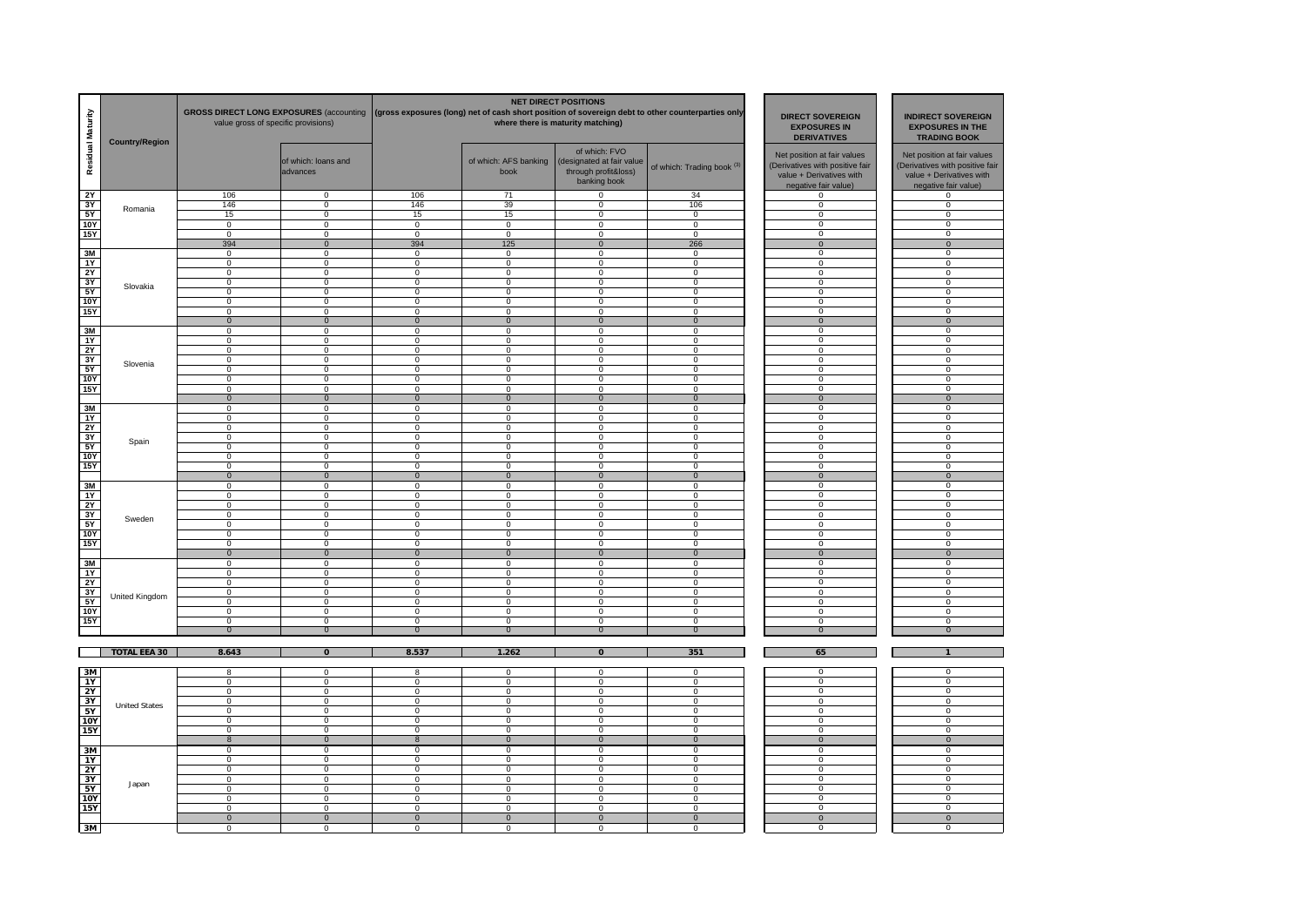| Residual Maturity | <b>Country/Region</b> | <b>GROSS DIRECT LONG EXPOSURES (accounting</b><br>value gross of specific provisions) |                                  |                                  |                                  | <b>NET DIRECT POSITIONS</b><br>(gross exposures (long) net of cash short position of sovereign debt to other counterparties only<br>where there is maturity matching) | <b>DIRECT SOVEREIGN</b><br><b>EXPOSURES IN</b><br><b>DERIVATIVES</b> | <b>INDIRECT SOVEREIGN</b><br><b>EXPOSURES IN THE</b><br><b>TRADING BOOK</b>                                                                                                                                                                                                                                                                                                                                                                                                                                                                                                                                                                                                                                                                                                                                                                                                                                                                                                        |                                                                                                                    |
|-------------------|-----------------------|---------------------------------------------------------------------------------------|----------------------------------|----------------------------------|----------------------------------|-----------------------------------------------------------------------------------------------------------------------------------------------------------------------|----------------------------------------------------------------------|------------------------------------------------------------------------------------------------------------------------------------------------------------------------------------------------------------------------------------------------------------------------------------------------------------------------------------------------------------------------------------------------------------------------------------------------------------------------------------------------------------------------------------------------------------------------------------------------------------------------------------------------------------------------------------------------------------------------------------------------------------------------------------------------------------------------------------------------------------------------------------------------------------------------------------------------------------------------------------|--------------------------------------------------------------------------------------------------------------------|
|                   |                       |                                                                                       | of which: loans and<br>advances  |                                  | of which: AFS banking<br>book    | of which: FVO<br>(designated at fair value<br>through profit&loss)<br>banking book                                                                                    | of which: Trading book <sup>(3)</sup>                                | Net position at fair values<br>(Derivatives with positive fair<br>value + Derivatives with<br>negative fair value)                                                                                                                                                                                                                                                                                                                                                                                                                                                                                                                                                                                                                                                                                                                                                                                                                                                                 | Net position at fair values<br>(Derivatives with positive fair<br>value + Derivatives with<br>negative fair value) |
| 2Y                |                       | 106                                                                                   | $\Omega$                         | 106                              | 71                               | $\mathbf 0$                                                                                                                                                           | 34                                                                   | $\mathbf{0}$                                                                                                                                                                                                                                                                                                                                                                                                                                                                                                                                                                                                                                                                                                                                                                                                                                                                                                                                                                       | $\overline{0}$                                                                                                     |
| $rac{3Y}{5Y}$     | Romania               | 146                                                                                   | $\Omega$                         | 146                              | 39                               | $\mathbf 0$                                                                                                                                                           | 106                                                                  | $\mathbf 0$                                                                                                                                                                                                                                                                                                                                                                                                                                                                                                                                                                                                                                                                                                                                                                                                                                                                                                                                                                        | $\mathbf 0$                                                                                                        |
|                   |                       | 15                                                                                    | $\mathbf 0$                      | 15                               | 15                               | $\mathbf 0$                                                                                                                                                           | $\mathbf 0$                                                          |                                                                                                                                                                                                                                                                                                                                                                                                                                                                                                                                                                                                                                                                                                                                                                                                                                                                                                                                                                                    | $\mathbf 0$                                                                                                        |
| <b>10Y</b>        |                       | $\mathbf 0$                                                                           | $\mathbf 0$                      | $\overline{0}$                   | $\mathbf 0$                      | $\mathbf 0$                                                                                                                                                           | $\mathbf 0$                                                          |                                                                                                                                                                                                                                                                                                                                                                                                                                                                                                                                                                                                                                                                                                                                                                                                                                                                                                                                                                                    | $\overline{0}$                                                                                                     |
| <b>15Y</b>        |                       | $\mathbf 0$                                                                           | $\overline{0}$                   | $\mathbf 0$                      | $\mathbf 0$                      | $\mathbf 0$                                                                                                                                                           | $\mathbf 0$                                                          |                                                                                                                                                                                                                                                                                                                                                                                                                                                                                                                                                                                                                                                                                                                                                                                                                                                                                                                                                                                    | $\overline{0}$                                                                                                     |
|                   |                       | 394                                                                                   | $\overline{0}$                   | 394                              | 125                              | $\overline{0}$                                                                                                                                                        | 266                                                                  |                                                                                                                                                                                                                                                                                                                                                                                                                                                                                                                                                                                                                                                                                                                                                                                                                                                                                                                                                                                    | $\overline{0}$                                                                                                     |
| 3M                |                       | $\Omega$                                                                              | $\Omega$                         | $\Omega$                         | 0                                | $\Omega$                                                                                                                                                              | $\Omega$                                                             |                                                                                                                                                                                                                                                                                                                                                                                                                                                                                                                                                                                                                                                                                                                                                                                                                                                                                                                                                                                    | $\overline{0}$                                                                                                     |
| 1Y                |                       | $\mathbf 0$                                                                           | $\overline{0}$                   | $\overline{0}$                   | $\overline{0}$                   | $\mathbf 0$                                                                                                                                                           | $\overline{0}$                                                       |                                                                                                                                                                                                                                                                                                                                                                                                                                                                                                                                                                                                                                                                                                                                                                                                                                                                                                                                                                                    | $\mathbf 0$                                                                                                        |
| 2Y                |                       | $\overline{0}$                                                                        | $\overline{0}$                   | $\overline{0}$                   | $\overline{0}$                   | $\overline{0}$                                                                                                                                                        | $\overline{0}$                                                       |                                                                                                                                                                                                                                                                                                                                                                                                                                                                                                                                                                                                                                                                                                                                                                                                                                                                                                                                                                                    | $\mathbf 0$                                                                                                        |
| 3Y                | Slovakia              | $\overline{0}$                                                                        | $\overline{0}$                   | $\overline{0}$                   | $\overline{0}$                   | $\overline{0}$                                                                                                                                                        | $\overline{0}$                                                       |                                                                                                                                                                                                                                                                                                                                                                                                                                                                                                                                                                                                                                                                                                                                                                                                                                                                                                                                                                                    | $\overline{0}$                                                                                                     |
| 5Y                |                       | $\pmb{0}$                                                                             | $\mathbf 0$                      | 0                                | $\mathbf 0$                      | $\mathbf 0$                                                                                                                                                           | 0                                                                    |                                                                                                                                                                                                                                                                                                                                                                                                                                                                                                                                                                                                                                                                                                                                                                                                                                                                                                                                                                                    | $\mathbf 0$                                                                                                        |
| 10Y               |                       | $\pmb{0}$                                                                             | $\mathbf 0$                      | 0                                | $\mathbf 0$                      | $\mathbf 0$                                                                                                                                                           | 0                                                                    |                                                                                                                                                                                                                                                                                                                                                                                                                                                                                                                                                                                                                                                                                                                                                                                                                                                                                                                                                                                    | $\Omega$                                                                                                           |
| 15Y               |                       | $\mathbf 0$                                                                           | $\mathbf 0$                      | $\Omega$                         | $\mathbf{0}$                     | $\mathbf 0$                                                                                                                                                           | $\mathbf 0$                                                          |                                                                                                                                                                                                                                                                                                                                                                                                                                                                                                                                                                                                                                                                                                                                                                                                                                                                                                                                                                                    | $\overline{0}$                                                                                                     |
|                   |                       | $\mathbf 0$                                                                           | $\mathbf 0$                      | $\mathbf 0$                      | $\overline{0}$                   | $\mathbf 0$                                                                                                                                                           | $\mathbf 0$                                                          |                                                                                                                                                                                                                                                                                                                                                                                                                                                                                                                                                                                                                                                                                                                                                                                                                                                                                                                                                                                    | $\mathbf 0$                                                                                                        |
| 3M                |                       | $^{\circ}$                                                                            | $\mathbf 0$                      | $\Omega$                         | $\mathbf{0}$                     | $\mathbf 0$                                                                                                                                                           | $^{\circ}$                                                           |                                                                                                                                                                                                                                                                                                                                                                                                                                                                                                                                                                                                                                                                                                                                                                                                                                                                                                                                                                                    | $\mathbf{0}$                                                                                                       |
| 1Y                |                       | $\mathsf 0$                                                                           | $\mathbf 0$                      | $\Omega$                         | $\mathbf 0$                      | $\mathbf 0$                                                                                                                                                           | $\mathbf 0$                                                          |                                                                                                                                                                                                                                                                                                                                                                                                                                                                                                                                                                                                                                                                                                                                                                                                                                                                                                                                                                                    | $\overline{0}$                                                                                                     |
| <b>2Y</b>         |                       | $\overline{0}$                                                                        | $\overline{0}$                   | $\overline{0}$                   | $\overline{0}$                   | $\overline{0}$                                                                                                                                                        | $\overline{0}$                                                       |                                                                                                                                                                                                                                                                                                                                                                                                                                                                                                                                                                                                                                                                                                                                                                                                                                                                                                                                                                                    | $\overline{0}$                                                                                                     |
| 3Y                | Slovenia              | $\overline{0}$                                                                        | $\overline{0}$                   | $\overline{0}$                   | $\overline{0}$                   | $\overline{0}$                                                                                                                                                        | $\overline{0}$                                                       |                                                                                                                                                                                                                                                                                                                                                                                                                                                                                                                                                                                                                                                                                                                                                                                                                                                                                                                                                                                    | $\overline{0}$                                                                                                     |
| 5Y                |                       | $\mathbf 0$                                                                           | $\mathbf 0$                      | $\mathbf 0$                      | $\mathbf 0$                      | $\mathbf 0$                                                                                                                                                           | $\mathbf 0$                                                          |                                                                                                                                                                                                                                                                                                                                                                                                                                                                                                                                                                                                                                                                                                                                                                                                                                                                                                                                                                                    | $\overline{0}$                                                                                                     |
| <b>10Y</b>        |                       | $\overline{0}$                                                                        | $\overline{0}$                   | $\overline{0}$                   | $\overline{0}$                   | $\overline{0}$                                                                                                                                                        | $\overline{0}$                                                       |                                                                                                                                                                                                                                                                                                                                                                                                                                                                                                                                                                                                                                                                                                                                                                                                                                                                                                                                                                                    | $\overline{0}$                                                                                                     |
| <b>15Y</b>        |                       | $\overline{0}$                                                                        | $\overline{0}$                   | $\overline{0}$                   | $\overline{0}$                   | $\overline{0}$                                                                                                                                                        | $\overline{0}$                                                       |                                                                                                                                                                                                                                                                                                                                                                                                                                                                                                                                                                                                                                                                                                                                                                                                                                                                                                                                                                                    | $\overline{0}$                                                                                                     |
|                   |                       | $\mathbf 0$                                                                           | $\mathbf 0$                      | $\Omega$                         | $\overline{0}$                   | $\mathbf 0$                                                                                                                                                           | $\mathbf{0}$                                                         | $\mathbf 0$<br>$\overline{0}$<br>$\overline{0}$<br>$\overline{0}$<br>$\overline{0}$<br>$\overline{0}$<br>$\overline{0}$<br>$\overline{0}$<br>$\mathbf 0$<br>$\Omega$<br>$\Omega$<br>$\mathbf 0$<br>$\Omega$<br>$\overline{0}$<br>$\overline{0}$<br>$\overline{0}$<br>$\overline{0}$<br>$\overline{0}$<br>$\overline{0}$<br>$\mathbf{0}$<br>0<br>$\Omega$<br>$\overline{0}$<br>$\overline{0}$<br>$\overline{0}$<br>$\overline{0}$<br>$\overline{0}$<br>$\overline{0}$<br>$\mathbf 0$<br>$\Omega$<br>$\mathbf{0}$<br>$\mathbf 0$<br>$\overline{0}$<br>$\overline{0}$<br>$\overline{0}$<br>$\mathbf{0}$<br>0<br>$\mathbf 0$<br>0<br>$\mathbf 0$<br>$\Omega$<br>$\overline{0}$<br>$\overline{0}$<br>$\overline{0}$<br>65<br>$\Omega$<br>$\Omega$<br>$\Omega$<br>$\Omega$<br>$\overline{0}$<br>$\overline{0}$<br>$\overline{0}$<br>$\overline{0}$<br>$\overline{0}$<br>$\overline{0}$<br>$\overline{0}$<br>$\overline{0}$<br>$\mathbf 0$<br>0<br>$\Omega$<br>$\mathbf{0}$<br>$^{\circ}$ | $\mathbf 0$                                                                                                        |
| 3M                |                       | 0                                                                                     | $\mathbf 0$                      | $\mathbf 0$                      | $\mathbf 0$                      | 0                                                                                                                                                                     | 0                                                                    |                                                                                                                                                                                                                                                                                                                                                                                                                                                                                                                                                                                                                                                                                                                                                                                                                                                                                                                                                                                    | 0                                                                                                                  |
| 1Y                |                       | $\Omega$                                                                              | $\overline{0}$                   | $\overline{0}$                   | $\mathbf 0$                      | $\mathbf 0$                                                                                                                                                           | $\mathbf 0$                                                          |                                                                                                                                                                                                                                                                                                                                                                                                                                                                                                                                                                                                                                                                                                                                                                                                                                                                                                                                                                                    | $\Omega$                                                                                                           |
| 2Y                |                       | $\mathbf 0$                                                                           | $\overline{0}$                   | $\Omega$                         | $\mathbf 0$                      | $\mathbf 0$                                                                                                                                                           | $\mathbf 0$                                                          |                                                                                                                                                                                                                                                                                                                                                                                                                                                                                                                                                                                                                                                                                                                                                                                                                                                                                                                                                                                    | $\mathbf 0$                                                                                                        |
| 3Y                | Spain                 | $\overline{0}$                                                                        | $\overline{0}$                   | $\overline{0}$                   | $\overline{0}$                   | $\overline{0}$                                                                                                                                                        | $\overline{0}$                                                       |                                                                                                                                                                                                                                                                                                                                                                                                                                                                                                                                                                                                                                                                                                                                                                                                                                                                                                                                                                                    | $\overline{0}$                                                                                                     |
| 5Y                |                       | $\mathbf 0$                                                                           | $\overline{0}$                   | $\overline{0}$                   | $\overline{0}$                   | $\overline{0}$                                                                                                                                                        | $\overline{0}$                                                       |                                                                                                                                                                                                                                                                                                                                                                                                                                                                                                                                                                                                                                                                                                                                                                                                                                                                                                                                                                                    | $\overline{0}$                                                                                                     |
| <b>10Y</b>        |                       | $\overline{0}$                                                                        | $\overline{0}$                   | $\overline{0}$                   | $\overline{0}$                   | $\overline{0}$                                                                                                                                                        | $\overline{0}$                                                       |                                                                                                                                                                                                                                                                                                                                                                                                                                                                                                                                                                                                                                                                                                                                                                                                                                                                                                                                                                                    | $\overline{0}$                                                                                                     |
| 15Y               |                       | $\overline{0}$                                                                        | $\overline{0}$                   | $\overline{0}$                   | $\overline{0}$                   | $\overline{0}$                                                                                                                                                        | $\overline{0}$                                                       |                                                                                                                                                                                                                                                                                                                                                                                                                                                                                                                                                                                                                                                                                                                                                                                                                                                                                                                                                                                    | $\overline{0}$                                                                                                     |
|                   |                       | $\overline{0}$                                                                        | $\overline{0}$                   | $\overline{0}$                   | $\overline{0}$                   | $\overline{0}$                                                                                                                                                        | $\overline{0}$                                                       |                                                                                                                                                                                                                                                                                                                                                                                                                                                                                                                                                                                                                                                                                                                                                                                                                                                                                                                                                                                    | $\overline{0}$                                                                                                     |
| 3M                |                       | $\mathbf 0$                                                                           | $\mathbf 0$                      | $\mathbf 0$                      | $\mathbf{0}$                     | $\mathbf 0$                                                                                                                                                           | $\mathbf 0$                                                          |                                                                                                                                                                                                                                                                                                                                                                                                                                                                                                                                                                                                                                                                                                                                                                                                                                                                                                                                                                                    | $\mathbf 0$                                                                                                        |
| 1Y                |                       | $\mathbf 0$                                                                           | $\mathbf 0$                      | $\mathbf 0$                      | $\mathbf{0}$                     | $\mathbf 0$                                                                                                                                                           | 0                                                                    |                                                                                                                                                                                                                                                                                                                                                                                                                                                                                                                                                                                                                                                                                                                                                                                                                                                                                                                                                                                    | $^{\circ}$                                                                                                         |
| 2Y                | Sweden                | $\mathbf 0$                                                                           | $\mathbf 0$                      | $\Omega$                         | $\mathbf{0}$                     | $\mathbf 0$                                                                                                                                                           | $\mathbf 0$                                                          |                                                                                                                                                                                                                                                                                                                                                                                                                                                                                                                                                                                                                                                                                                                                                                                                                                                                                                                                                                                    | $\overline{0}$                                                                                                     |
| 3Y                |                       | $\mathsf 0$                                                                           | $\overline{0}$                   | $\overline{0}$                   | 0                                | $\mathbf 0$                                                                                                                                                           | $\overline{0}$                                                       |                                                                                                                                                                                                                                                                                                                                                                                                                                                                                                                                                                                                                                                                                                                                                                                                                                                                                                                                                                                    | $\mathbf 0$                                                                                                        |
| 5Y                |                       | $\overline{0}$                                                                        | $\overline{0}$                   | $\overline{0}$<br>$\overline{0}$ | $\overline{0}$                   | $\overline{0}$                                                                                                                                                        | $\overline{0}$                                                       |                                                                                                                                                                                                                                                                                                                                                                                                                                                                                                                                                                                                                                                                                                                                                                                                                                                                                                                                                                                    | $\overline{0}$<br>$^{\circ}$                                                                                       |
| <b>10Y</b>        |                       | $\mathbf 0$<br>$\overline{0}$                                                         | $\overline{0}$<br>$\overline{0}$ | $\overline{0}$                   | $\overline{0}$<br>$\overline{0}$ | $\overline{0}$<br>$\overline{0}$                                                                                                                                      | $\overline{0}$<br>$\overline{0}$                                     |                                                                                                                                                                                                                                                                                                                                                                                                                                                                                                                                                                                                                                                                                                                                                                                                                                                                                                                                                                                    | $\overline{0}$                                                                                                     |
| <b>15Y</b>        |                       |                                                                                       |                                  |                                  |                                  |                                                                                                                                                                       |                                                                      |                                                                                                                                                                                                                                                                                                                                                                                                                                                                                                                                                                                                                                                                                                                                                                                                                                                                                                                                                                                    |                                                                                                                    |
|                   |                       | $\mathbf{0}$                                                                          | $\mathbf{0}$<br>$\Omega$         | $\mathbf{0}$                     | $\mathbf{0}$                     | $\mathbf{0}$                                                                                                                                                          | $\mathbf{0}$                                                         |                                                                                                                                                                                                                                                                                                                                                                                                                                                                                                                                                                                                                                                                                                                                                                                                                                                                                                                                                                                    | $\mathbf{0}$                                                                                                       |
| 3M                |                       | $\mathbf 0$<br>$\mathbf 0$                                                            | $\mathbf 0$                      | $\mathbf 0$<br>$\mathbf 0$       | $\mathbf 0$<br>$\mathbf 0$       | $\mathbf 0$<br>$\mathbf 0$                                                                                                                                            | $\mathbf 0$<br>0                                                     |                                                                                                                                                                                                                                                                                                                                                                                                                                                                                                                                                                                                                                                                                                                                                                                                                                                                                                                                                                                    | 0<br>$\mathbf 0$                                                                                                   |
| 1Y                |                       |                                                                                       |                                  |                                  |                                  |                                                                                                                                                                       |                                                                      |                                                                                                                                                                                                                                                                                                                                                                                                                                                                                                                                                                                                                                                                                                                                                                                                                                                                                                                                                                                    |                                                                                                                    |
| 2Y                |                       | $\mathsf 0$<br>$\mathsf 0$                                                            | $\mathbf 0$<br>$\mathsf 0$       | $\mathbf 0$<br>$\mathbf 0$       | $\mathbf 0$<br>$\mathbf 0$       | $\mathbf 0$<br>$\mathbf 0$                                                                                                                                            | 0<br>$\mathbf 0$                                                     |                                                                                                                                                                                                                                                                                                                                                                                                                                                                                                                                                                                                                                                                                                                                                                                                                                                                                                                                                                                    | 0<br>0                                                                                                             |
| $rac{3Y}{5Y}$     | <b>United Kingdom</b> | $^{\circ}$                                                                            | $\mathbf 0$                      | $\Omega$                         | 0                                | $\mathbf 0$                                                                                                                                                           | $\mathbf{0}$                                                         |                                                                                                                                                                                                                                                                                                                                                                                                                                                                                                                                                                                                                                                                                                                                                                                                                                                                                                                                                                                    | $^{\circ}$                                                                                                         |
| <b>10Y</b>        |                       | $\mathbf 0$                                                                           | $\overline{0}$                   | $\Omega$                         | 0                                | $\mathbf 0$                                                                                                                                                           | 0                                                                    |                                                                                                                                                                                                                                                                                                                                                                                                                                                                                                                                                                                                                                                                                                                                                                                                                                                                                                                                                                                    | $\overline{0}$                                                                                                     |
| <b>15Y</b>        |                       | $\overline{0}$                                                                        | $\overline{0}$                   | $\overline{0}$                   | $\overline{0}$                   | $\overline{0}$                                                                                                                                                        | $\overline{0}$                                                       |                                                                                                                                                                                                                                                                                                                                                                                                                                                                                                                                                                                                                                                                                                                                                                                                                                                                                                                                                                                    | $\overline{0}$                                                                                                     |
|                   |                       | $\overline{0}$                                                                        | $\overline{0}$                   | $\overline{0}$                   | $\overline{0}$                   | $\overline{0}$                                                                                                                                                        | $\overline{0}$                                                       |                                                                                                                                                                                                                                                                                                                                                                                                                                                                                                                                                                                                                                                                                                                                                                                                                                                                                                                                                                                    | $\overline{0}$                                                                                                     |
|                   |                       |                                                                                       |                                  |                                  |                                  |                                                                                                                                                                       |                                                                      |                                                                                                                                                                                                                                                                                                                                                                                                                                                                                                                                                                                                                                                                                                                                                                                                                                                                                                                                                                                    |                                                                                                                    |
|                   | <b>TOTAL EEA 30</b>   | 8.643                                                                                 | $\overline{0}$                   | 8.537                            | 1.262                            | $\overline{0}$                                                                                                                                                        | 351                                                                  |                                                                                                                                                                                                                                                                                                                                                                                                                                                                                                                                                                                                                                                                                                                                                                                                                                                                                                                                                                                    | $\overline{1}$                                                                                                     |
|                   |                       |                                                                                       |                                  |                                  |                                  |                                                                                                                                                                       |                                                                      |                                                                                                                                                                                                                                                                                                                                                                                                                                                                                                                                                                                                                                                                                                                                                                                                                                                                                                                                                                                    |                                                                                                                    |
| 3M                |                       | 8                                                                                     | $\mathbf 0$                      | 8                                | $\mathbf 0$                      | $\mathbf 0$                                                                                                                                                           | $\mathbf 0$                                                          |                                                                                                                                                                                                                                                                                                                                                                                                                                                                                                                                                                                                                                                                                                                                                                                                                                                                                                                                                                                    | 0                                                                                                                  |
| 1Y                |                       | $\mathbf 0$                                                                           | $\mathbf 0$                      | $\mathbf 0$                      | $\mathbf 0$                      | $\pmb{0}$                                                                                                                                                             | $\mathbf 0$                                                          |                                                                                                                                                                                                                                                                                                                                                                                                                                                                                                                                                                                                                                                                                                                                                                                                                                                                                                                                                                                    | 0                                                                                                                  |
|                   |                       | 0                                                                                     | $^{\circ}$                       | $\mathbf 0$                      | $\mathbf 0$                      | 0                                                                                                                                                                     | 0                                                                    |                                                                                                                                                                                                                                                                                                                                                                                                                                                                                                                                                                                                                                                                                                                                                                                                                                                                                                                                                                                    | 0                                                                                                                  |
| $\frac{2Y}{3Y}$   |                       | $\Omega$                                                                              | $\overline{0}$                   | $\Omega$                         | $\mathbf 0$                      | $\mathbf 0$                                                                                                                                                           | $\Omega$                                                             |                                                                                                                                                                                                                                                                                                                                                                                                                                                                                                                                                                                                                                                                                                                                                                                                                                                                                                                                                                                    | $\Omega$                                                                                                           |
| 5Y                | <b>United States</b>  | $\mathbf 0$                                                                           | $\overline{0}$                   | $\overline{0}$                   | $\overline{0}$                   | $\overline{0}$                                                                                                                                                        | $\Omega$                                                             |                                                                                                                                                                                                                                                                                                                                                                                                                                                                                                                                                                                                                                                                                                                                                                                                                                                                                                                                                                                    | $\overline{0}$                                                                                                     |
| <b>10Y</b>        |                       | $\overline{0}$                                                                        | $\overline{0}$                   | $\overline{0}$                   | $\overline{0}$                   | $\overline{0}$                                                                                                                                                        | $\overline{0}$                                                       |                                                                                                                                                                                                                                                                                                                                                                                                                                                                                                                                                                                                                                                                                                                                                                                                                                                                                                                                                                                    | $\overline{0}$                                                                                                     |
| <b>15Y</b>        |                       | $\overline{0}$                                                                        | $\overline{0}$                   | $\overline{0}$                   | $\overline{0}$                   | $\overline{0}$                                                                                                                                                        | $\overline{0}$                                                       |                                                                                                                                                                                                                                                                                                                                                                                                                                                                                                                                                                                                                                                                                                                                                                                                                                                                                                                                                                                    | $\overline{0}$                                                                                                     |
|                   |                       | $\delta$                                                                              | $\overline{0}$                   | $\boldsymbol{8}$                 | $\overline{0}$                   | $\overline{0}$                                                                                                                                                        | $\overline{0}$                                                       |                                                                                                                                                                                                                                                                                                                                                                                                                                                                                                                                                                                                                                                                                                                                                                                                                                                                                                                                                                                    | $\overline{0}$                                                                                                     |
| 3M                |                       | $\overline{0}$                                                                        | $\overline{0}$                   | $\overline{0}$                   | $\overline{0}$                   | $\overline{0}$                                                                                                                                                        | $\overline{0}$                                                       |                                                                                                                                                                                                                                                                                                                                                                                                                                                                                                                                                                                                                                                                                                                                                                                                                                                                                                                                                                                    | $\overline{0}$                                                                                                     |
| 1Y                |                       | $\overline{0}$                                                                        | $\overline{0}$                   | $\overline{0}$                   | $\overline{0}$                   | $\overline{0}$                                                                                                                                                        | $\overline{0}$                                                       |                                                                                                                                                                                                                                                                                                                                                                                                                                                                                                                                                                                                                                                                                                                                                                                                                                                                                                                                                                                    | $\overline{0}$                                                                                                     |
| 2Y                |                       | $\overline{0}$                                                                        | $\overline{0}$                   | $\overline{0}$                   | $\overline{0}$                   | $\overline{0}$                                                                                                                                                        | $\overline{0}$                                                       |                                                                                                                                                                                                                                                                                                                                                                                                                                                                                                                                                                                                                                                                                                                                                                                                                                                                                                                                                                                    | $\overline{0}$                                                                                                     |
| 3Y                |                       | $\overline{0}$                                                                        | $\overline{0}$                   | $\overline{0}$                   | $\overline{0}$                   | $\overline{0}$                                                                                                                                                        | $\overline{0}$                                                       |                                                                                                                                                                                                                                                                                                                                                                                                                                                                                                                                                                                                                                                                                                                                                                                                                                                                                                                                                                                    | $\overline{0}$                                                                                                     |
| 5Y                | Japan                 | $\mathsf 0$                                                                           | $\mathbf 0$                      | $\mathbf 0$                      | $\mathbf 0$                      | $\mathsf 0$                                                                                                                                                           | $\mathbf 0$                                                          |                                                                                                                                                                                                                                                                                                                                                                                                                                                                                                                                                                                                                                                                                                                                                                                                                                                                                                                                                                                    | $\mathbf 0$                                                                                                        |
| <b>10Y</b>        |                       | 0                                                                                     | $\mathbf 0$                      | $\Omega$                         | $\mathbf{0}$                     | $\mathbf 0$                                                                                                                                                           | 0                                                                    |                                                                                                                                                                                                                                                                                                                                                                                                                                                                                                                                                                                                                                                                                                                                                                                                                                                                                                                                                                                    | $\mathbf{0}$                                                                                                       |
| <b>15Y</b>        |                       | 0                                                                                     | $\Omega$                         | $\Omega$                         | $\mathbf{0}$                     | $\mathbf 0$                                                                                                                                                           | $\Omega$                                                             |                                                                                                                                                                                                                                                                                                                                                                                                                                                                                                                                                                                                                                                                                                                                                                                                                                                                                                                                                                                    | $\Omega$                                                                                                           |
|                   |                       | $\overline{0}$                                                                        | $\mathbf{0}$                     | $\overline{0}$                   | $\overline{0}$                   | $\overline{0}$                                                                                                                                                        | $\overline{0}$                                                       |                                                                                                                                                                                                                                                                                                                                                                                                                                                                                                                                                                                                                                                                                                                                                                                                                                                                                                                                                                                    | $\mathbf{0}$                                                                                                       |
| 3M                |                       | $\Omega$                                                                              | $\Omega$                         | $\Omega$                         | $\Omega$                         | $\Omega$                                                                                                                                                              | $\Omega$                                                             |                                                                                                                                                                                                                                                                                                                                                                                                                                                                                                                                                                                                                                                                                                                                                                                                                                                                                                                                                                                    | n                                                                                                                  |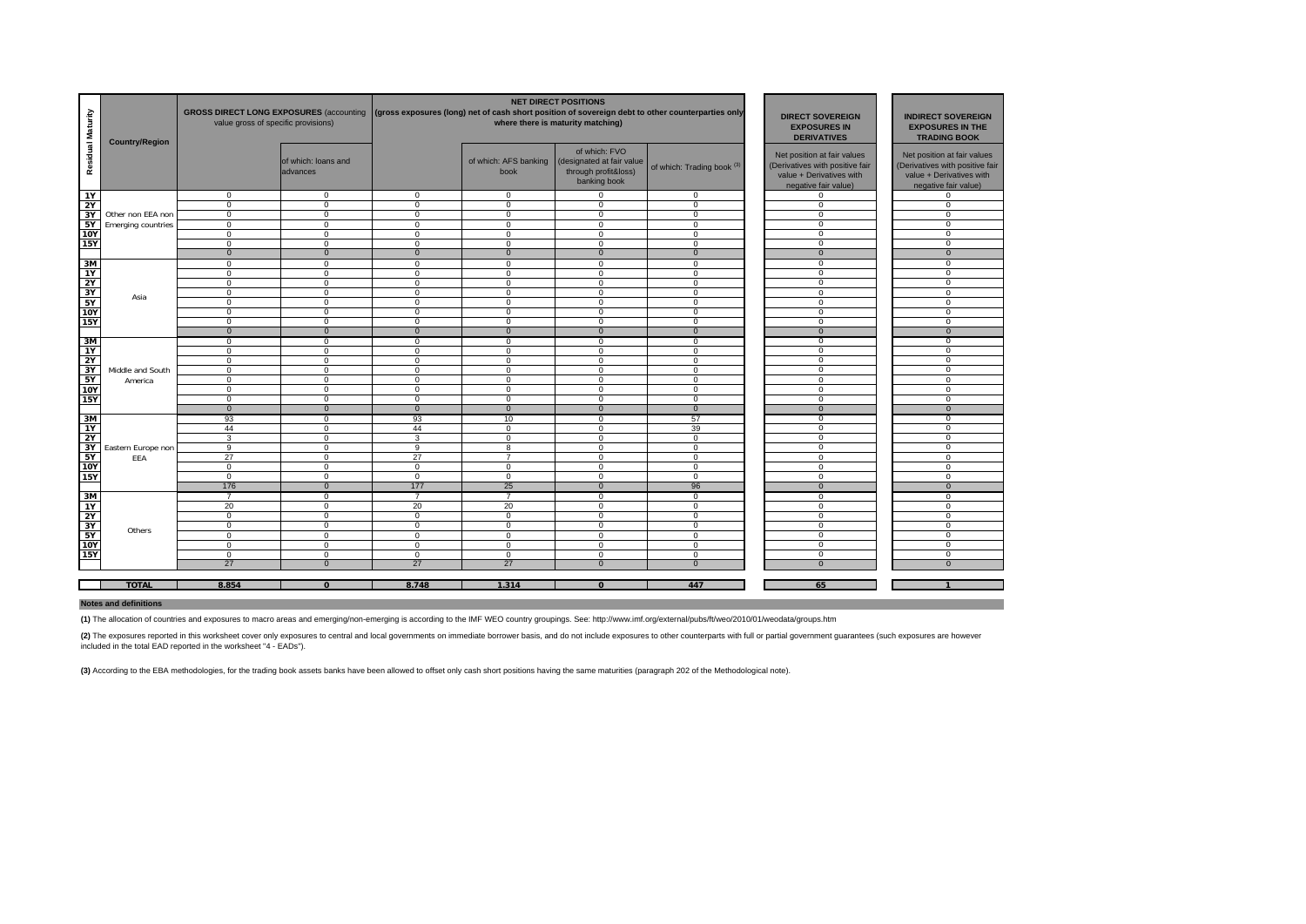| Residual Maturity        | <b>Country/Region</b>     | GROSS DIRECT LONG EXPOSURES (accounting (gross exposures (long) net of cash short position of sovereign debt to other counterparties only<br>value gross of specific provisions) |                                  |                               |                                  | <b>NET DIRECT POSITIONS</b><br>where there is maturity matching)                                          | <b>DIRECT SOVEREIGN</b><br><b>EXPOSURES IN</b><br><b>DERIVATIVES</b> | <b>INDIRECT SOVEREIGN</b><br><b>EXPOSURES IN THE</b><br><b>TRADING BOOK</b>                                        |                                                                                                                    |
|--------------------------|---------------------------|----------------------------------------------------------------------------------------------------------------------------------------------------------------------------------|----------------------------------|-------------------------------|----------------------------------|-----------------------------------------------------------------------------------------------------------|----------------------------------------------------------------------|--------------------------------------------------------------------------------------------------------------------|--------------------------------------------------------------------------------------------------------------------|
|                          |                           |                                                                                                                                                                                  | of which: loans and<br>advances  |                               | book                             | of which: FVO<br>of which: AFS banking (designated at fair value)<br>through profit&loss)<br>banking book | of which: Trading book <sup>(3)</sup>                                | Net position at fair values<br>(Derivatives with positive fair<br>value + Derivatives with<br>negative fair value) | Net position at fair values<br>(Derivatives with positive fair<br>value + Derivatives with<br>negative fair value) |
| 1Y                       |                           | $\mathbf 0$                                                                                                                                                                      | $\mathbf{0}$                     | $\mathbf{0}$                  | $\mathbf{0}$                     | $\mathbf{0}$                                                                                              | $^{\circ}$                                                           | $\mathbf{0}$                                                                                                       | $^{\circ}$                                                                                                         |
| 2Y                       |                           | $\Omega$                                                                                                                                                                         | $\mathbf 0$                      | $\Omega$                      | $\mathbf 0$                      | $\Omega$                                                                                                  | $\mathbf 0$                                                          | $\overline{0}$                                                                                                     | $\overline{0}$                                                                                                     |
| 3Y                       | Other non EEA non         | $\overline{0}$                                                                                                                                                                   | $\mathbf 0$                      | $\overline{0}$                | $\overline{0}$                   | $\overline{0}$                                                                                            | $\overline{0}$                                                       | $\overline{0}$<br>$\overline{0}$                                                                                   | $\overline{0}$<br>$\overline{0}$                                                                                   |
| 5Y<br><b>10Y</b>         | <b>Emerging countries</b> | $\overline{0}$<br>$\mathbf 0$                                                                                                                                                    | $\mathbf 0$<br>$\mathbf 0$       | $\mathbf 0$<br>$\mathbf{0}$   | $\overline{0}$<br>$\mathbf 0$    | $\overline{0}$<br>$\mathbf 0$                                                                             | $\overline{0}$<br>$\mathbf{0}$                                       | $\mathbf{0}$                                                                                                       | $\mathbf 0$                                                                                                        |
| <b>15Y</b>               |                           | $\mathbf 0$                                                                                                                                                                      | $\mathbf{0}$                     | $\mathbf 0$                   | $\mathbf 0$                      | $\mathbf 0$                                                                                               | $\overline{0}$                                                       | $\mathbf 0$                                                                                                        | $\mathbf 0$                                                                                                        |
|                          |                           | $\overline{0}$                                                                                                                                                                   | $\overline{0}$                   | $\overline{0}$                | $\overline{0}$                   | $\overline{0}$                                                                                            | $\overline{0}$                                                       | $\overline{0}$                                                                                                     | $\overline{0}$                                                                                                     |
| 3M                       |                           | $\overline{0}$                                                                                                                                                                   | $\overline{0}$                   | $^{\circ}$                    | $\overline{0}$                   | $\overline{0}$                                                                                            | $\overline{0}$                                                       | $\mathbf{0}$                                                                                                       | $\overline{0}$                                                                                                     |
| 1Y                       |                           | $\overline{0}$                                                                                                                                                                   | $\overline{0}$                   | $\overline{0}$                | $\overline{0}$                   | $\overline{0}$                                                                                            | $\overline{0}$                                                       | $\overline{0}$                                                                                                     | $\overline{0}$                                                                                                     |
| <b>2Y</b>                |                           | $\mathbf 0$                                                                                                                                                                      | $\mathbf 0$                      | $\mathbf 0$                   | $\mathbf 0$                      | $\mathbf 0$                                                                                               | $^{\circ}$                                                           | $\overline{0}$                                                                                                     | $\overline{0}$                                                                                                     |
| 3Y                       |                           | $\mathbf 0$                                                                                                                                                                      | $\mathbf 0$                      | $\mathbf 0$                   | $^{\circ}$                       | $\mathbf 0$                                                                                               | $^{\circ}$                                                           | $\mathbf 0$                                                                                                        | $\mathbf 0$                                                                                                        |
| 5Y                       | Asia                      | $\overline{0}$                                                                                                                                                                   | $\overline{0}$                   | $\mathbf 0$                   | $\overline{0}$                   | $\overline{0}$                                                                                            | $\overline{0}$                                                       | $\overline{0}$                                                                                                     | $\overline{0}$                                                                                                     |
| <b>10Y</b>               |                           | $\overline{0}$                                                                                                                                                                   | $\overline{0}$                   | $\Omega$                      | $\Omega$                         | $\overline{0}$                                                                                            | $\overline{0}$                                                       | $\overline{0}$                                                                                                     | $\overline{0}$                                                                                                     |
| <b>15Y</b>               |                           | $\overline{0}$                                                                                                                                                                   | $\overline{0}$                   | $\mathbf 0$                   | $\overline{0}$                   | $\overline{0}$                                                                                            | $\overline{0}$                                                       | $\overline{0}$                                                                                                     | $\overline{0}$                                                                                                     |
|                          |                           | $\overline{0}$                                                                                                                                                                   | $\overline{0}$                   | $\overline{0}$                | $\overline{0}$                   | $\overline{0}$                                                                                            | $\overline{0}$                                                       | $\overline{0}$                                                                                                     | $\overline{0}$                                                                                                     |
| 3M                       |                           | $\overline{0}$                                                                                                                                                                   | $\overline{0}$                   | $\overline{0}$                | $\overline{0}$                   | $\overline{0}$                                                                                            | $^{\circ}$                                                           | 0                                                                                                                  | $\Omega$                                                                                                           |
| 1Y                       |                           | $\mathbf 0$                                                                                                                                                                      | $^{\circ}$                       | $\mathbf{0}$                  | $\mathbf 0$                      | $\mathbf 0$                                                                                               | $\overline{0}$                                                       | $\mathbf 0$                                                                                                        | $\mathbf 0$                                                                                                        |
| 2Y                       |                           | $\Omega$                                                                                                                                                                         | $\Omega$                         | $\Omega$                      | $^{\circ}$                       | $\Omega$                                                                                                  | $\mathbf{0}$                                                         | $\overline{0}$                                                                                                     | $\overline{0}$                                                                                                     |
| 3Y                       | Middle and South          | $\mathbf 0$                                                                                                                                                                      | $\mathbf{0}$                     | $\mathbf 0$                   | $\mathbf 0$                      | $\mathbf 0$                                                                                               | $\mathbf{0}$                                                         | $\mathbf 0$                                                                                                        | $\mathbf 0$                                                                                                        |
| 5Y                       | America                   | $\mathbf 0$                                                                                                                                                                      | $\mathbf 0$                      | 0                             | $^{\circ}$                       | $\overline{0}$                                                                                            | $\overline{0}$                                                       | $\mathbf 0$                                                                                                        | $\overline{0}$                                                                                                     |
| <b>10Y</b>               |                           | $\overline{0}$                                                                                                                                                                   | $\overline{0}$                   | 0                             | $\overline{0}$                   | $\overline{0}$                                                                                            | $\overline{0}$                                                       | $\overline{0}$                                                                                                     | $\overline{0}$                                                                                                     |
| <b>15Y</b>               |                           | $\Omega$                                                                                                                                                                         | $\Omega$                         | $\Omega$                      | $\Omega$                         | $\Omega$                                                                                                  | $\Omega$                                                             | $\overline{0}$                                                                                                     | $\overline{0}$                                                                                                     |
|                          |                           | $\mathbf{0}$                                                                                                                                                                     | $\Omega$                         | $\overline{0}$                | $\Omega$                         | $\Omega$                                                                                                  | $\overline{0}$                                                       | $\Omega$                                                                                                           | $\Omega$                                                                                                           |
| 3M                       |                           | 93                                                                                                                                                                               | $^{\circ}$                       | 93                            | 10                               | $\overline{0}$                                                                                            | 57                                                                   | 0                                                                                                                  | 0                                                                                                                  |
| 1Y                       |                           | 44                                                                                                                                                                               | $\mathbf 0$                      | 44                            | $\overline{0}$                   | $\overline{0}$                                                                                            | 39                                                                   | $\mathbf{0}$                                                                                                       | $\overline{0}$                                                                                                     |
| 2Y                       |                           | 3                                                                                                                                                                                | $\mathbf 0$                      | 3                             | $\overline{0}$                   | $\overline{0}$                                                                                            | $\overline{0}$                                                       | $\overline{0}$                                                                                                     | $\overline{0}$                                                                                                     |
| 3Y                       | Eastern Europe non        | $\overline{9}$                                                                                                                                                                   | $\mathbf 0$                      | 9                             | 8                                | $\Omega$                                                                                                  | $\overline{0}$                                                       | $\overline{0}$                                                                                                     | $\overline{0}$                                                                                                     |
| 5Y                       | EEA                       | 27                                                                                                                                                                               | $\mathbf 0$                      | 27                            | $\overline{7}$                   | $\mathbf 0$                                                                                               | $\mathbf 0$<br>$\overline{0}$                                        | $\mathbf 0$<br>$\overline{0}$                                                                                      | $\mathbf 0$<br>$\overline{0}$                                                                                      |
| <b>10Y</b><br><b>15Y</b> |                           | $\overline{0}$<br>$\overline{0}$                                                                                                                                                 | $\overline{0}$<br>$\overline{0}$ | $\mathbf 0$<br>$\overline{0}$ | $\overline{0}$<br>$\overline{0}$ | $\overline{0}$<br>$\overline{0}$                                                                          | $\overline{0}$                                                       | $\overline{0}$                                                                                                     | $\overline{0}$                                                                                                     |
|                          |                           | 176                                                                                                                                                                              | $\overline{0}$                   | 177                           | 25                               | $\overline{0}$                                                                                            | 96                                                                   | $\overline{0}$                                                                                                     | $\overline{0}$                                                                                                     |
|                          |                           | $\overline{7}$                                                                                                                                                                   | $\Omega$                         | $\overline{7}$                | $\overline{7}$                   | $\overline{0}$                                                                                            | $\overline{0}$                                                       | $\overline{0}$                                                                                                     | $\Omega$                                                                                                           |
| 3M<br>1Y                 |                           | 20                                                                                                                                                                               | $\Omega$                         | 20                            | 20                               | $\Omega$                                                                                                  | $\Omega$                                                             | $\mathbf{0}$                                                                                                       | $\mathbf 0$                                                                                                        |
| 2Y                       |                           | $^{\circ}$                                                                                                                                                                       | $\mathbf 0$                      | $^{\circ}$                    | $\mathbf 0$                      | $\mathbf 0$                                                                                               | $^{\circ}$                                                           | $\mathbf{0}$                                                                                                       | $\mathbf 0$                                                                                                        |
|                          |                           | $\mathbf 0$                                                                                                                                                                      | $\mathbf 0$                      | $\mathbf 0$                   | $\mathbf 0$                      | $\overline{0}$                                                                                            | $\overline{0}$                                                       | $\overline{0}$                                                                                                     | $\overline{0}$                                                                                                     |
| $\frac{3Y}{5Y}$          | Others                    | $\Omega$                                                                                                                                                                         | $\mathbf 0$                      | $^{\circ}$                    | $\mathbf 0$                      | $\Omega$                                                                                                  | $\mathbf 0$                                                          | $\mathbf 0$                                                                                                        | $\mathbf 0$                                                                                                        |
|                          |                           | $\mathbf 0$                                                                                                                                                                      | $\mathbf 0$                      | $\mathbf 0$                   | $\mathbf 0$                      | $\overline{0}$                                                                                            | $\overline{0}$                                                       | $\mathbf 0$                                                                                                        | $\overline{0}$                                                                                                     |
| <b>15Y</b>               |                           | $\mathbf 0$                                                                                                                                                                      | $\mathbf 0$                      | $\Omega$                      | $\mathbf 0$                      | $\Omega$                                                                                                  | $\mathbf{0}$                                                         | $\overline{0}$                                                                                                     | $\overline{0}$                                                                                                     |
|                          |                           | 27                                                                                                                                                                               | $\mathbf{0}$                     | 27                            | 27                               | $\Omega$                                                                                                  | $\mathbf{0}$                                                         | $\Omega$                                                                                                           | $\Omega$                                                                                                           |
|                          |                           |                                                                                                                                                                                  |                                  |                               |                                  |                                                                                                           |                                                                      |                                                                                                                    |                                                                                                                    |
|                          | <b>TOTAL</b>              | 8.854                                                                                                                                                                            | $\Omega$                         | 8.748                         | 1.314                            | $\Omega$                                                                                                  | 447                                                                  | 65                                                                                                                 | 1                                                                                                                  |

### **Notes and definitions**

**(1)** The allocation of countries and exposures to macro areas and emerging/non-emerging is according to the IMF WEO country groupings. See: http://www.imf.org/external/pubs/ft/weo/2010/01/weodata/groups.htm

(2) The exposures reported in this worksheet cover only exposures to central and local governments on immediate borrower basis, and do not include exposures to other counterparts with full or partial government guarantees included in the total EAD reported in the worksheet "4 - EADs").

(3) According to the EBA methodologies, for the trading book assets banks have been allowed to offset only cash short positions having the same maturities (paragraph 202 of the Methodological note).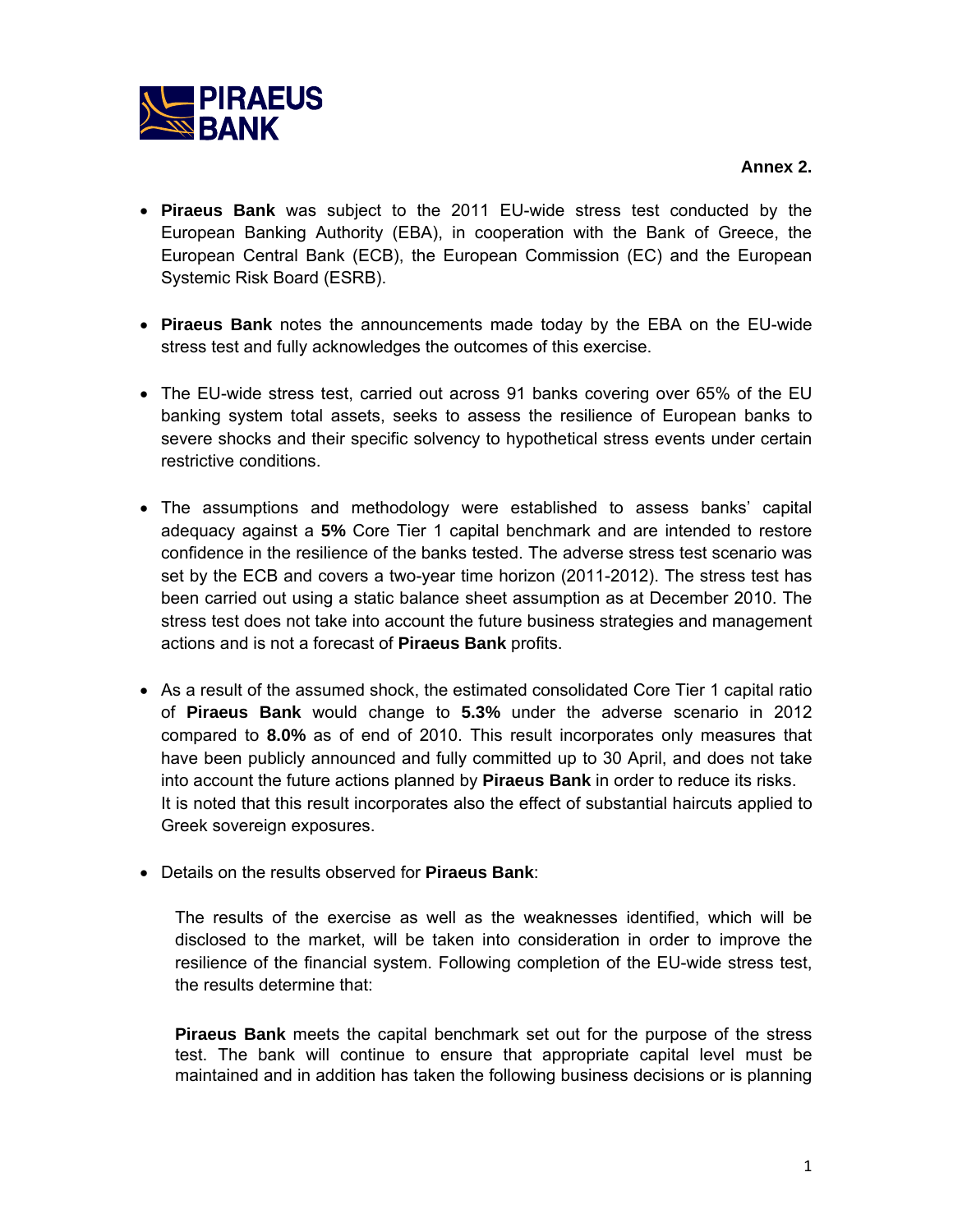

- **Piraeus Bank** was subject to the 2011 EU-wide stress test conducted by the European Banking Authority (EBA), in cooperation with the Bank of Greece, the European Central Bank (ECB), the European Commission (EC) and the European Systemic Risk Board (ESRB).
- **Piraeus Bank** notes the announcements made today by the EBA on the EU-wide stress test and fully acknowledges the outcomes of this exercise.
- The EU-wide stress test, carried out across 91 banks covering over 65% of the EU banking system total assets, seeks to assess the resilience of European banks to severe shocks and their specific solvency to hypothetical stress events under certain restrictive conditions.
- The assumptions and methodology were established to assess banks' capital adequacy against a **5%** Core Tier 1 capital benchmark and are intended to restore confidence in the resilience of the banks tested. The adverse stress test scenario was set by the ECB and covers a two-year time horizon (2011-2012). The stress test has been carried out using a static balance sheet assumption as at December 2010. The stress test does not take into account the future business strategies and management actions and is not a forecast of **Piraeus Bank** profits.
- As a result of the assumed shock, the estimated consolidated Core Tier 1 capital ratio of **Piraeus Bank** would change to **5.3%** under the adverse scenario in 2012 compared to **8.0%** as of end of 2010. This result incorporates only measures that have been publicly announced and fully committed up to 30 April, and does not take into account the future actions planned by **Piraeus Bank** in order to reduce its risks. It is noted that this result incorporates also the effect of substantial haircuts applied to Greek sovereign exposures.
- Details on the results observed for **Piraeus Bank**:

The results of the exercise as well as the weaknesses identified, which will be disclosed to the market, will be taken into consideration in order to improve the resilience of the financial system. Following completion of the EU-wide stress test, the results determine that:

**Piraeus Bank** meets the capital benchmark set out for the purpose of the stress test. The bank will continue to ensure that appropriate capital level must be maintained and in addition has taken the following business decisions or is planning